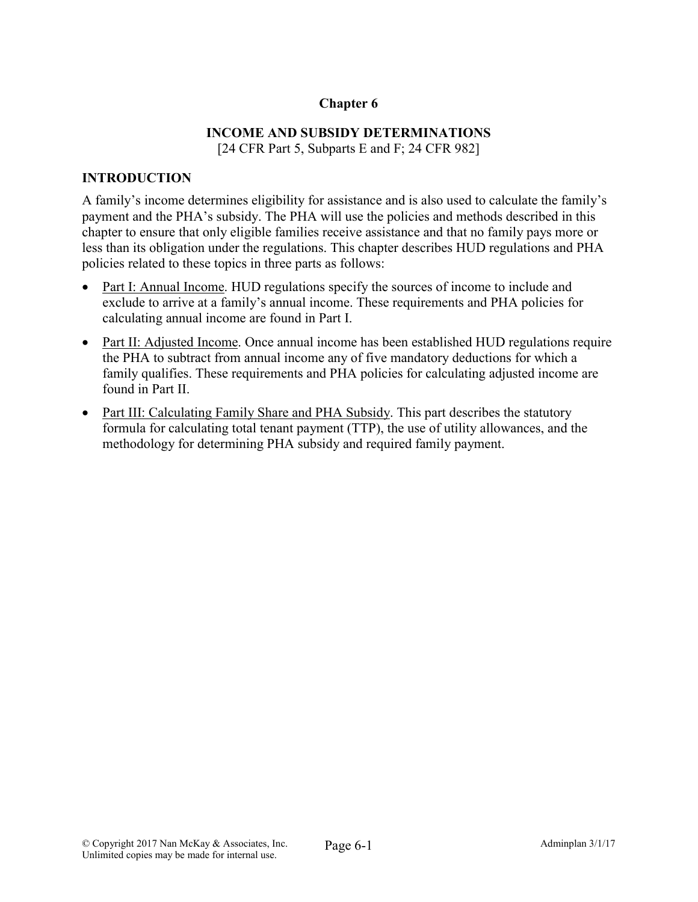# Chapter 6

# INCOME AND SUBSIDY DETERMINATIONS

[24 CFR Part 5, Subparts E and F; 24 CFR 982]

## INTRODUCTION

A family's income determines eligibility for assistance and is also used to calculate the family's payment and the PHA's subsidy. The PHA will use the policies and methods described in this chapter to ensure that only eligible families receive assistance and that no family pays more or less than its obligation under the regulations. This chapter describes HUD regulations and PHA policies related to these topics in three parts as follows:

- Part I: Annual Income. HUD regulations specify the sources of income to include and exclude to arrive at a family's annual income. These requirements and PHA policies for calculating annual income are found in Part I.
- Part II: Adjusted Income. Once annual income has been established HUD regulations require the PHA to subtract from annual income any of five mandatory deductions for which a family qualifies. These requirements and PHA policies for calculating adjusted income are found in Part II.
- Part III: Calculating Family Share and PHA Subsidy. This part describes the statutory formula for calculating total tenant payment (TTP), the use of utility allowances, and the methodology for determining PHA subsidy and required family payment.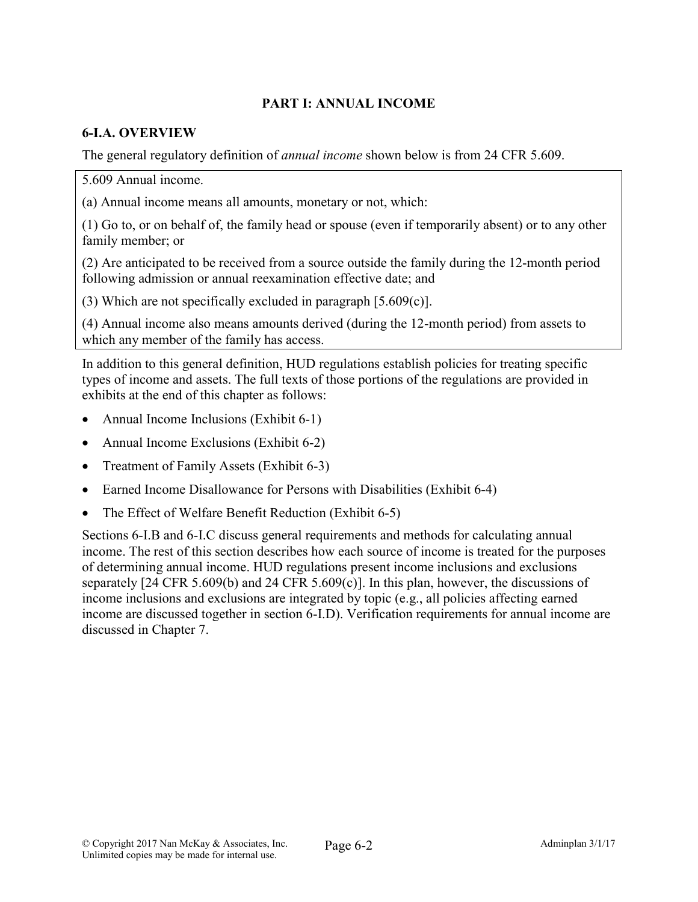# PART I: ANNUAL INCOME

## 6-I.A. OVERVIEW

The general regulatory definition of *annual income* shown below is from 24 CFR 5.609.

5.609 Annual income.

(a) Annual income means all amounts, monetary or not, which:

(1) Go to, or on behalf of, the family head or spouse (even if temporarily absent) or to any other family member; or

(2) Are anticipated to be received from a source outside the family during the 12-month period following admission or annual reexamination effective date; and

(3) Which are not specifically excluded in paragraph [5.609(c)].

(4) Annual income also means amounts derived (during the 12-month period) from assets to which any member of the family has access.

In addition to this general definition, HUD regulations establish policies for treating specific types of income and assets. The full texts of those portions of the regulations are provided in exhibits at the end of this chapter as follows:

- Annual Income Inclusions (Exhibit 6-1)
- Annual Income Exclusions (Exhibit 6-2)
- Treatment of Family Assets (Exhibit 6-3)
- Earned Income Disallowance for Persons with Disabilities (Exhibit 6-4)
- The Effect of Welfare Benefit Reduction (Exhibit 6-5)

Sections 6-I.B and 6-I.C discuss general requirements and methods for calculating annual income. The rest of this section describes how each source of income is treated for the purposes of determining annual income. HUD regulations present income inclusions and exclusions separately [24 CFR 5.609(b) and 24 CFR 5.609(c)]. In this plan, however, the discussions of income inclusions and exclusions are integrated by topic (e.g., all policies affecting earned income are discussed together in section 6-I.D). Verification requirements for annual income are discussed in Chapter 7.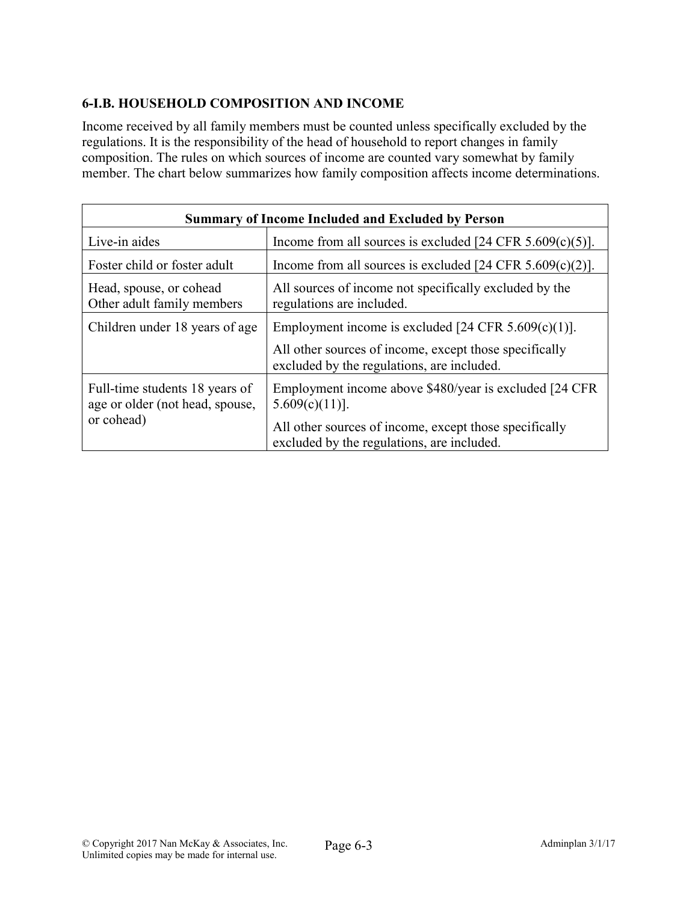# 6-I.B. HOUSEHOLD COMPOSITION AND INCOME

Income received by all family members must be counted unless specifically excluded by the regulations. It is the responsibility of the head of household to report changes in family composition. The rules on which sources of income are counted vary somewhat by family member. The chart below summarizes how family composition affects income determinations.

| <b>Summary of Income Included and Excluded by Person</b>                        |                                                                                                      |  |  |
|---------------------------------------------------------------------------------|------------------------------------------------------------------------------------------------------|--|--|
| Live-in aides                                                                   | Income from all sources is excluded [24 CFR $5.609(c)(5)$ ].                                         |  |  |
| Foster child or foster adult                                                    | Income from all sources is excluded [24 CFR $5.609(c)(2)$ ].                                         |  |  |
| Head, spouse, or cohead<br>Other adult family members                           | All sources of income not specifically excluded by the<br>regulations are included.                  |  |  |
| Children under 18 years of age                                                  | Employment income is excluded [24 CFR $5.609(c)(1)$ ].                                               |  |  |
|                                                                                 | All other sources of income, except those specifically<br>excluded by the regulations, are included. |  |  |
| Full-time students 18 years of<br>age or older (not head, spouse,<br>or cohead) | Employment income above \$480/year is excluded [24 CFR]<br>$5.609(c)(11)$ ].                         |  |  |
|                                                                                 | All other sources of income, except those specifically<br>excluded by the regulations, are included. |  |  |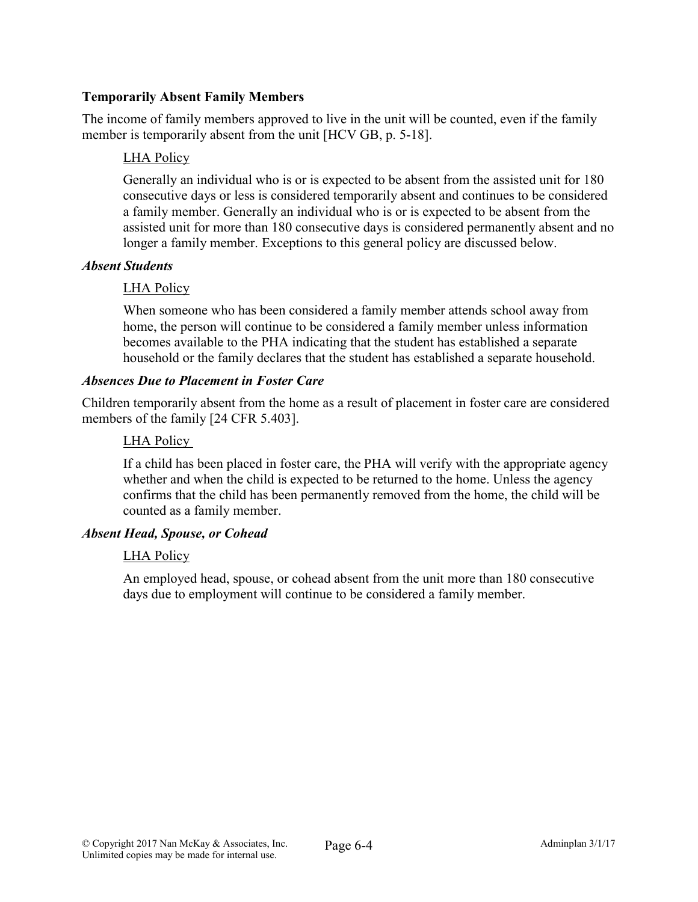## Temporarily Absent Family Members

The income of family members approved to live in the unit will be counted, even if the family member is temporarily absent from the unit [HCV GB, p. 5-18].

## LHA Policy

Generally an individual who is or is expected to be absent from the assisted unit for 180 consecutive days or less is considered temporarily absent and continues to be considered a family member. Generally an individual who is or is expected to be absent from the assisted unit for more than 180 consecutive days is considered permanently absent and no longer a family member. Exceptions to this general policy are discussed below.

## *Absent Students*

# LHA Policy

When someone who has been considered a family member attends school away from home, the person will continue to be considered a family member unless information becomes available to the PHA indicating that the student has established a separate household or the family declares that the student has established a separate household.

## *Absences Due to Placement in Foster Care*

Children temporarily absent from the home as a result of placement in foster care are considered members of the family [24 CFR 5.403].

# LHA Policy

If a child has been placed in foster care, the PHA will verify with the appropriate agency whether and when the child is expected to be returned to the home. Unless the agency confirms that the child has been permanently removed from the home, the child will be counted as a family member.

## *Absent Head, Spouse, or Cohead*

## LHA Policy

An employed head, spouse, or cohead absent from the unit more than 180 consecutive days due to employment will continue to be considered a family member.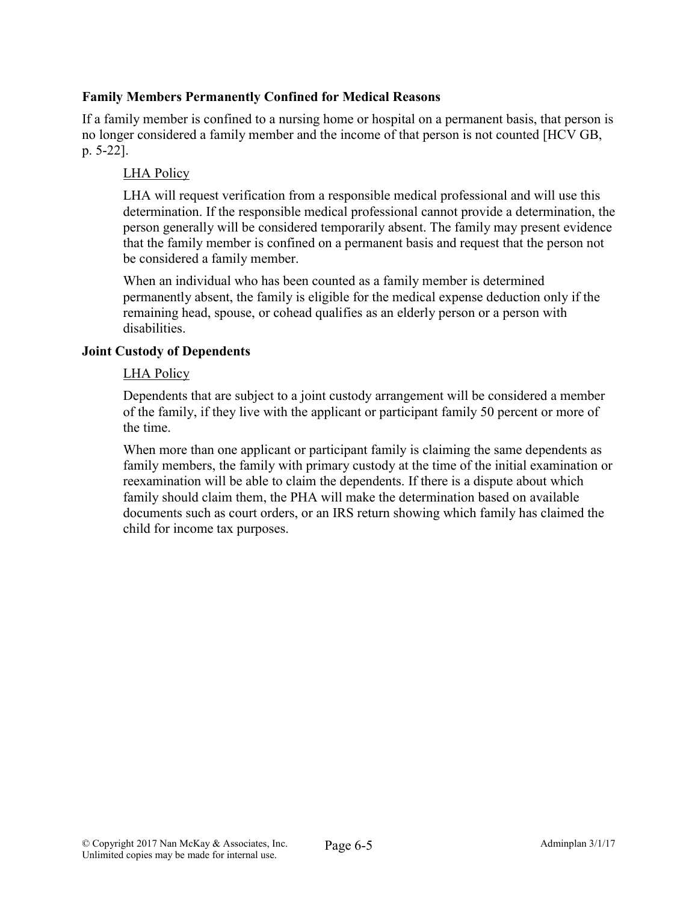## Family Members Permanently Confined for Medical Reasons

If a family member is confined to a nursing home or hospital on a permanent basis, that person is no longer considered a family member and the income of that person is not counted [HCV GB, p. 5-22].

## LHA Policy

LHA will request verification from a responsible medical professional and will use this determination. If the responsible medical professional cannot provide a determination, the person generally will be considered temporarily absent. The family may present evidence that the family member is confined on a permanent basis and request that the person not be considered a family member.

When an individual who has been counted as a family member is determined permanently absent, the family is eligible for the medical expense deduction only if the remaining head, spouse, or cohead qualifies as an elderly person or a person with disabilities.

## Joint Custody of Dependents

#### LHA Policy

Dependents that are subject to a joint custody arrangement will be considered a member of the family, if they live with the applicant or participant family 50 percent or more of the time.

When more than one applicant or participant family is claiming the same dependents as family members, the family with primary custody at the time of the initial examination or reexamination will be able to claim the dependents. If there is a dispute about which family should claim them, the PHA will make the determination based on available documents such as court orders, or an IRS return showing which family has claimed the child for income tax purposes.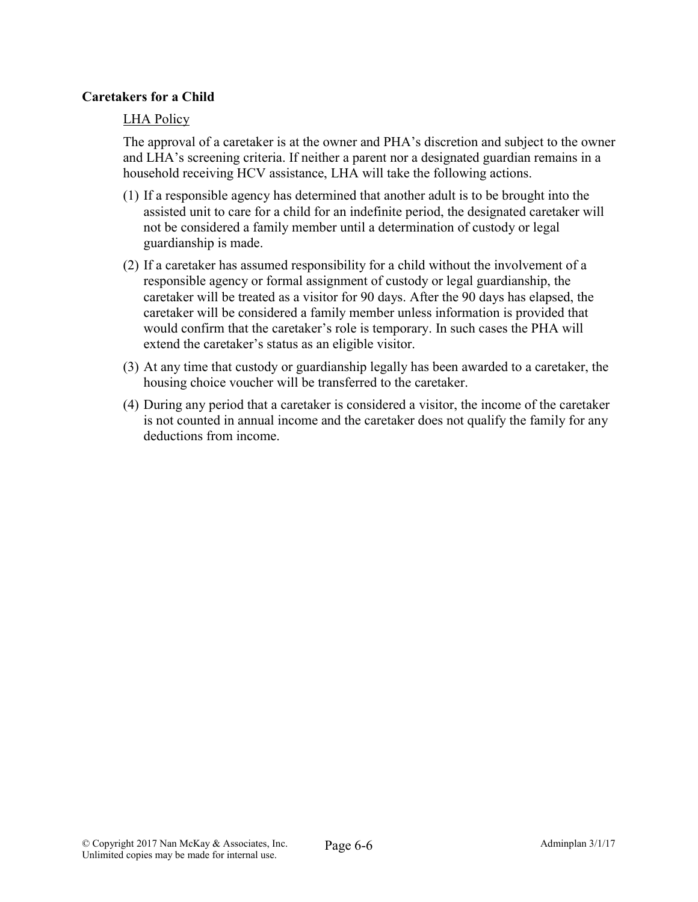## Caretakers for a Child

## LHA Policy

The approval of a caretaker is at the owner and PHA's discretion and subject to the owner and LHA's screening criteria. If neither a parent nor a designated guardian remains in a household receiving HCV assistance, LHA will take the following actions.

- (1) If a responsible agency has determined that another adult is to be brought into the assisted unit to care for a child for an indefinite period, the designated caretaker will not be considered a family member until a determination of custody or legal guardianship is made.
- (2) If a caretaker has assumed responsibility for a child without the involvement of a responsible agency or formal assignment of custody or legal guardianship, the caretaker will be treated as a visitor for 90 days. After the 90 days has elapsed, the caretaker will be considered a family member unless information is provided that would confirm that the caretaker's role is temporary. In such cases the PHA will extend the caretaker's status as an eligible visitor.
- (3) At any time that custody or guardianship legally has been awarded to a caretaker, the housing choice voucher will be transferred to the caretaker.
- (4) During any period that a caretaker is considered a visitor, the income of the caretaker is not counted in annual income and the caretaker does not qualify the family for any deductions from income.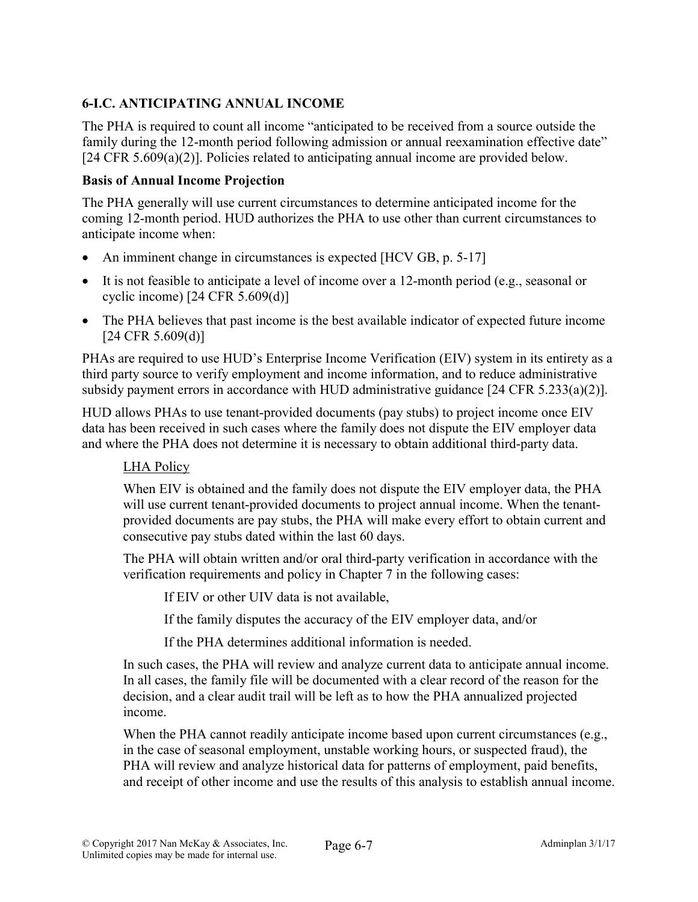# 6-I.C. ANTICIPATING ANNUAL INCOME

The PHA is required to count all income "anticipated to be received from a source outside the family during the 12-month period following admission or annual reexamination effective date" [24 CFR 5.609(a)(2)]. Policies related to anticipating annual income are provided below.

## Basis of Annual Income Projection

The PHA generally will use current circumstances to determine anticipated income for the coming 12-month period. HUD authorizes the PHA to use other than current circumstances to anticipate income when:

- An imminent change in circumstances is expected [HCV GB, p. 5-17]
- It is not feasible to anticipate a level of income over a 12-month period (e.g., seasonal or cyclic income) [24 CFR 5.609(d)]
- The PHA believes that past income is the best available indicator of expected future income  $[24 \text{ CFR } 5.609(d)]$

PHAs are required to use HUD's Enterprise Income Verification (EIV) system in its entirety as a third party source to verify employment and income information, and to reduce administrative subsidy payment errors in accordance with HUD administrative guidance [24 CFR 5.233(a)(2)].

HUD allows PHAs to use tenant-provided documents (pay stubs) to project income once EIV data has been received in such cases where the family does not dispute the EIV employer data and where the PHA does not determine it is necessary to obtain additional third-party data.

# LHA Policy

When EIV is obtained and the family does not dispute the EIV employer data, the PHA will use current tenant-provided documents to project annual income. When the tenantprovided documents are pay stubs, the PHA will make every effort to obtain current and consecutive pay stubs dated within the last 60 days.

The PHA will obtain written and/or oral third-party verification in accordance with the verification requirements and policy in Chapter 7 in the following cases:

If EIV or other UIV data is not available,

If the family disputes the accuracy of the EIV employer data, and/or

If the PHA determines additional information is needed.

In such cases, the PHA will review and analyze current data to anticipate annual income. In all cases, the family file will be documented with a clear record of the reason for the decision, and a clear audit trail will be left as to how the PHA annualized projected income.

When the PHA cannot readily anticipate income based upon current circumstances (e.g., in the case of seasonal employment, unstable working hours, or suspected fraud), the PHA will review and analyze historical data for patterns of employment, paid benefits, and receipt of other income and use the results of this analysis to establish annual income.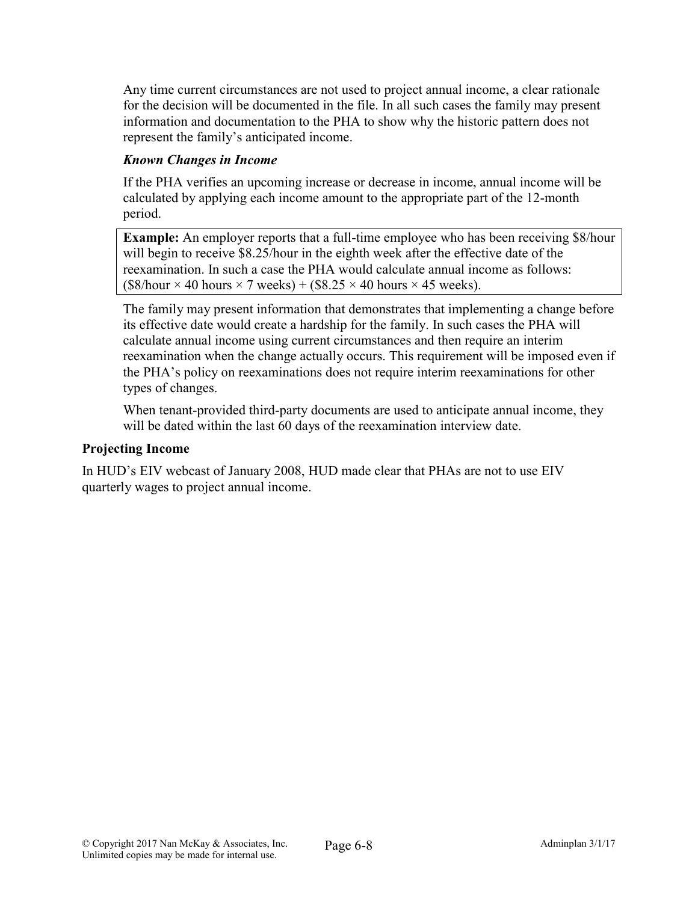Any time current circumstances are not used to project annual income, a clear rationale for the decision will be documented in the file. In all such cases the family may present information and documentation to the PHA to show why the historic pattern does not represent the family's anticipated income.

# *Known Changes in Income*

If the PHA verifies an upcoming increase or decrease in income, annual income will be calculated by applying each income amount to the appropriate part of the 12-month period.

Example: An employer reports that a full-time employee who has been receiving \$8/hour will begin to receive \$8.25/hour in the eighth week after the effective date of the reexamination. In such a case the PHA would calculate annual income as follows:  $($8/hour \times 40 hours \times 7 weeks) + ($8.25 \times 40 hours \times 45 weeks).$ 

The family may present information that demonstrates that implementing a change before its effective date would create a hardship for the family. In such cases the PHA will calculate annual income using current circumstances and then require an interim reexamination when the change actually occurs. This requirement will be imposed even if the PHA's policy on reexaminations does not require interim reexaminations for other types of changes.

When tenant-provided third-party documents are used to anticipate annual income, they will be dated within the last 60 days of the reexamination interview date.

#### Projecting Income

In HUD's EIV webcast of January 2008, HUD made clear that PHAs are not to use EIV quarterly wages to project annual income.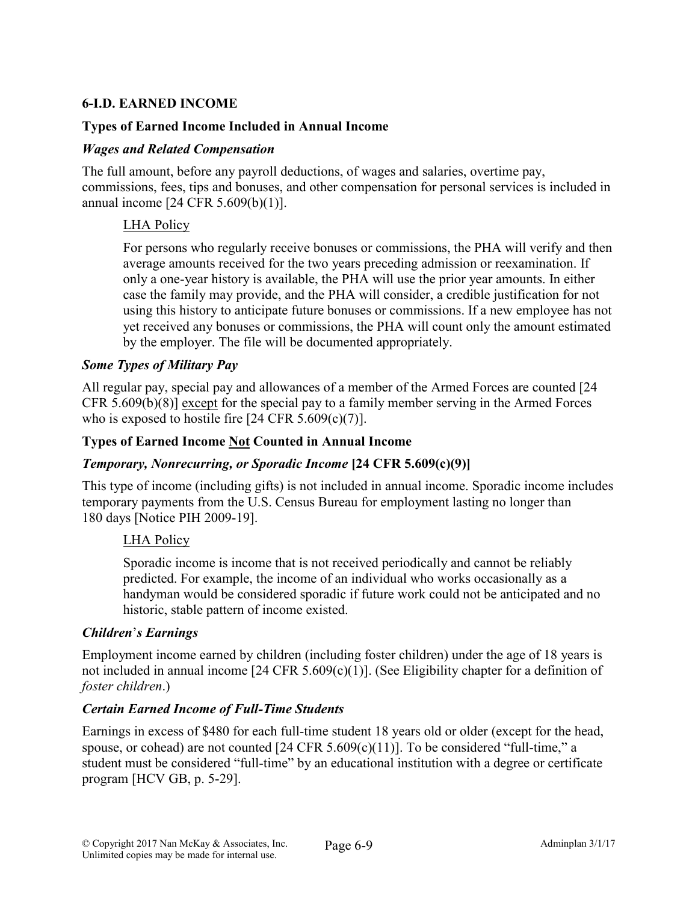# 6-I.D. EARNED INCOME

## Types of Earned Income Included in Annual Income

#### *Wages and Related Compensation*

The full amount, before any payroll deductions, of wages and salaries, overtime pay, commissions, fees, tips and bonuses, and other compensation for personal services is included in annual income [24 CFR 5.609(b)(1)].

## LHA Policy

For persons who regularly receive bonuses or commissions, the PHA will verify and then average amounts received for the two years preceding admission or reexamination. If only a one-year history is available, the PHA will use the prior year amounts. In either case the family may provide, and the PHA will consider, a credible justification for not using this history to anticipate future bonuses or commissions. If a new employee has not yet received any bonuses or commissions, the PHA will count only the amount estimated by the employer. The file will be documented appropriately.

#### *Some Types of Military Pay*

All regular pay, special pay and allowances of a member of the Armed Forces are counted [24 CFR 5.609(b)(8)] except for the special pay to a family member serving in the Armed Forces who is exposed to hostile fire  $[24 \text{ CFR } 5.609 \text{ (c)}(7)]$ .

#### Types of Earned Income Not Counted in Annual Income

#### *Temporary, Nonrecurring, or Sporadic Income* [24 CFR 5.609(c)(9)]

This type of income (including gifts) is not included in annual income. Sporadic income includes temporary payments from the U.S. Census Bureau for employment lasting no longer than 180 days [Notice PIH 2009-19].

## LHA Policy

Sporadic income is income that is not received periodically and cannot be reliably predicted. For example, the income of an individual who works occasionally as a handyman would be considered sporadic if future work could not be anticipated and no historic, stable pattern of income existed.

#### *Children*'*s Earnings*

Employment income earned by children (including foster children) under the age of 18 years is not included in annual income [24 CFR 5.609(c)(1)]. (See Eligibility chapter for a definition of *foster children*.)

#### *Certain Earned Income of Full-Time Students*

Earnings in excess of \$480 for each full-time student 18 years old or older (except for the head, spouse, or cohead) are not counted  $[24 \text{ CFR } 5.609(c)(11)]$ . To be considered "full-time," a student must be considered "full-time" by an educational institution with a degree or certificate program [HCV GB, p. 5-29].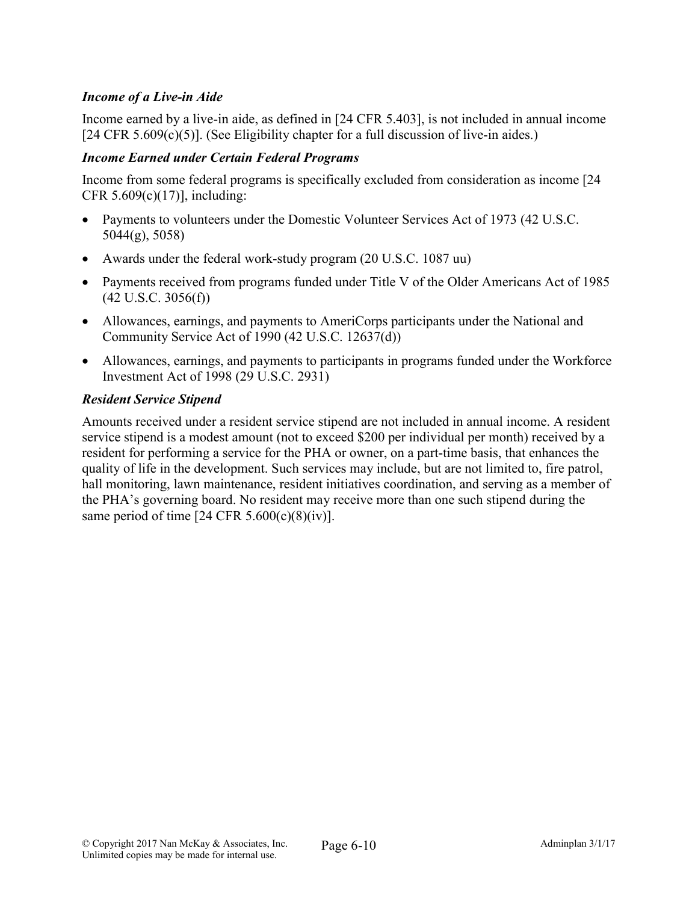# *Income of a Live-in Aide*

Income earned by a live-in aide, as defined in [24 CFR 5.403], is not included in annual income  $[24 \text{ CFR } 5.609(c)(5)]$ . (See Eligibility chapter for a full discussion of live-in aides.)

#### *Income Earned under Certain Federal Programs*

Income from some federal programs is specifically excluded from consideration as income [24 CFR  $5.609(c)(17)$ ], including:

- Payments to volunteers under the Domestic Volunteer Services Act of 1973 (42 U.S.C. 5044(g), 5058)
- Awards under the federal work-study program (20 U.S.C. 1087 uu)
- Payments received from programs funded under Title V of the Older Americans Act of 1985  $(42 \text{ U.S.C. } 3056(f))$
- Allowances, earnings, and payments to AmeriCorps participants under the National and Community Service Act of 1990 (42 U.S.C. 12637(d))
- Allowances, earnings, and payments to participants in programs funded under the Workforce Investment Act of 1998 (29 U.S.C. 2931)

## *Resident Service Stipend*

Amounts received under a resident service stipend are not included in annual income. A resident service stipend is a modest amount (not to exceed \$200 per individual per month) received by a resident for performing a service for the PHA or owner, on a part-time basis, that enhances the quality of life in the development. Such services may include, but are not limited to, fire patrol, hall monitoring, lawn maintenance, resident initiatives coordination, and serving as a member of the PHA's governing board. No resident may receive more than one such stipend during the same period of time  $[24 \text{ CFR } 5.600(c)(8)(iv)].$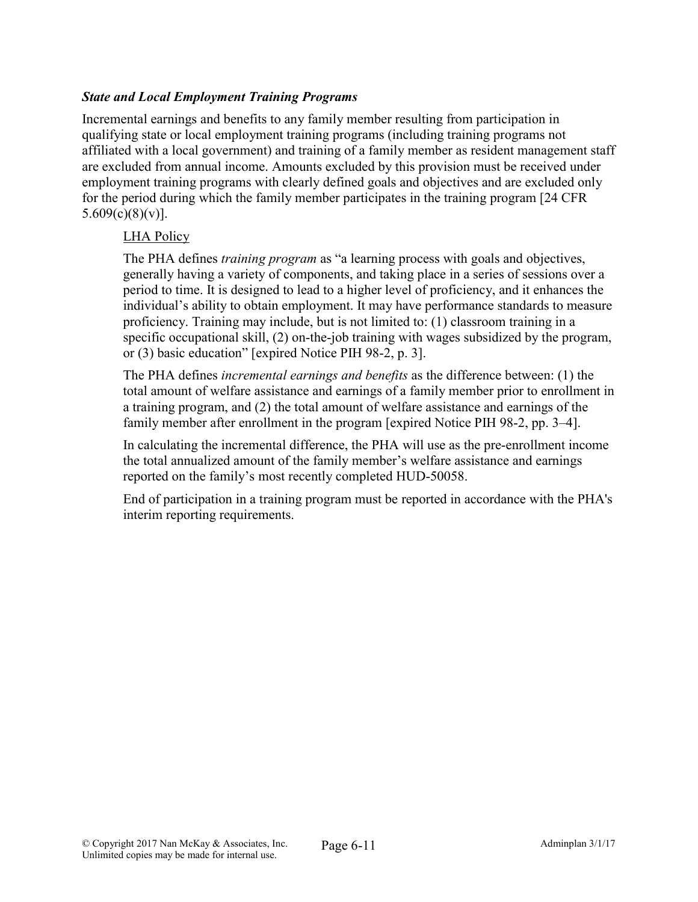# *State and Local Employment Training Programs*

Incremental earnings and benefits to any family member resulting from participation in qualifying state or local employment training programs (including training programs not affiliated with a local government) and training of a family member as resident management staff are excluded from annual income. Amounts excluded by this provision must be received under employment training programs with clearly defined goals and objectives and are excluded only for the period during which the family member participates in the training program [24 CFR  $5.609(c)(8)(v)$ ].

## LHA Policy

The PHA defines *training program* as "a learning process with goals and objectives, generally having a variety of components, and taking place in a series of sessions over a period to time. It is designed to lead to a higher level of proficiency, and it enhances the individual's ability to obtain employment. It may have performance standards to measure proficiency. Training may include, but is not limited to: (1) classroom training in a specific occupational skill, (2) on-the-job training with wages subsidized by the program, or (3) basic education" [expired Notice PIH 98-2, p. 3].

The PHA defines *incremental earnings and benefits* as the difference between: (1) the total amount of welfare assistance and earnings of a family member prior to enrollment in a training program, and (2) the total amount of welfare assistance and earnings of the family member after enrollment in the program [expired Notice PIH 98-2, pp. 3–4].

In calculating the incremental difference, the PHA will use as the pre-enrollment income the total annualized amount of the family member's welfare assistance and earnings reported on the family's most recently completed HUD-50058.

End of participation in a training program must be reported in accordance with the PHA's interim reporting requirements.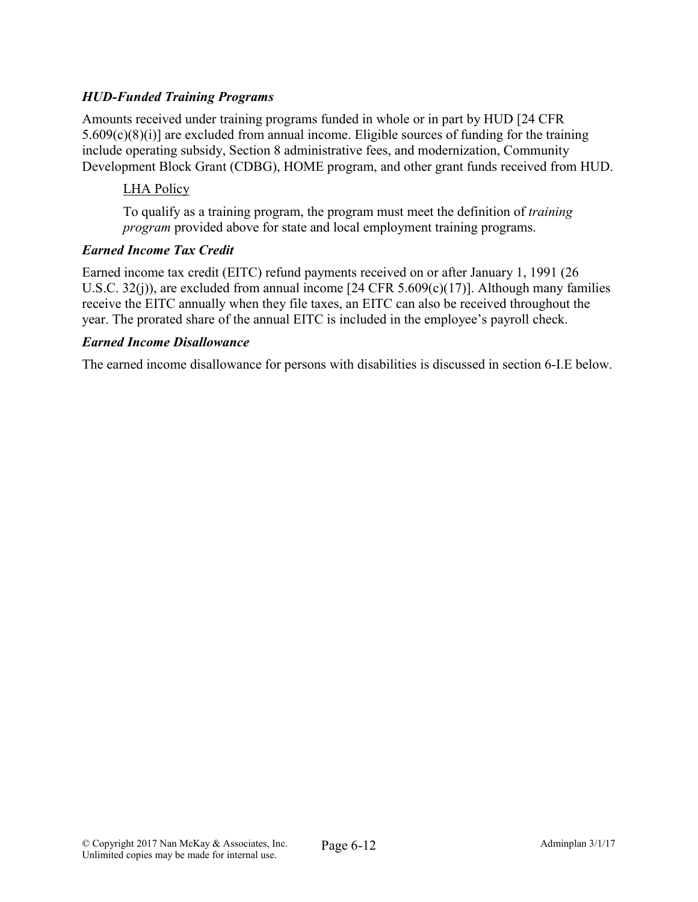# *HUD-Funded Training Programs*

Amounts received under training programs funded in whole or in part by HUD [24 CFR 5.609(c)(8)(i)] are excluded from annual income. Eligible sources of funding for the training include operating subsidy, Section 8 administrative fees, and modernization, Community Development Block Grant (CDBG), HOME program, and other grant funds received from HUD.

## LHA Policy

To qualify as a training program, the program must meet the definition of *training program* provided above for state and local employment training programs.

#### *Earned Income Tax Credit*

Earned income tax credit (EITC) refund payments received on or after January 1, 1991 (26 U.S.C. 32(j)), are excluded from annual income [24 CFR 5.609(c)(17)]. Although many families receive the EITC annually when they file taxes, an EITC can also be received throughout the year. The prorated share of the annual EITC is included in the employee's payroll check.

#### *Earned Income Disallowance*

The earned income disallowance for persons with disabilities is discussed in section 6-I.E below.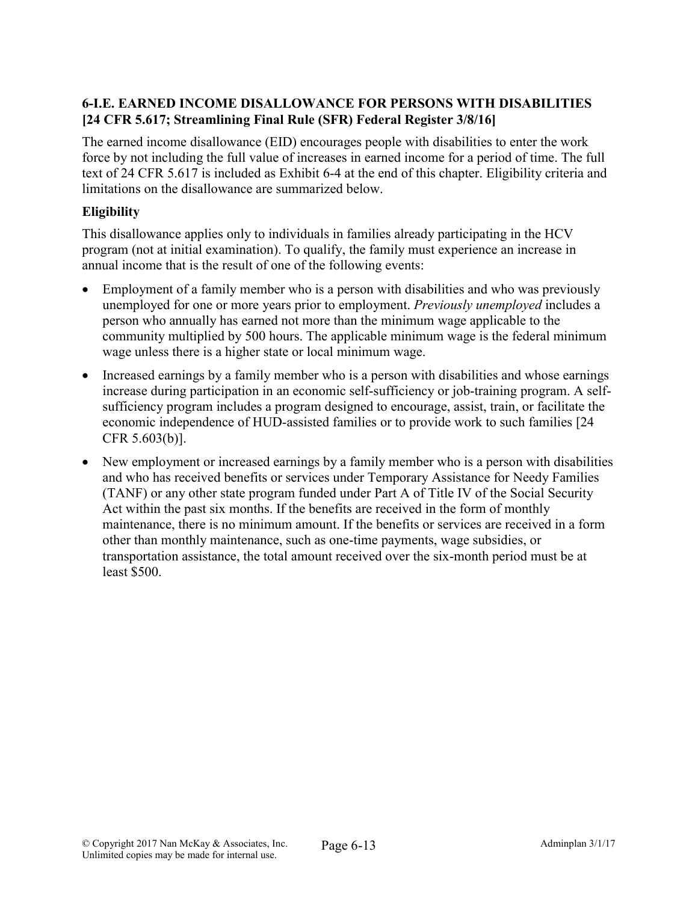# 6-I.E. EARNED INCOME DISALLOWANCE FOR PERSONS WITH DISABILITIES [24 CFR 5.617; Streamlining Final Rule (SFR) Federal Register 3/8/16]

The earned income disallowance (EID) encourages people with disabilities to enter the work force by not including the full value of increases in earned income for a period of time. The full text of 24 CFR 5.617 is included as Exhibit 6-4 at the end of this chapter. Eligibility criteria and limitations on the disallowance are summarized below.

# **Eligibility**

This disallowance applies only to individuals in families already participating in the HCV program (not at initial examination). To qualify, the family must experience an increase in annual income that is the result of one of the following events:

- Employment of a family member who is a person with disabilities and who was previously unemployed for one or more years prior to employment. *Previously unemployed* includes a person who annually has earned not more than the minimum wage applicable to the community multiplied by 500 hours. The applicable minimum wage is the federal minimum wage unless there is a higher state or local minimum wage.
- Increased earnings by a family member who is a person with disabilities and whose earnings increase during participation in an economic self-sufficiency or job-training program. A selfsufficiency program includes a program designed to encourage, assist, train, or facilitate the economic independence of HUD-assisted families or to provide work to such families [24 CFR 5.603(b)].
- New employment or increased earnings by a family member who is a person with disabilities and who has received benefits or services under Temporary Assistance for Needy Families (TANF) or any other state program funded under Part A of Title IV of the Social Security Act within the past six months. If the benefits are received in the form of monthly maintenance, there is no minimum amount. If the benefits or services are received in a form other than monthly maintenance, such as one-time payments, wage subsidies, or transportation assistance, the total amount received over the six-month period must be at least \$500.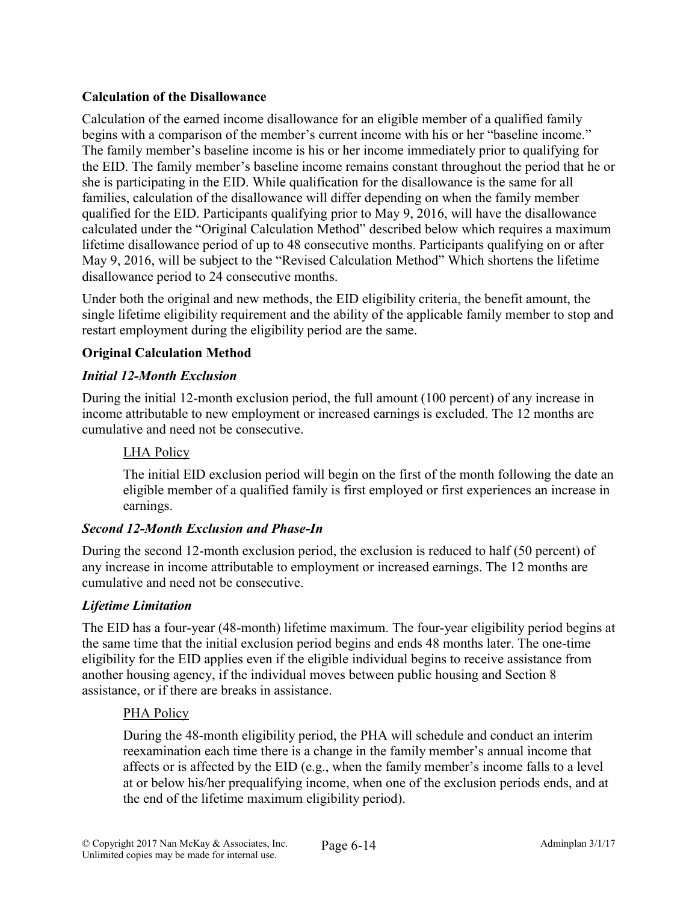# Calculation of the Disallowance

Calculation of the earned income disallowance for an eligible member of a qualified family begins with a comparison of the member's current income with his or her "baseline income." The family member's baseline income is his or her income immediately prior to qualifying for the EID. The family member's baseline income remains constant throughout the period that he or she is participating in the EID. While qualification for the disallowance is the same for all families, calculation of the disallowance will differ depending on when the family member qualified for the EID. Participants qualifying prior to May 9, 2016, will have the disallowance calculated under the "Original Calculation Method" described below which requires a maximum lifetime disallowance period of up to 48 consecutive months. Participants qualifying on or after May 9, 2016, will be subject to the "Revised Calculation Method" Which shortens the lifetime disallowance period to 24 consecutive months.

Under both the original and new methods, the EID eligibility criteria, the benefit amount, the single lifetime eligibility requirement and the ability of the applicable family member to stop and restart employment during the eligibility period are the same.

# Original Calculation Method

#### *Initial 12-Month Exclusion*

During the initial 12-month exclusion period, the full amount (100 percent) of any increase in income attributable to new employment or increased earnings is excluded. The 12 months are cumulative and need not be consecutive.

#### LHA Policy

The initial EID exclusion period will begin on the first of the month following the date an eligible member of a qualified family is first employed or first experiences an increase in earnings.

## *Second 12-Month Exclusion and Phase-In*

During the second 12-month exclusion period, the exclusion is reduced to half (50 percent) of any increase in income attributable to employment or increased earnings. The 12 months are cumulative and need not be consecutive.

#### *Lifetime Limitation*

The EID has a four-year (48-month) lifetime maximum. The four-year eligibility period begins at the same time that the initial exclusion period begins and ends 48 months later. The one-time eligibility for the EID applies even if the eligible individual begins to receive assistance from another housing agency, if the individual moves between public housing and Section 8 assistance, or if there are breaks in assistance.

#### PHA Policy

During the 48-month eligibility period, the PHA will schedule and conduct an interim reexamination each time there is a change in the family member's annual income that affects or is affected by the EID (e.g., when the family member's income falls to a level at or below his/her prequalifying income, when one of the exclusion periods ends, and at the end of the lifetime maximum eligibility period).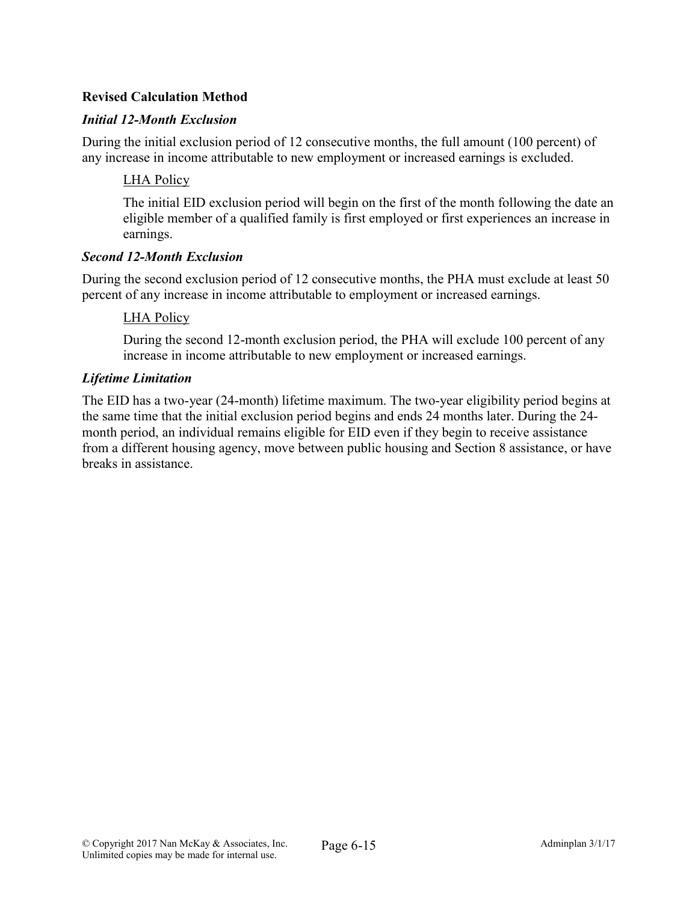# Revised Calculation Method

## *Initial 12-Month Exclusion*

During the initial exclusion period of 12 consecutive months, the full amount (100 percent) of any increase in income attributable to new employment or increased earnings is excluded.

#### LHA Policy

The initial EID exclusion period will begin on the first of the month following the date an eligible member of a qualified family is first employed or first experiences an increase in earnings.

#### *Second 12-Month Exclusion*

During the second exclusion period of 12 consecutive months, the PHA must exclude at least 50 percent of any increase in income attributable to employment or increased earnings.

#### LHA Policy

During the second 12-month exclusion period, the PHA will exclude 100 percent of any increase in income attributable to new employment or increased earnings.

#### *Lifetime Limitation*

The EID has a two-year (24-month) lifetime maximum. The two-year eligibility period begins at the same time that the initial exclusion period begins and ends 24 months later. During the 24 month period, an individual remains eligible for EID even if they begin to receive assistance from a different housing agency, move between public housing and Section 8 assistance, or have breaks in assistance.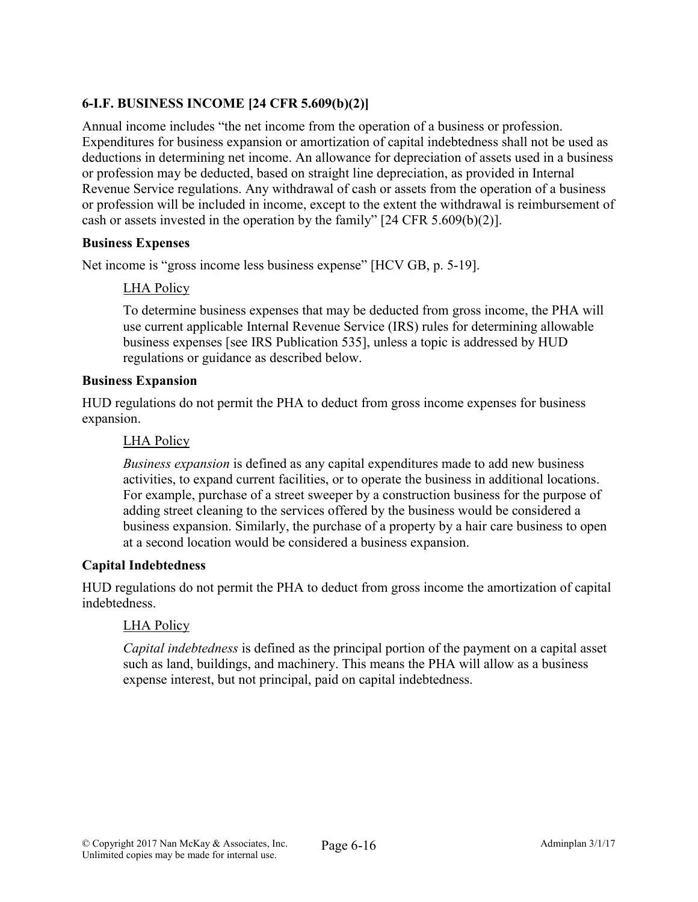# 6-I.F. BUSINESS INCOME [24 CFR 5.609(b)(2)]

Annual income includes "the net income from the operation of a business or profession. Expenditures for business expansion or amortization of capital indebtedness shall not be used as deductions in determining net income. An allowance for depreciation of assets used in a business or profession may be deducted, based on straight line depreciation, as provided in Internal Revenue Service regulations. Any withdrawal of cash or assets from the operation of a business or profession will be included in income, except to the extent the withdrawal is reimbursement of cash or assets invested in the operation by the family" [24 CFR 5.609(b)(2)].

#### Business Expenses

Net income is "gross income less business expense" [HCV GB, p. 5-19].

# LHA Policy

To determine business expenses that may be deducted from gross income, the PHA will use current applicable Internal Revenue Service (IRS) rules for determining allowable business expenses [see IRS Publication 535], unless a topic is addressed by HUD regulations or guidance as described below.

## Business Expansion

HUD regulations do not permit the PHA to deduct from gross income expenses for business expansion.

## LHA Policy

*Business expansion* is defined as any capital expenditures made to add new business activities, to expand current facilities, or to operate the business in additional locations. For example, purchase of a street sweeper by a construction business for the purpose of adding street cleaning to the services offered by the business would be considered a business expansion. Similarly, the purchase of a property by a hair care business to open at a second location would be considered a business expansion.

## Capital Indebtedness

HUD regulations do not permit the PHA to deduct from gross income the amortization of capital indebtedness.

## LHA Policy

*Capital indebtedness* is defined as the principal portion of the payment on a capital asset such as land, buildings, and machinery. This means the PHA will allow as a business expense interest, but not principal, paid on capital indebtedness.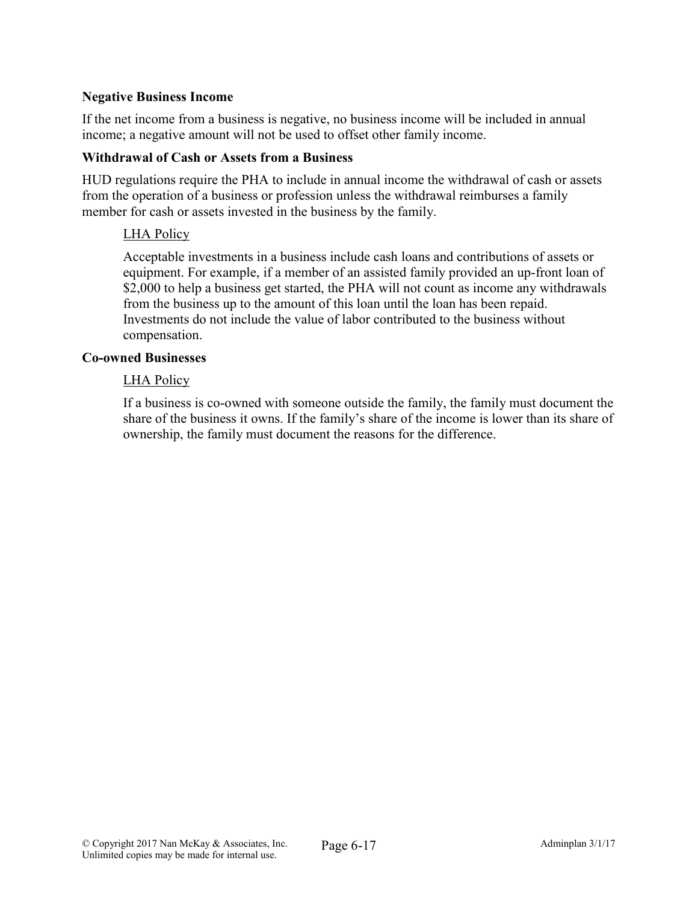#### Negative Business Income

If the net income from a business is negative, no business income will be included in annual income; a negative amount will not be used to offset other family income.

#### Withdrawal of Cash or Assets from a Business

HUD regulations require the PHA to include in annual income the withdrawal of cash or assets from the operation of a business or profession unless the withdrawal reimburses a family member for cash or assets invested in the business by the family.

#### LHA Policy

Acceptable investments in a business include cash loans and contributions of assets or equipment. For example, if a member of an assisted family provided an up-front loan of \$2,000 to help a business get started, the PHA will not count as income any withdrawals from the business up to the amount of this loan until the loan has been repaid. Investments do not include the value of labor contributed to the business without compensation.

#### Co-owned Businesses

#### LHA Policy

If a business is co-owned with someone outside the family, the family must document the share of the business it owns. If the family's share of the income is lower than its share of ownership, the family must document the reasons for the difference.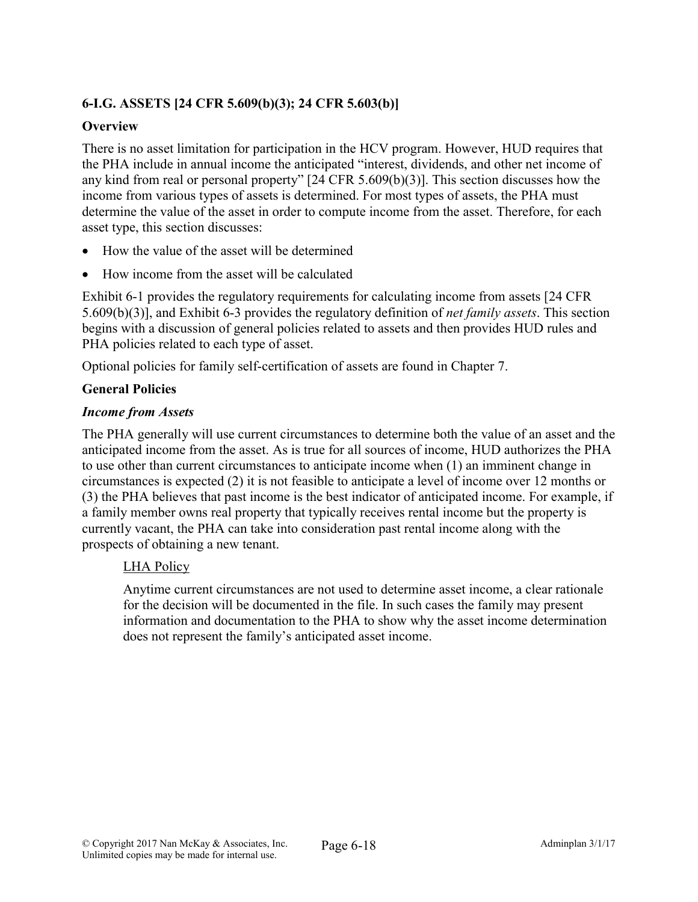# 6-I.G. ASSETS [24 CFR 5.609(b)(3); 24 CFR 5.603(b)]

#### **Overview**

There is no asset limitation for participation in the HCV program. However, HUD requires that the PHA include in annual income the anticipated "interest, dividends, and other net income of any kind from real or personal property" [24 CFR 5.609(b)(3)]. This section discusses how the income from various types of assets is determined. For most types of assets, the PHA must determine the value of the asset in order to compute income from the asset. Therefore, for each asset type, this section discusses:

- How the value of the asset will be determined
- How income from the asset will be calculated

Exhibit 6-1 provides the regulatory requirements for calculating income from assets [24 CFR 5.609(b)(3)], and Exhibit 6-3 provides the regulatory definition of *net family assets*. This section begins with a discussion of general policies related to assets and then provides HUD rules and PHA policies related to each type of asset.

Optional policies for family self-certification of assets are found in Chapter 7.

#### General Policies

#### *Income from Assets*

The PHA generally will use current circumstances to determine both the value of an asset and the anticipated income from the asset. As is true for all sources of income, HUD authorizes the PHA to use other than current circumstances to anticipate income when (1) an imminent change in circumstances is expected (2) it is not feasible to anticipate a level of income over 12 months or (3) the PHA believes that past income is the best indicator of anticipated income. For example, if a family member owns real property that typically receives rental income but the property is currently vacant, the PHA can take into consideration past rental income along with the prospects of obtaining a new tenant.

#### LHA Policy

Anytime current circumstances are not used to determine asset income, a clear rationale for the decision will be documented in the file. In such cases the family may present information and documentation to the PHA to show why the asset income determination does not represent the family's anticipated asset income.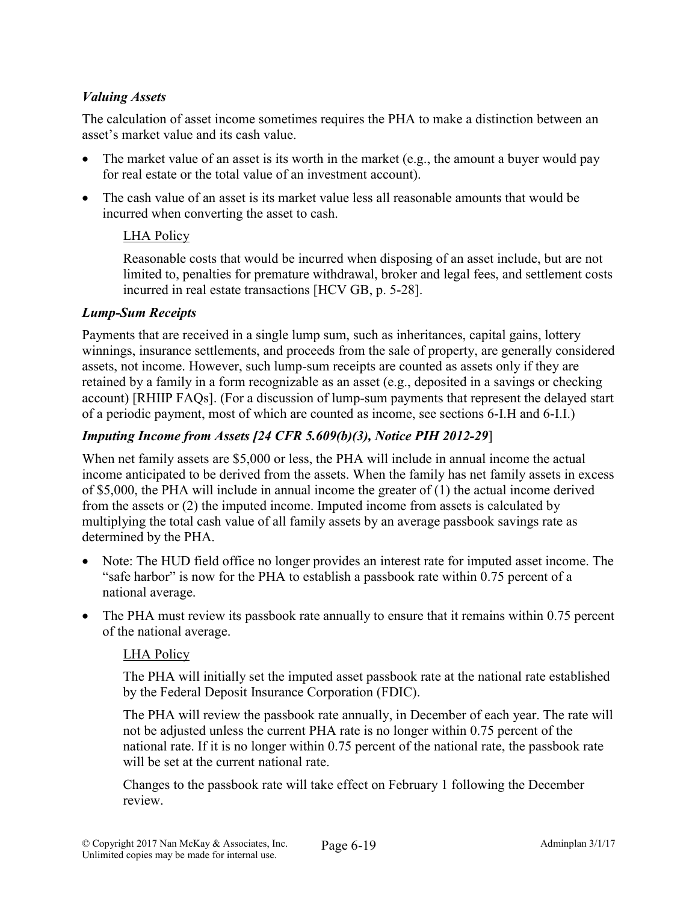# *Valuing Assets*

The calculation of asset income sometimes requires the PHA to make a distinction between an asset's market value and its cash value.

- The market value of an asset is its worth in the market (e.g., the amount a buyer would pay for real estate or the total value of an investment account).
- The cash value of an asset is its market value less all reasonable amounts that would be incurred when converting the asset to cash.

# LHA Policy

Reasonable costs that would be incurred when disposing of an asset include, but are not limited to, penalties for premature withdrawal, broker and legal fees, and settlement costs incurred in real estate transactions [HCV GB, p. 5-28].

## *Lump-Sum Receipts*

Payments that are received in a single lump sum, such as inheritances, capital gains, lottery winnings, insurance settlements, and proceeds from the sale of property, are generally considered assets, not income. However, such lump-sum receipts are counted as assets only if they are retained by a family in a form recognizable as an asset (e.g., deposited in a savings or checking account) [RHIIP FAQs]. (For a discussion of lump-sum payments that represent the delayed start of a periodic payment, most of which are counted as income, see sections 6-I.H and 6-I.I.)

# *Imputing Income from Assets [24 CFR 5.609(b)(3), Notice PIH 2012-29*]

When net family assets are \$5,000 or less, the PHA will include in annual income the actual income anticipated to be derived from the assets. When the family has net family assets in excess of \$5,000, the PHA will include in annual income the greater of (1) the actual income derived from the assets or (2) the imputed income. Imputed income from assets is calculated by multiplying the total cash value of all family assets by an average passbook savings rate as determined by the PHA.

- Note: The HUD field office no longer provides an interest rate for imputed asset income. The "safe harbor" is now for the PHA to establish a passbook rate within 0.75 percent of a national average.
- The PHA must review its passbook rate annually to ensure that it remains within 0.75 percent of the national average.

## LHA Policy

The PHA will initially set the imputed asset passbook rate at the national rate established by the Federal Deposit Insurance Corporation (FDIC).

The PHA will review the passbook rate annually, in December of each year. The rate will not be adjusted unless the current PHA rate is no longer within 0.75 percent of the national rate. If it is no longer within 0.75 percent of the national rate, the passbook rate will be set at the current national rate.

Changes to the passbook rate will take effect on February 1 following the December review.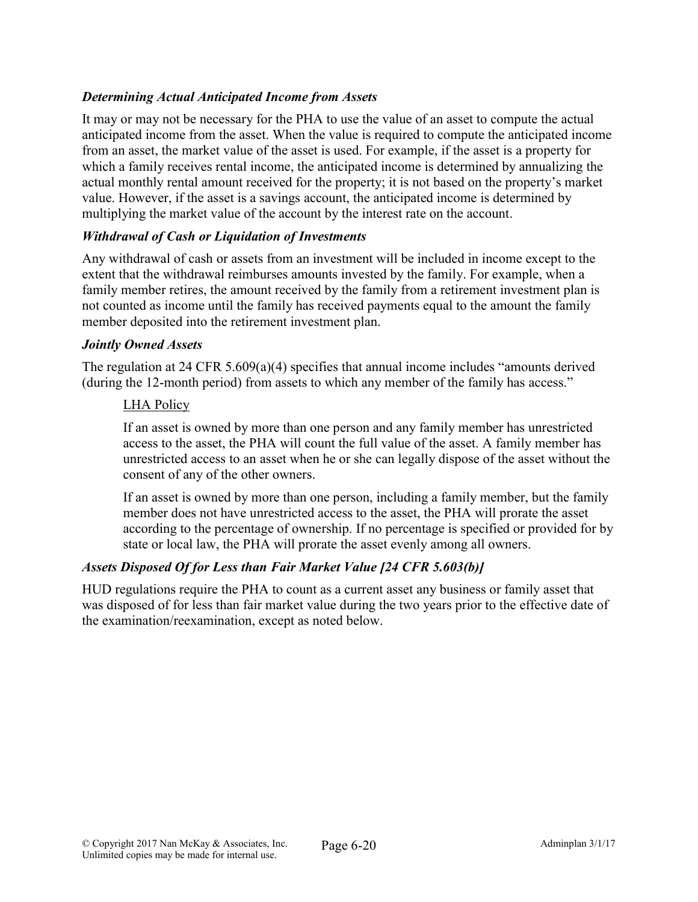# *Determining Actual Anticipated Income from Assets*

It may or may not be necessary for the PHA to use the value of an asset to compute the actual anticipated income from the asset. When the value is required to compute the anticipated income from an asset, the market value of the asset is used. For example, if the asset is a property for which a family receives rental income, the anticipated income is determined by annualizing the actual monthly rental amount received for the property; it is not based on the property's market value. However, if the asset is a savings account, the anticipated income is determined by multiplying the market value of the account by the interest rate on the account.

#### *Withdrawal of Cash or Liquidation of Investments*

Any withdrawal of cash or assets from an investment will be included in income except to the extent that the withdrawal reimburses amounts invested by the family. For example, when a family member retires, the amount received by the family from a retirement investment plan is not counted as income until the family has received payments equal to the amount the family member deposited into the retirement investment plan.

#### *Jointly Owned Assets*

The regulation at 24 CFR 5.609(a)(4) specifies that annual income includes "amounts derived (during the 12-month period) from assets to which any member of the family has access."

#### LHA Policy

If an asset is owned by more than one person and any family member has unrestricted access to the asset, the PHA will count the full value of the asset. A family member has unrestricted access to an asset when he or she can legally dispose of the asset without the consent of any of the other owners.

If an asset is owned by more than one person, including a family member, but the family member does not have unrestricted access to the asset, the PHA will prorate the asset according to the percentage of ownership. If no percentage is specified or provided for by state or local law, the PHA will prorate the asset evenly among all owners.

## *Assets Disposed Of for Less than Fair Market Value [24 CFR 5.603(b)]*

HUD regulations require the PHA to count as a current asset any business or family asset that was disposed of for less than fair market value during the two years prior to the effective date of the examination/reexamination, except as noted below.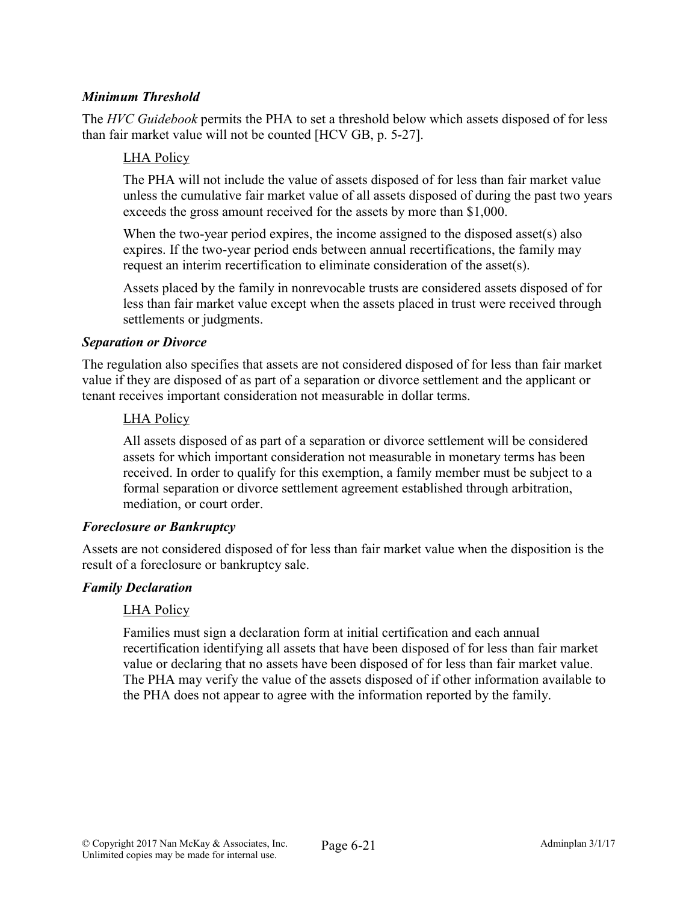# *Minimum Threshold*

The *HVC Guidebook* permits the PHA to set a threshold below which assets disposed of for less than fair market value will not be counted [HCV GB, p. 5-27].

#### LHA Policy

The PHA will not include the value of assets disposed of for less than fair market value unless the cumulative fair market value of all assets disposed of during the past two years exceeds the gross amount received for the assets by more than \$1,000.

When the two-year period expires, the income assigned to the disposed asset(s) also expires. If the two-year period ends between annual recertifications, the family may request an interim recertification to eliminate consideration of the asset(s).

Assets placed by the family in nonrevocable trusts are considered assets disposed of for less than fair market value except when the assets placed in trust were received through settlements or judgments.

#### *Separation or Divorce*

The regulation also specifies that assets are not considered disposed of for less than fair market value if they are disposed of as part of a separation or divorce settlement and the applicant or tenant receives important consideration not measurable in dollar terms.

#### LHA Policy

All assets disposed of as part of a separation or divorce settlement will be considered assets for which important consideration not measurable in monetary terms has been received. In order to qualify for this exemption, a family member must be subject to a formal separation or divorce settlement agreement established through arbitration, mediation, or court order.

#### *Foreclosure or Bankruptcy*

Assets are not considered disposed of for less than fair market value when the disposition is the result of a foreclosure or bankruptcy sale.

## *Family Declaration*

#### LHA Policy

Families must sign a declaration form at initial certification and each annual recertification identifying all assets that have been disposed of for less than fair market value or declaring that no assets have been disposed of for less than fair market value. The PHA may verify the value of the assets disposed of if other information available to the PHA does not appear to agree with the information reported by the family.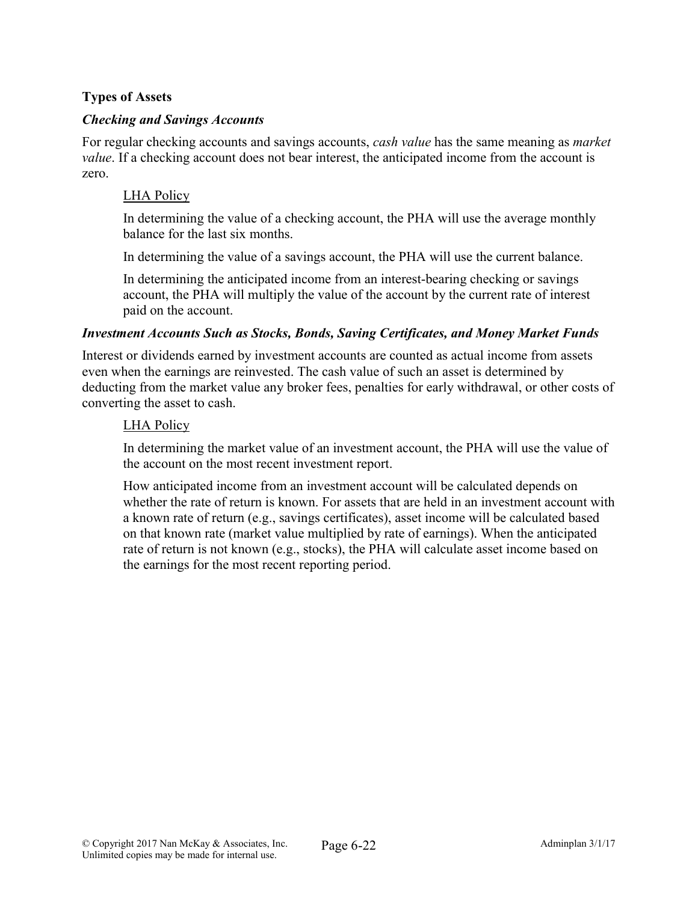# Types of Assets

#### *Checking and Savings Accounts*

For regular checking accounts and savings accounts, *cash value* has the same meaning as *market value*. If a checking account does not bear interest, the anticipated income from the account is zero.

#### LHA Policy

In determining the value of a checking account, the PHA will use the average monthly balance for the last six months.

In determining the value of a savings account, the PHA will use the current balance.

In determining the anticipated income from an interest-bearing checking or savings account, the PHA will multiply the value of the account by the current rate of interest paid on the account.

#### *Investment Accounts Such as Stocks, Bonds, Saving Certificates, and Money Market Funds*

Interest or dividends earned by investment accounts are counted as actual income from assets even when the earnings are reinvested. The cash value of such an asset is determined by deducting from the market value any broker fees, penalties for early withdrawal, or other costs of converting the asset to cash.

#### LHA Policy

In determining the market value of an investment account, the PHA will use the value of the account on the most recent investment report.

How anticipated income from an investment account will be calculated depends on whether the rate of return is known. For assets that are held in an investment account with a known rate of return (e.g., savings certificates), asset income will be calculated based on that known rate (market value multiplied by rate of earnings). When the anticipated rate of return is not known (e.g., stocks), the PHA will calculate asset income based on the earnings for the most recent reporting period.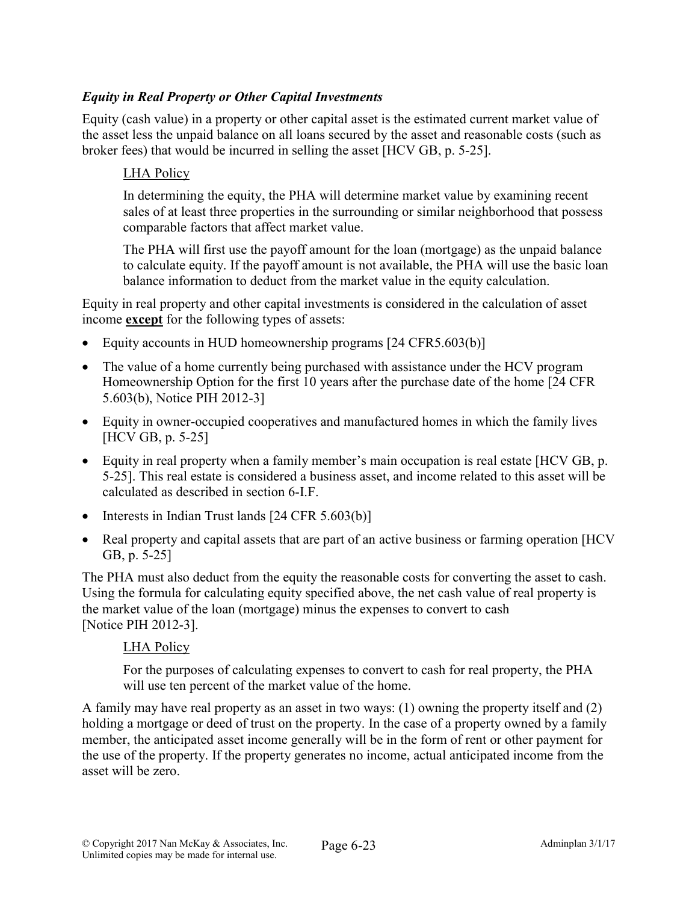# *Equity in Real Property or Other Capital Investments*

Equity (cash value) in a property or other capital asset is the estimated current market value of the asset less the unpaid balance on all loans secured by the asset and reasonable costs (such as broker fees) that would be incurred in selling the asset [HCV GB, p. 5-25].

## LHA Policy

In determining the equity, the PHA will determine market value by examining recent sales of at least three properties in the surrounding or similar neighborhood that possess comparable factors that affect market value.

The PHA will first use the payoff amount for the loan (mortgage) as the unpaid balance to calculate equity. If the payoff amount is not available, the PHA will use the basic loan balance information to deduct from the market value in the equity calculation.

Equity in real property and other capital investments is considered in the calculation of asset income except for the following types of assets:

- Equity accounts in HUD homeownership programs [24 CFR5.603(b)]
- The value of a home currently being purchased with assistance under the HCV program Homeownership Option for the first 10 years after the purchase date of the home [24 CFR 5.603(b), Notice PIH 2012-3]
- Equity in owner-occupied cooperatives and manufactured homes in which the family lives [HCV GB, p. 5-25]
- Equity in real property when a family member's main occupation is real estate [HCV GB, p. 5-25]. This real estate is considered a business asset, and income related to this asset will be calculated as described in section 6-I.F.
- $\bullet$  Interests in Indian Trust lands [24 CFR 5.603(b)]
- Real property and capital assets that are part of an active business or farming operation [HCV] GB, p. 5-25]

The PHA must also deduct from the equity the reasonable costs for converting the asset to cash. Using the formula for calculating equity specified above, the net cash value of real property is the market value of the loan (mortgage) minus the expenses to convert to cash [Notice PIH 2012-3].

## LHA Policy

For the purposes of calculating expenses to convert to cash for real property, the PHA will use ten percent of the market value of the home.

A family may have real property as an asset in two ways: (1) owning the property itself and (2) holding a mortgage or deed of trust on the property. In the case of a property owned by a family member, the anticipated asset income generally will be in the form of rent or other payment for the use of the property. If the property generates no income, actual anticipated income from the asset will be zero.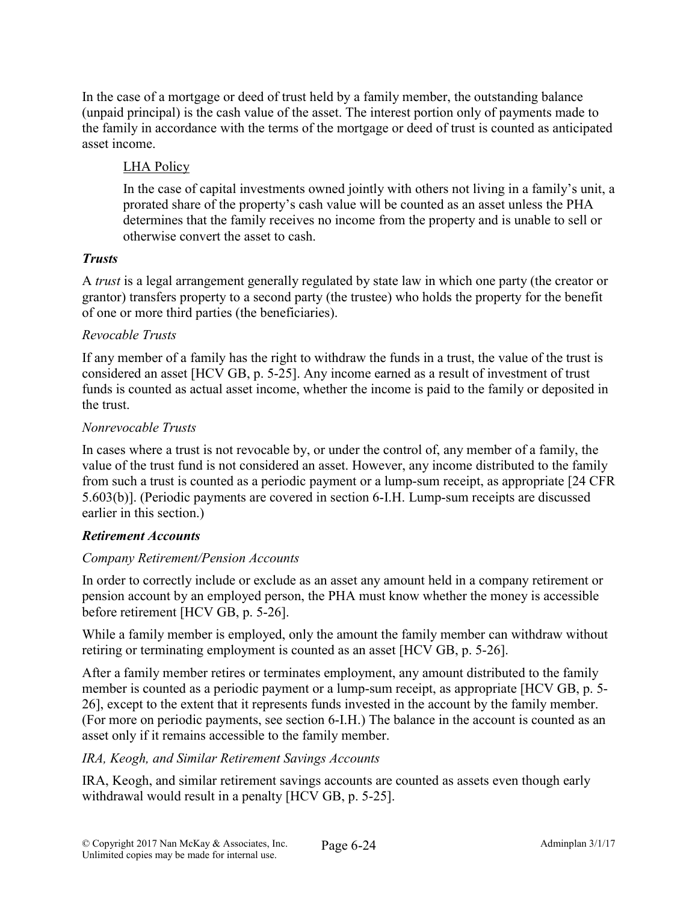In the case of a mortgage or deed of trust held by a family member, the outstanding balance (unpaid principal) is the cash value of the asset. The interest portion only of payments made to the family in accordance with the terms of the mortgage or deed of trust is counted as anticipated asset income.

# LHA Policy

In the case of capital investments owned jointly with others not living in a family's unit, a prorated share of the property's cash value will be counted as an asset unless the PHA determines that the family receives no income from the property and is unable to sell or otherwise convert the asset to cash.

## *Trusts*

A *trust* is a legal arrangement generally regulated by state law in which one party (the creator or grantor) transfers property to a second party (the trustee) who holds the property for the benefit of one or more third parties (the beneficiaries).

#### *Revocable Trusts*

If any member of a family has the right to withdraw the funds in a trust, the value of the trust is considered an asset [HCV GB, p. 5-25]. Any income earned as a result of investment of trust funds is counted as actual asset income, whether the income is paid to the family or deposited in the trust.

#### *Nonrevocable Trusts*

In cases where a trust is not revocable by, or under the control of, any member of a family, the value of the trust fund is not considered an asset. However, any income distributed to the family from such a trust is counted as a periodic payment or a lump-sum receipt, as appropriate [24 CFR 5.603(b)]. (Periodic payments are covered in section 6-I.H. Lump-sum receipts are discussed earlier in this section.)

## *Retirement Accounts*

## *Company Retirement/Pension Accounts*

In order to correctly include or exclude as an asset any amount held in a company retirement or pension account by an employed person, the PHA must know whether the money is accessible before retirement [HCV GB, p. 5-26].

While a family member is employed, only the amount the family member can withdraw without retiring or terminating employment is counted as an asset [HCV GB, p. 5-26].

After a family member retires or terminates employment, any amount distributed to the family member is counted as a periodic payment or a lump-sum receipt, as appropriate [HCV GB, p. 5- 26], except to the extent that it represents funds invested in the account by the family member. (For more on periodic payments, see section 6-I.H.) The balance in the account is counted as an asset only if it remains accessible to the family member.

## *IRA, Keogh, and Similar Retirement Savings Accounts*

IRA, Keogh, and similar retirement savings accounts are counted as assets even though early withdrawal would result in a penalty [HCV GB, p. 5-25].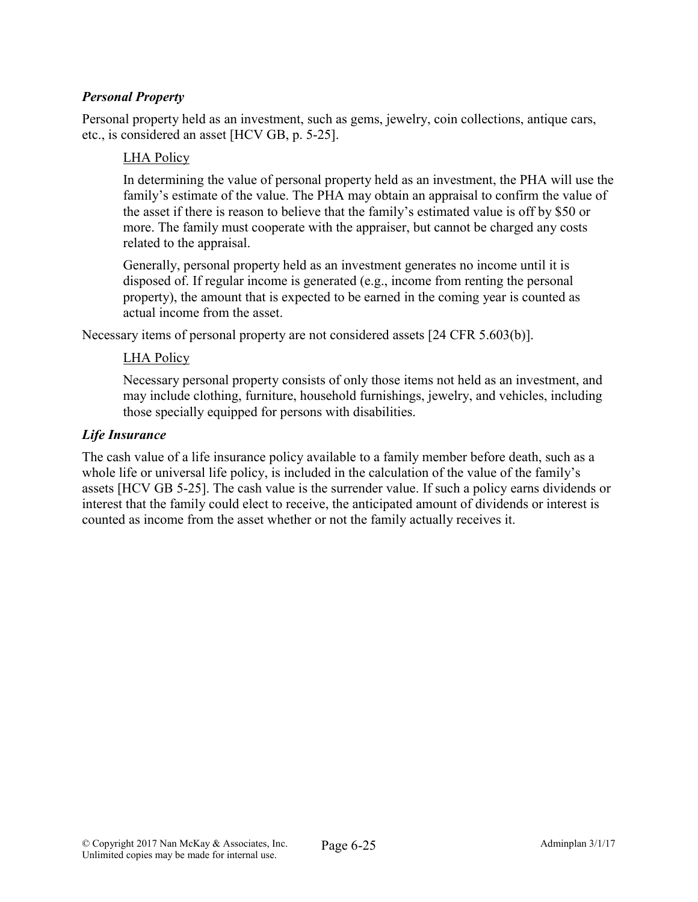# *Personal Property*

Personal property held as an investment, such as gems, jewelry, coin collections, antique cars, etc., is considered an asset [HCV GB, p. 5-25].

#### LHA Policy

In determining the value of personal property held as an investment, the PHA will use the family's estimate of the value. The PHA may obtain an appraisal to confirm the value of the asset if there is reason to believe that the family's estimated value is off by \$50 or more. The family must cooperate with the appraiser, but cannot be charged any costs related to the appraisal.

Generally, personal property held as an investment generates no income until it is disposed of. If regular income is generated (e.g., income from renting the personal property), the amount that is expected to be earned in the coming year is counted as actual income from the asset.

Necessary items of personal property are not considered assets [24 CFR 5.603(b)].

#### LHA Policy

Necessary personal property consists of only those items not held as an investment, and may include clothing, furniture, household furnishings, jewelry, and vehicles, including those specially equipped for persons with disabilities.

#### *Life Insurance*

The cash value of a life insurance policy available to a family member before death, such as a whole life or universal life policy, is included in the calculation of the value of the family's assets [HCV GB 5-25]. The cash value is the surrender value. If such a policy earns dividends or interest that the family could elect to receive, the anticipated amount of dividends or interest is counted as income from the asset whether or not the family actually receives it.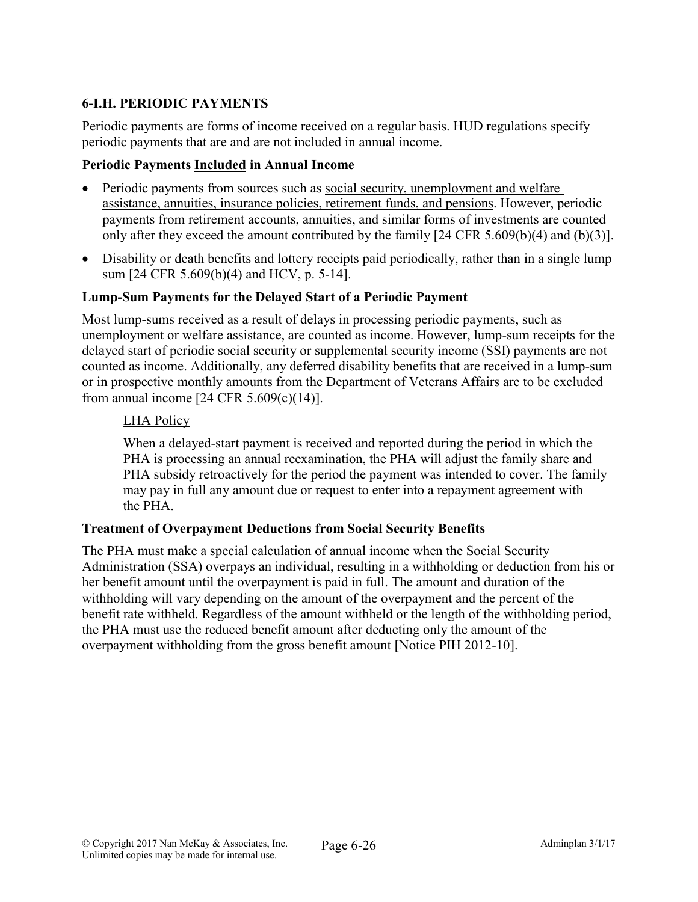# 6-I.H. PERIODIC PAYMENTS

Periodic payments are forms of income received on a regular basis. HUD regulations specify periodic payments that are and are not included in annual income.

## Periodic Payments Included in Annual Income

- Periodic payments from sources such as social security, unemployment and welfare assistance, annuities, insurance policies, retirement funds, and pensions. However, periodic payments from retirement accounts, annuities, and similar forms of investments are counted only after they exceed the amount contributed by the family [24 CFR 5.609(b)(4) and (b)(3)].
- Disability or death benefits and lottery receipts paid periodically, rather than in a single lump sum [24 CFR 5.609(b)(4) and HCV, p. 5-14].

# Lump-Sum Payments for the Delayed Start of a Periodic Payment

Most lump-sums received as a result of delays in processing periodic payments, such as unemployment or welfare assistance, are counted as income. However, lump-sum receipts for the delayed start of periodic social security or supplemental security income (SSI) payments are not counted as income. Additionally, any deferred disability benefits that are received in a lump-sum or in prospective monthly amounts from the Department of Veterans Affairs are to be excluded from annual income [24 CFR 5.609(c)(14)].

## LHA Policy

When a delayed-start payment is received and reported during the period in which the PHA is processing an annual reexamination, the PHA will adjust the family share and PHA subsidy retroactively for the period the payment was intended to cover. The family may pay in full any amount due or request to enter into a repayment agreement with the PHA.

## Treatment of Overpayment Deductions from Social Security Benefits

The PHA must make a special calculation of annual income when the Social Security Administration (SSA) overpays an individual, resulting in a withholding or deduction from his or her benefit amount until the overpayment is paid in full. The amount and duration of the withholding will vary depending on the amount of the overpayment and the percent of the benefit rate withheld. Regardless of the amount withheld or the length of the withholding period, the PHA must use the reduced benefit amount after deducting only the amount of the overpayment withholding from the gross benefit amount [Notice PIH 2012-10].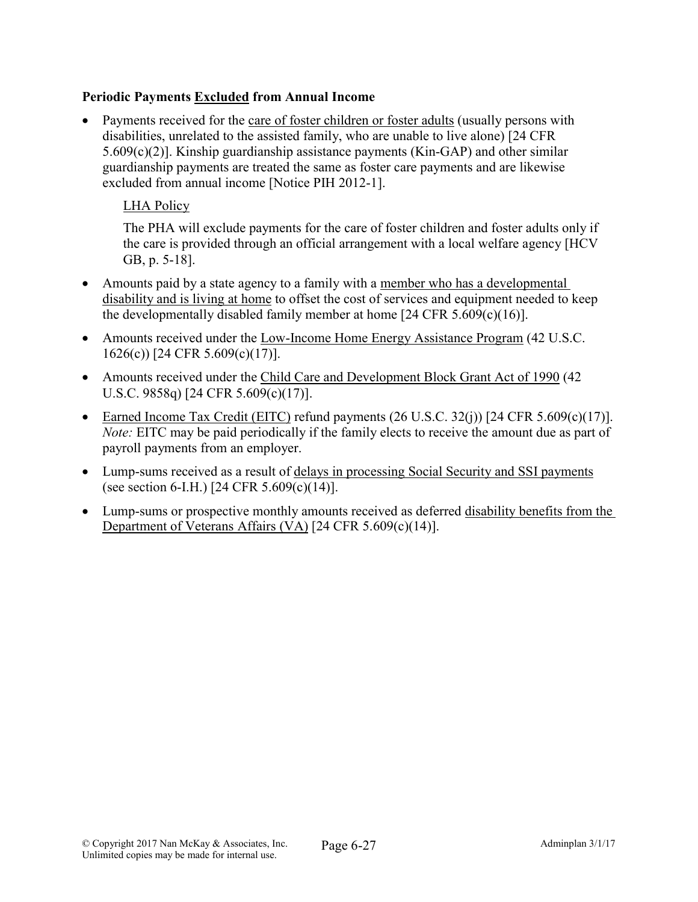# Periodic Payments Excluded from Annual Income

 Payments received for the care of foster children or foster adults (usually persons with disabilities, unrelated to the assisted family, who are unable to live alone) [24 CFR 5.609(c)(2)]. Kinship guardianship assistance payments (Kin-GAP) and other similar guardianship payments are treated the same as foster care payments and are likewise excluded from annual income [Notice PIH 2012-1].

## LHA Policy

The PHA will exclude payments for the care of foster children and foster adults only if the care is provided through an official arrangement with a local welfare agency [HCV GB, p. 5-18].

- Amounts paid by a state agency to a family with a member who has a developmental disability and is living at home to offset the cost of services and equipment needed to keep the developmentally disabled family member at home [24 CFR 5.609(c)(16)].
- Amounts received under the Low-Income Home Energy Assistance Program (42 U.S.C. 1626(c)) [24 CFR 5.609(c)(17)].
- Amounts received under the Child Care and Development Block Grant Act of 1990 (42) U.S.C. 9858q) [24 CFR 5.609(c)(17)].
- Earned Income Tax Credit (EITC) refund payments  $(26 \text{ U.S.C. } 32(i))$  [24 CFR 5.609(c)(17)]. *Note:* EITC may be paid periodically if the family elects to receive the amount due as part of payroll payments from an employer.
- Lump-sums received as a result of delays in processing Social Security and SSI payments (see section 6-I.H.) [24 CFR  $5.609(c)(14)$ ].
- Lump-sums or prospective monthly amounts received as deferred disability benefits from the Department of Veterans Affairs (VA) [24 CFR 5.609(c)(14)].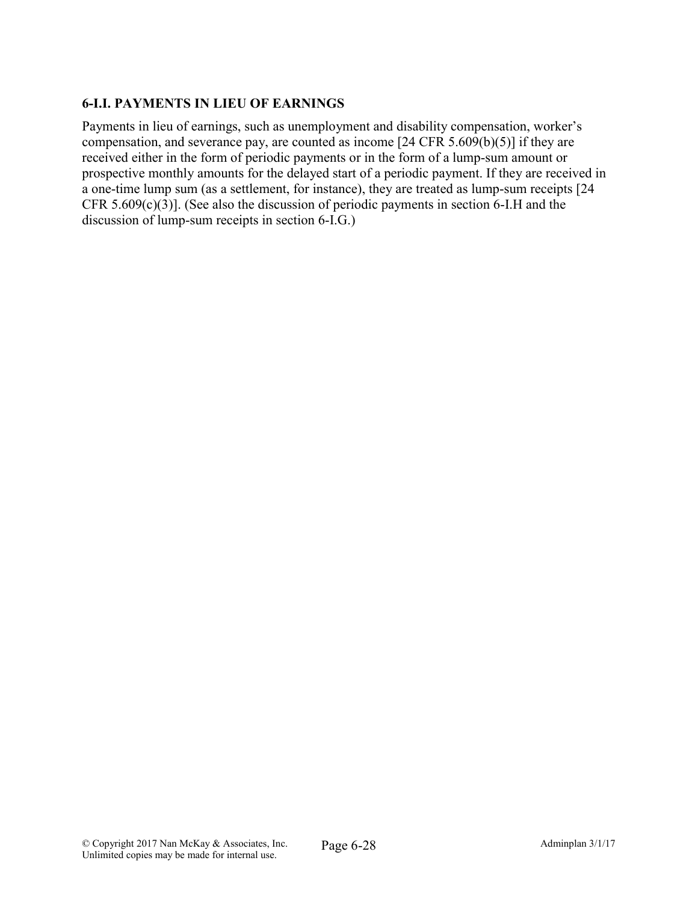# 6-I.I. PAYMENTS IN LIEU OF EARNINGS

Payments in lieu of earnings, such as unemployment and disability compensation, worker's compensation, and severance pay, are counted as income [24 CFR 5.609(b)(5)] if they are received either in the form of periodic payments or in the form of a lump-sum amount or prospective monthly amounts for the delayed start of a periodic payment. If they are received in a one-time lump sum (as a settlement, for instance), they are treated as lump-sum receipts [24 CFR 5.609(c)(3)]. (See also the discussion of periodic payments in section 6-I.H and the discussion of lump-sum receipts in section 6-I.G.)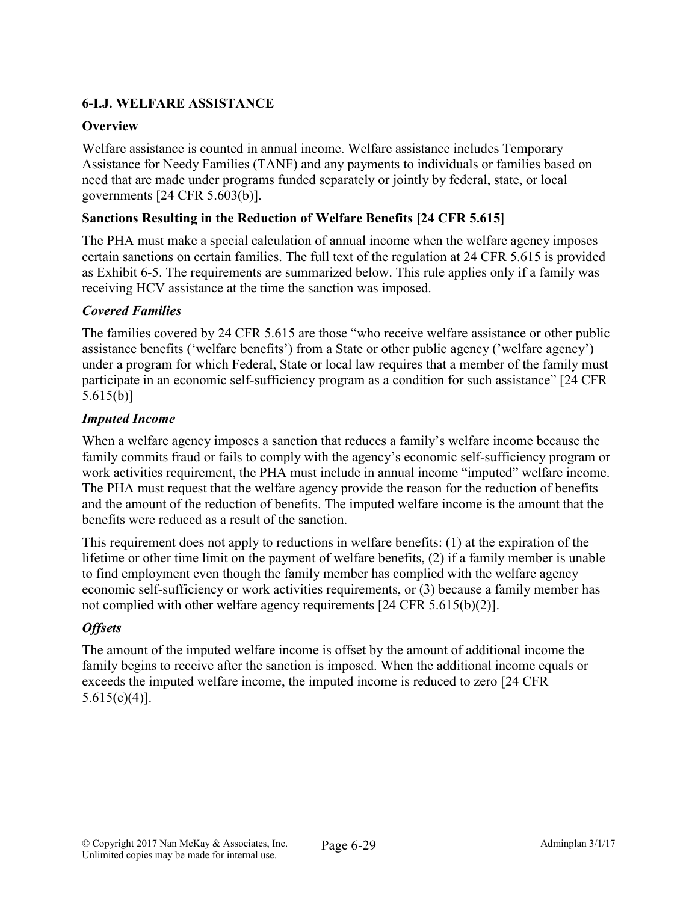# 6-I.J. WELFARE ASSISTANCE

# **Overview**

Welfare assistance is counted in annual income. Welfare assistance includes Temporary Assistance for Needy Families (TANF) and any payments to individuals or families based on need that are made under programs funded separately or jointly by federal, state, or local governments [24 CFR 5.603(b)].

## Sanctions Resulting in the Reduction of Welfare Benefits [24 CFR 5.615]

The PHA must make a special calculation of annual income when the welfare agency imposes certain sanctions on certain families. The full text of the regulation at 24 CFR 5.615 is provided as Exhibit 6-5. The requirements are summarized below. This rule applies only if a family was receiving HCV assistance at the time the sanction was imposed.

## *Covered Families*

The families covered by 24 CFR 5.615 are those "who receive welfare assistance or other public assistance benefits ('welfare benefits') from a State or other public agency ('welfare agency') under a program for which Federal, State or local law requires that a member of the family must participate in an economic self-sufficiency program as a condition for such assistance" [24 CFR 5.615(b)]

## *Imputed Income*

When a welfare agency imposes a sanction that reduces a family's welfare income because the family commits fraud or fails to comply with the agency's economic self-sufficiency program or work activities requirement, the PHA must include in annual income "imputed" welfare income. The PHA must request that the welfare agency provide the reason for the reduction of benefits and the amount of the reduction of benefits. The imputed welfare income is the amount that the benefits were reduced as a result of the sanction.

This requirement does not apply to reductions in welfare benefits: (1) at the expiration of the lifetime or other time limit on the payment of welfare benefits, (2) if a family member is unable to find employment even though the family member has complied with the welfare agency economic self-sufficiency or work activities requirements, or (3) because a family member has not complied with other welfare agency requirements [24 CFR 5.615(b)(2)].

# *Offsets*

The amount of the imputed welfare income is offset by the amount of additional income the family begins to receive after the sanction is imposed. When the additional income equals or exceeds the imputed welfare income, the imputed income is reduced to zero [24 CFR  $5.615(c)(4)$ ].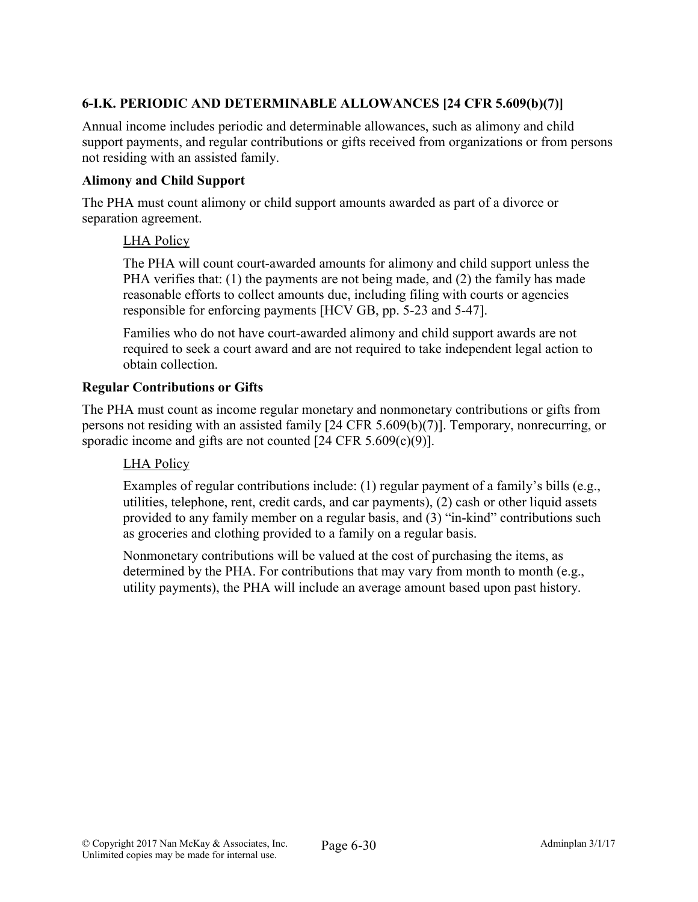# 6-I.K. PERIODIC AND DETERMINABLE ALLOWANCES [24 CFR 5.609(b)(7)]

Annual income includes periodic and determinable allowances, such as alimony and child support payments, and regular contributions or gifts received from organizations or from persons not residing with an assisted family.

## Alimony and Child Support

The PHA must count alimony or child support amounts awarded as part of a divorce or separation agreement.

## LHA Policy

The PHA will count court-awarded amounts for alimony and child support unless the PHA verifies that: (1) the payments are not being made, and (2) the family has made reasonable efforts to collect amounts due, including filing with courts or agencies responsible for enforcing payments [HCV GB, pp. 5-23 and 5-47].

Families who do not have court-awarded alimony and child support awards are not required to seek a court award and are not required to take independent legal action to obtain collection.

## Regular Contributions or Gifts

The PHA must count as income regular monetary and nonmonetary contributions or gifts from persons not residing with an assisted family [24 CFR 5.609(b)(7)]. Temporary, nonrecurring, or sporadic income and gifts are not counted [24 CFR 5.609(c)(9)].

## LHA Policy

Examples of regular contributions include: (1) regular payment of a family's bills (e.g., utilities, telephone, rent, credit cards, and car payments), (2) cash or other liquid assets provided to any family member on a regular basis, and (3) "in-kind" contributions such as groceries and clothing provided to a family on a regular basis.

Nonmonetary contributions will be valued at the cost of purchasing the items, as determined by the PHA. For contributions that may vary from month to month (e.g., utility payments), the PHA will include an average amount based upon past history.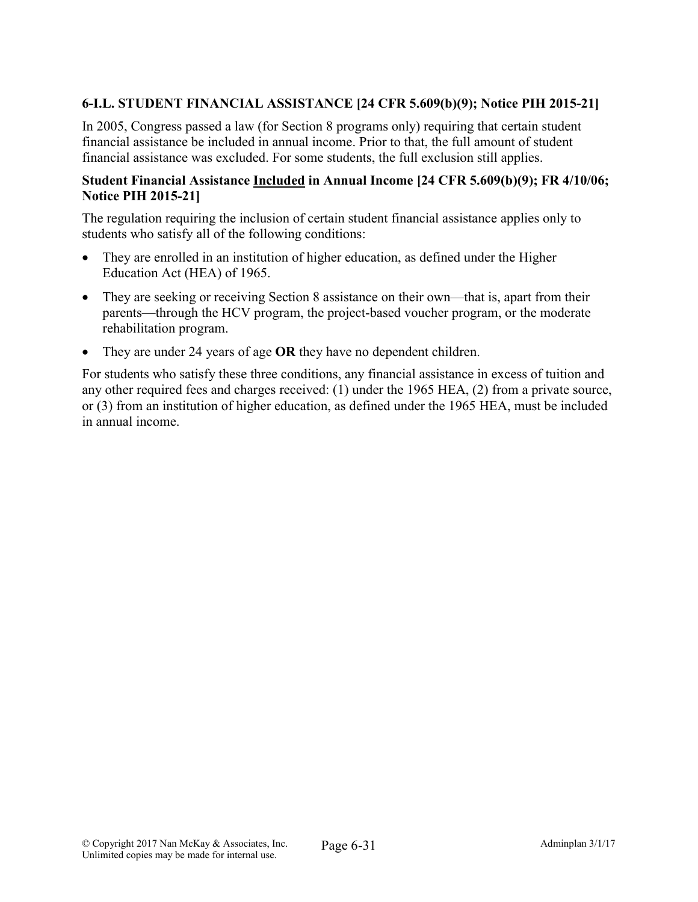# 6-I.L. STUDENT FINANCIAL ASSISTANCE [24 CFR 5.609(b)(9); Notice PIH 2015-21]

In 2005, Congress passed a law (for Section 8 programs only) requiring that certain student financial assistance be included in annual income. Prior to that, the full amount of student financial assistance was excluded. For some students, the full exclusion still applies.

#### Student Financial Assistance Included in Annual Income [24 CFR 5.609(b)(9); FR 4/10/06; Notice PIH 2015-21]

The regulation requiring the inclusion of certain student financial assistance applies only to students who satisfy all of the following conditions:

- They are enrolled in an institution of higher education, as defined under the Higher Education Act (HEA) of 1965.
- They are seeking or receiving Section 8 assistance on their own—that is, apart from their parents—through the HCV program, the project-based voucher program, or the moderate rehabilitation program.
- They are under 24 years of age OR they have no dependent children.

For students who satisfy these three conditions, any financial assistance in excess of tuition and any other required fees and charges received: (1) under the 1965 HEA, (2) from a private source, or (3) from an institution of higher education, as defined under the 1965 HEA, must be included in annual income.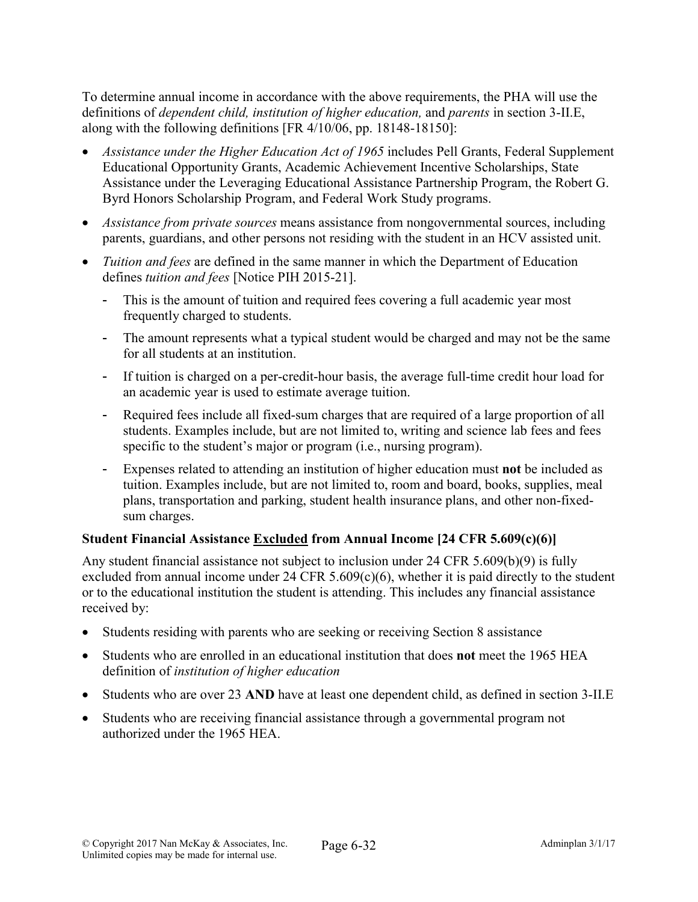To determine annual income in accordance with the above requirements, the PHA will use the definitions of *dependent child, institution of higher education,* and *parents* in section 3-II.E, along with the following definitions [FR 4/10/06, pp. 18148-18150]:

- *Assistance under the Higher Education Act of 1965* includes Pell Grants, Federal Supplement Educational Opportunity Grants, Academic Achievement Incentive Scholarships, State Assistance under the Leveraging Educational Assistance Partnership Program, the Robert G. Byrd Honors Scholarship Program, and Federal Work Study programs.
- *Assistance from private sources* means assistance from nongovernmental sources, including parents, guardians, and other persons not residing with the student in an HCV assisted unit.
- *Tuition and fees* are defined in the same manner in which the Department of Education defines *tuition and fees* [Notice PIH 2015-21].
	- This is the amount of tuition and required fees covering a full academic year most frequently charged to students.
	- The amount represents what a typical student would be charged and may not be the same for all students at an institution.
	- If tuition is charged on a per-credit-hour basis, the average full-time credit hour load for an academic year is used to estimate average tuition.
	- Required fees include all fixed-sum charges that are required of a large proportion of all students. Examples include, but are not limited to, writing and science lab fees and fees specific to the student's major or program (i.e., nursing program).
	- Expenses related to attending an institution of higher education must not be included as tuition. Examples include, but are not limited to, room and board, books, supplies, meal plans, transportation and parking, student health insurance plans, and other non-fixedsum charges.

# Student Financial Assistance Excluded from Annual Income [24 CFR 5.609(c)(6)]

Any student financial assistance not subject to inclusion under 24 CFR 5.609(b)(9) is fully excluded from annual income under 24 CFR  $5.609(c)(6)$ , whether it is paid directly to the student or to the educational institution the student is attending. This includes any financial assistance received by:

- Students residing with parents who are seeking or receiving Section 8 assistance
- Students who are enrolled in an educational institution that does not meet the 1965 HEA definition of *institution of higher education*
- Students who are over 23 AND have at least one dependent child, as defined in section 3-II.E
- Students who are receiving financial assistance through a governmental program not authorized under the 1965 HEA.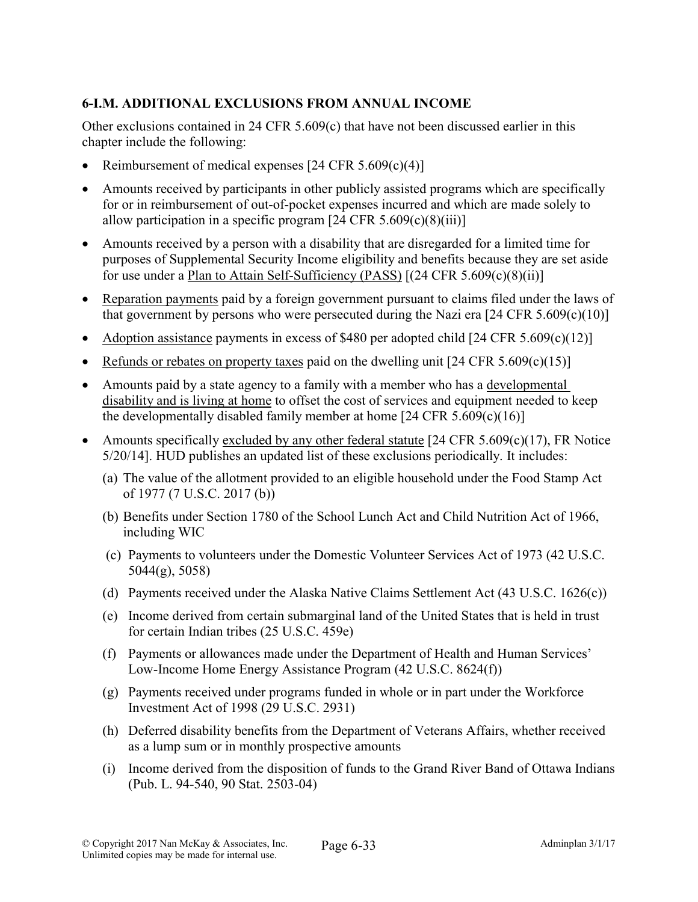# 6-I.M. ADDITIONAL EXCLUSIONS FROM ANNUAL INCOME

Other exclusions contained in 24 CFR 5.609(c) that have not been discussed earlier in this chapter include the following:

- Reimbursement of medical expenses  $[24 \text{ CFR } 5.609(c)(4)]$
- Amounts received by participants in other publicly assisted programs which are specifically for or in reimbursement of out-of-pocket expenses incurred and which are made solely to allow participation in a specific program  $[24 \text{ CFR } 5.609(c)(8)(iii)]$
- Amounts received by a person with a disability that are disregarded for a limited time for purposes of Supplemental Security Income eligibility and benefits because they are set aside for use under a Plan to Attain Self-Sufficiency (PASS) [(24 CFR 5.609(c)(8)(ii)]
- Reparation payments paid by a foreign government pursuant to claims filed under the laws of that government by persons who were persecuted during the Nazi era  $[24 \text{ CFR } 5.609(c)(10)]$
- Adoption assistance payments in excess of \$480 per adopted child  $[24 \text{ CFR } 5.609(c)(12)]$
- Refunds or rebates on property taxes paid on the dwelling unit  $[24 \text{ CFR } 5.609(c)(15)]$
- Amounts paid by a state agency to a family with a member who has a developmental disability and is living at home to offset the cost of services and equipment needed to keep the developmentally disabled family member at home  $[24 \text{ CFR } 5.609(c)(16)]$
- Amounts specifically excluded by any other federal statute  $[24 \text{ CFR } 5.609 \text{ (c)}(17)$ , FR Notice 5/20/14]. HUD publishes an updated list of these exclusions periodically. It includes:
	- (a) The value of the allotment provided to an eligible household under the Food Stamp Act of 1977 (7 U.S.C. 2017 (b))
	- (b) Benefits under Section 1780 of the School Lunch Act and Child Nutrition Act of 1966, including WIC
	- (c) Payments to volunteers under the Domestic Volunteer Services Act of 1973 (42 U.S.C. 5044(g), 5058)
	- (d) Payments received under the Alaska Native Claims Settlement Act (43 U.S.C. 1626(c))
	- (e) Income derived from certain submarginal land of the United States that is held in trust for certain Indian tribes (25 U.S.C. 459e)
	- (f) Payments or allowances made under the Department of Health and Human Services' Low-Income Home Energy Assistance Program (42 U.S.C. 8624(f))
	- (g) Payments received under programs funded in whole or in part under the Workforce Investment Act of 1998 (29 U.S.C. 2931)
	- (h) Deferred disability benefits from the Department of Veterans Affairs, whether received as a lump sum or in monthly prospective amounts
	- (i) Income derived from the disposition of funds to the Grand River Band of Ottawa Indians (Pub. L. 94-540, 90 Stat. 2503-04)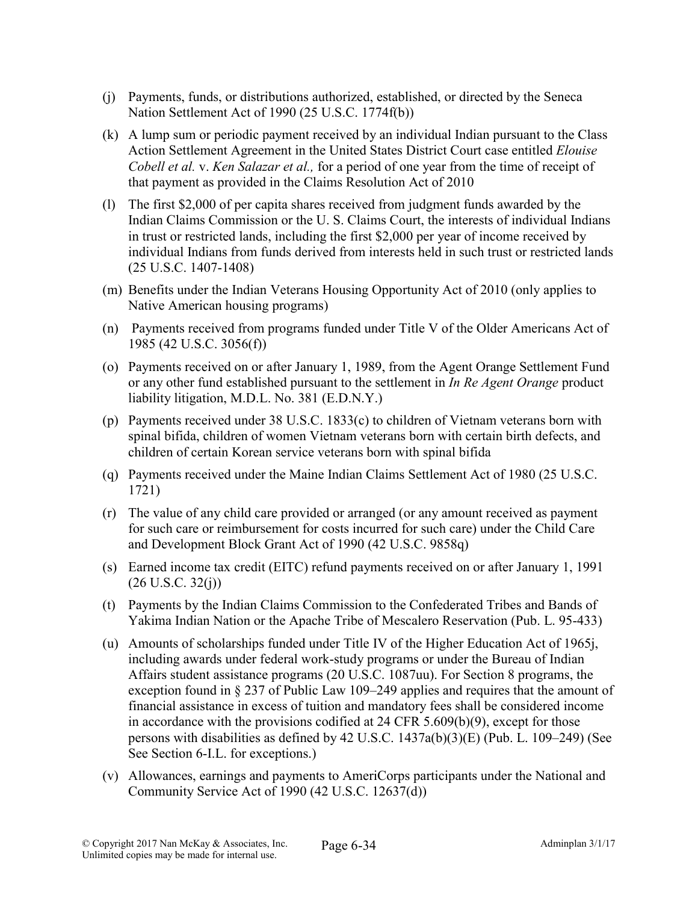- (j) Payments, funds, or distributions authorized, established, or directed by the Seneca Nation Settlement Act of 1990 (25 U.S.C. 1774f(b))
- (k) A lump sum or periodic payment received by an individual Indian pursuant to the Class Action Settlement Agreement in the United States District Court case entitled *Elouise Cobell et al.* v. *Ken Salazar et al.,* for a period of one year from the time of receipt of that payment as provided in the Claims Resolution Act of 2010
- (l) The first \$2,000 of per capita shares received from judgment funds awarded by the Indian Claims Commission or the U. S. Claims Court, the interests of individual Indians in trust or restricted lands, including the first \$2,000 per year of income received by individual Indians from funds derived from interests held in such trust or restricted lands (25 U.S.C. 1407-1408)
- (m) Benefits under the Indian Veterans Housing Opportunity Act of 2010 (only applies to Native American housing programs)
- (n) Payments received from programs funded under Title V of the Older Americans Act of 1985 (42 U.S.C. 3056(f))
- (o) Payments received on or after January 1, 1989, from the Agent Orange Settlement Fund or any other fund established pursuant to the settlement in *In Re Agent Orange* product liability litigation, M.D.L. No. 381 (E.D.N.Y.)
- (p) Payments received under 38 U.S.C. 1833(c) to children of Vietnam veterans born with spinal bifida, children of women Vietnam veterans born with certain birth defects, and children of certain Korean service veterans born with spinal bifida
- (q) Payments received under the Maine Indian Claims Settlement Act of 1980 (25 U.S.C. 1721)
- (r) The value of any child care provided or arranged (or any amount received as payment for such care or reimbursement for costs incurred for such care) under the Child Care and Development Block Grant Act of 1990 (42 U.S.C. 9858q)
- (s) Earned income tax credit (EITC) refund payments received on or after January 1, 1991  $(26 \text{ U.S.C. } 32(j))$
- (t) Payments by the Indian Claims Commission to the Confederated Tribes and Bands of Yakima Indian Nation or the Apache Tribe of Mescalero Reservation (Pub. L. 95-433)
- (u) Amounts of scholarships funded under Title IV of the Higher Education Act of 1965j, including awards under federal work-study programs or under the Bureau of Indian Affairs student assistance programs (20 U.S.C. 1087uu). For Section 8 programs, the exception found in § 237 of Public Law 109–249 applies and requires that the amount of financial assistance in excess of tuition and mandatory fees shall be considered income in accordance with the provisions codified at 24 CFR 5.609(b)(9), except for those persons with disabilities as defined by 42 U.S.C. 1437a(b)(3)(E) (Pub. L. 109–249) (See See Section 6-I.L. for exceptions.)
- (v) Allowances, earnings and payments to AmeriCorps participants under the National and Community Service Act of 1990 (42 U.S.C. 12637(d))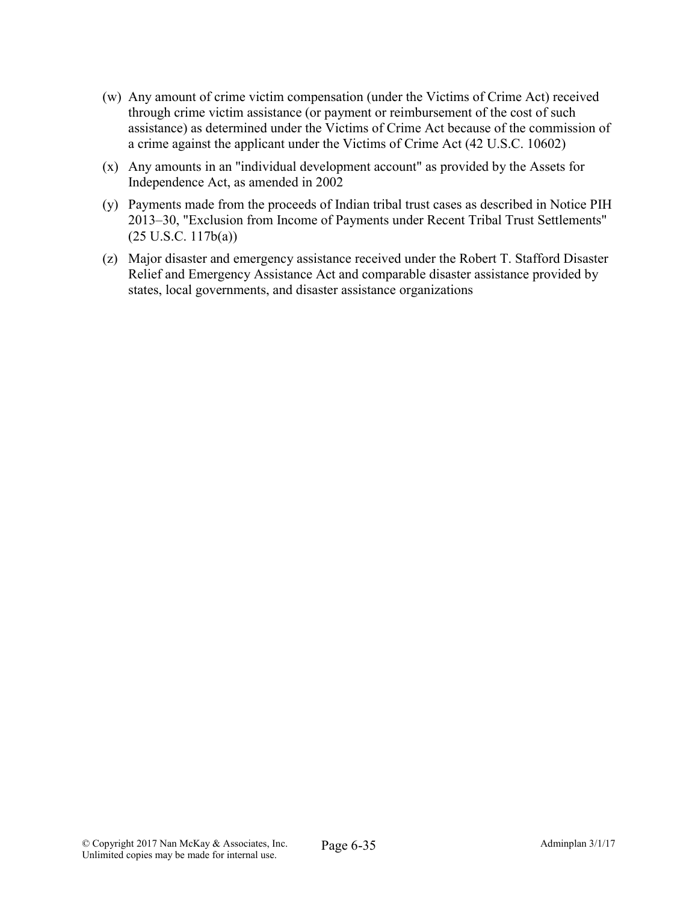- (w) Any amount of crime victim compensation (under the Victims of Crime Act) received through crime victim assistance (or payment or reimbursement of the cost of such assistance) as determined under the Victims of Crime Act because of the commission of a crime against the applicant under the Victims of Crime Act (42 U.S.C. 10602)
- (x) Any amounts in an "individual development account" as provided by the Assets for Independence Act, as amended in 2002
- (y) Payments made from the proceeds of Indian tribal trust cases as described in Notice PIH 2013–30, "Exclusion from Income of Payments under Recent Tribal Trust Settlements" (25 U.S.C. 117b(a))
- (z) Major disaster and emergency assistance received under the Robert T. Stafford Disaster Relief and Emergency Assistance Act and comparable disaster assistance provided by states, local governments, and disaster assistance organizations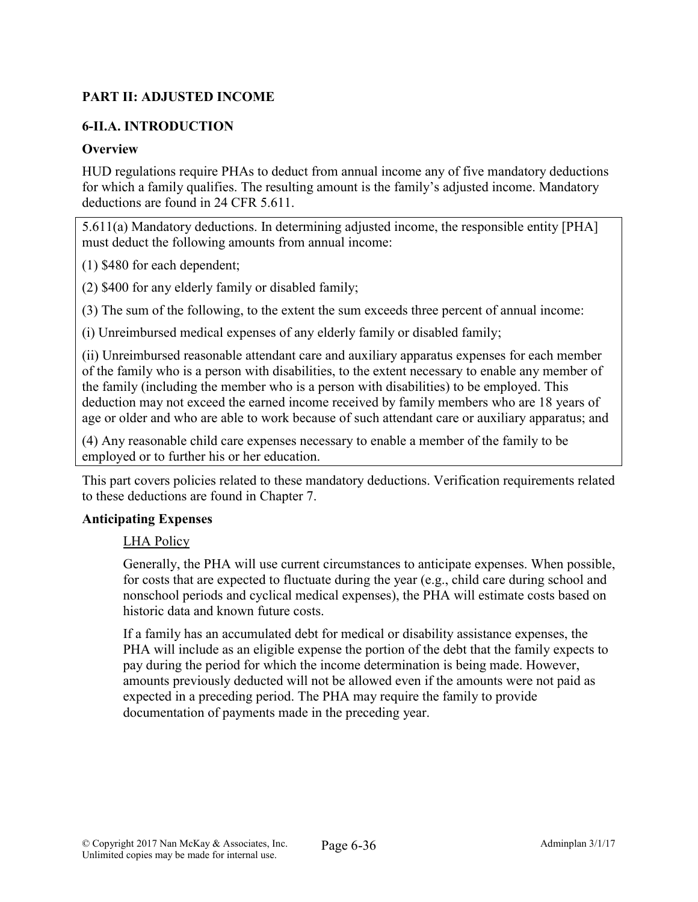# PART II: ADJUSTED INCOME

# 6-II.A. INTRODUCTION

## **Overview**

HUD regulations require PHAs to deduct from annual income any of five mandatory deductions for which a family qualifies. The resulting amount is the family's adjusted income. Mandatory deductions are found in 24 CFR 5.611.

5.611(a) Mandatory deductions. In determining adjusted income, the responsible entity [PHA] must deduct the following amounts from annual income:

(1) \$480 for each dependent;

(2) \$400 for any elderly family or disabled family;

(3) The sum of the following, to the extent the sum exceeds three percent of annual income:

(i) Unreimbursed medical expenses of any elderly family or disabled family;

(ii) Unreimbursed reasonable attendant care and auxiliary apparatus expenses for each member of the family who is a person with disabilities, to the extent necessary to enable any member of the family (including the member who is a person with disabilities) to be employed. This deduction may not exceed the earned income received by family members who are 18 years of age or older and who are able to work because of such attendant care or auxiliary apparatus; and

(4) Any reasonable child care expenses necessary to enable a member of the family to be employed or to further his or her education.

This part covers policies related to these mandatory deductions. Verification requirements related to these deductions are found in Chapter 7.

#### Anticipating Expenses

#### LHA Policy

Generally, the PHA will use current circumstances to anticipate expenses. When possible, for costs that are expected to fluctuate during the year (e.g., child care during school and nonschool periods and cyclical medical expenses), the PHA will estimate costs based on historic data and known future costs.

If a family has an accumulated debt for medical or disability assistance expenses, the PHA will include as an eligible expense the portion of the debt that the family expects to pay during the period for which the income determination is being made. However, amounts previously deducted will not be allowed even if the amounts were not paid as expected in a preceding period. The PHA may require the family to provide documentation of payments made in the preceding year.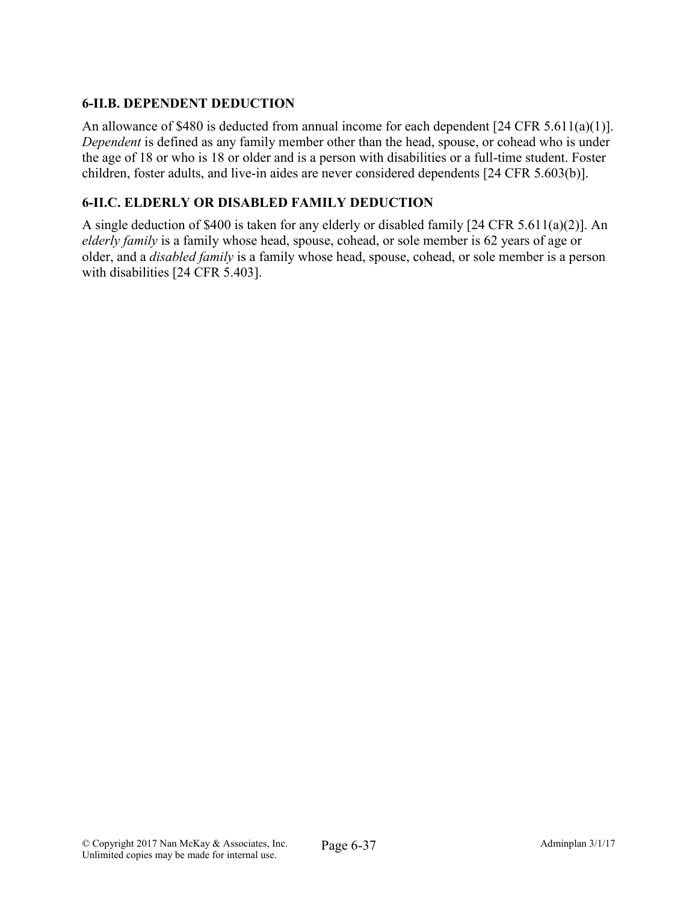# 6-II.B. DEPENDENT DEDUCTION

An allowance of \$480 is deducted from annual income for each dependent [24 CFR 5.611(a)(1)]. *Dependent* is defined as any family member other than the head, spouse, or cohead who is under the age of 18 or who is 18 or older and is a person with disabilities or a full-time student. Foster children, foster adults, and live-in aides are never considered dependents [24 CFR 5.603(b)].

## 6-II.C. ELDERLY OR DISABLED FAMILY DEDUCTION

A single deduction of \$400 is taken for any elderly or disabled family [24 CFR 5.611(a)(2)]. An *elderly family* is a family whose head, spouse, cohead, or sole member is 62 years of age or older, and a *disabled family* is a family whose head, spouse, cohead, or sole member is a person with disabilities [24 CFR 5.403].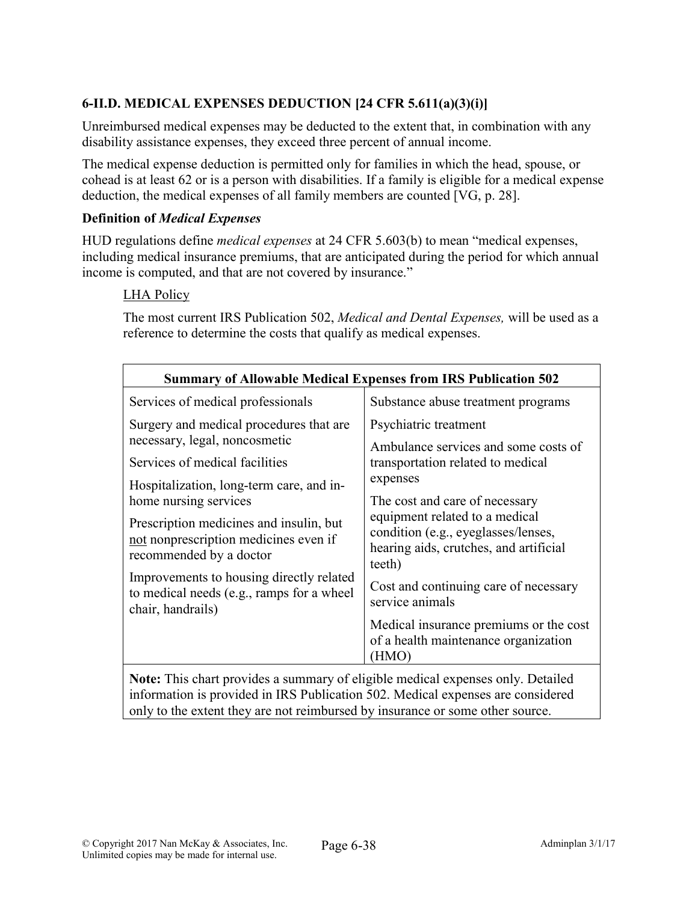# 6-II.D. MEDICAL EXPENSES DEDUCTION [24 CFR 5.611(a)(3)(i)]

Unreimbursed medical expenses may be deducted to the extent that, in combination with any disability assistance expenses, they exceed three percent of annual income.

The medical expense deduction is permitted only for families in which the head, spouse, or cohead is at least 62 or is a person with disabilities. If a family is eligible for a medical expense deduction, the medical expenses of all family members are counted [VG, p. 28].

## Definition of *Medical Expenses*

HUD regulations define *medical expenses* at 24 CFR 5.603(b) to mean "medical expenses, including medical insurance premiums, that are anticipated during the period for which annual income is computed, and that are not covered by insurance."

## LHA Policy

The most current IRS Publication 502, *Medical and Dental Expenses,* will be used as a reference to determine the costs that qualify as medical expenses.

| <b>Summary of Allowable Medical Expenses from IRS Publication 502</b>                                                                                              |                                                                                                                                                                                                                                                                                                                                           |  |  |  |
|--------------------------------------------------------------------------------------------------------------------------------------------------------------------|-------------------------------------------------------------------------------------------------------------------------------------------------------------------------------------------------------------------------------------------------------------------------------------------------------------------------------------------|--|--|--|
| Services of medical professionals                                                                                                                                  | Substance abuse treatment programs                                                                                                                                                                                                                                                                                                        |  |  |  |
| Surgery and medical procedures that are<br>necessary, legal, noncosmetic                                                                                           | Psychiatric treatment<br>Ambulance services and some costs of<br>transportation related to medical<br>expenses<br>The cost and care of necessary<br>equipment related to a medical<br>condition (e.g., eyeglasses/lenses,<br>hearing aids, crutches, and artificial<br>teeth)<br>Cost and continuing care of necessary<br>service animals |  |  |  |
| Services of medical facilities                                                                                                                                     |                                                                                                                                                                                                                                                                                                                                           |  |  |  |
| Hospitalization, long-term care, and in-<br>home nursing services                                                                                                  |                                                                                                                                                                                                                                                                                                                                           |  |  |  |
| Prescription medicines and insulin, but<br>not nonprescription medicines even if<br>recommended by a doctor                                                        |                                                                                                                                                                                                                                                                                                                                           |  |  |  |
| Improvements to housing directly related<br>to medical needs (e.g., ramps for a wheel<br>chair, handrails)                                                         |                                                                                                                                                                                                                                                                                                                                           |  |  |  |
|                                                                                                                                                                    | Medical insurance premiums or the cost<br>of a health maintenance organization<br>(HMO)                                                                                                                                                                                                                                                   |  |  |  |
| Note: This chart provides a summary of eligible medical expenses only. Detailed<br>information is nuovidad in IDC Dublication 500. Modical expenses are considered |                                                                                                                                                                                                                                                                                                                                           |  |  |  |

information is provided in IRS Publication 502. Medical expenses are considered only to the extent they are not reimbursed by insurance or some other source.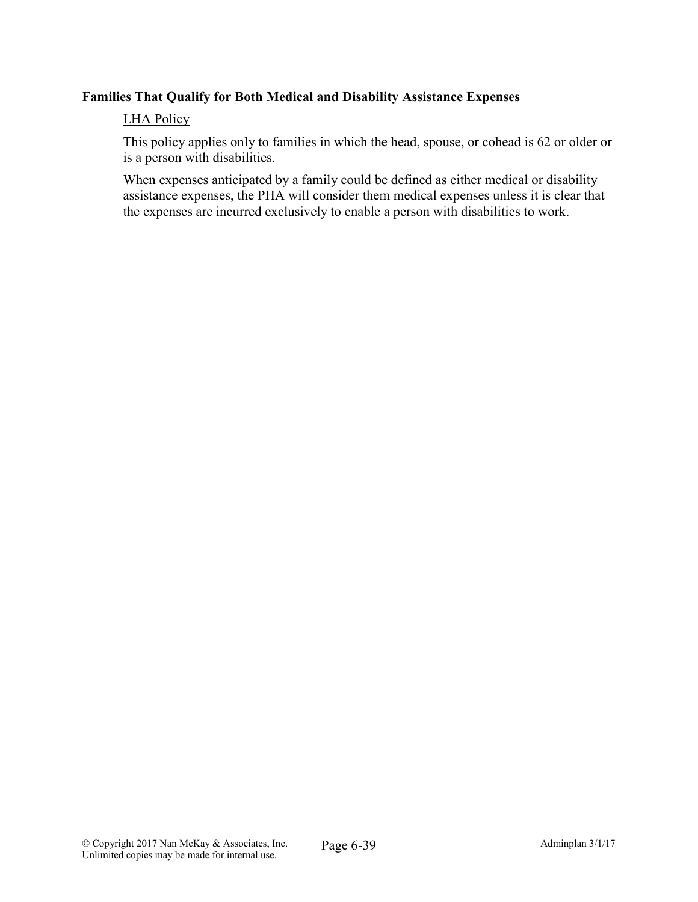## Families That Qualify for Both Medical and Disability Assistance Expenses

#### LHA Policy

This policy applies only to families in which the head, spouse, or cohead is 62 or older or is a person with disabilities.

When expenses anticipated by a family could be defined as either medical or disability assistance expenses, the PHA will consider them medical expenses unless it is clear that the expenses are incurred exclusively to enable a person with disabilities to work.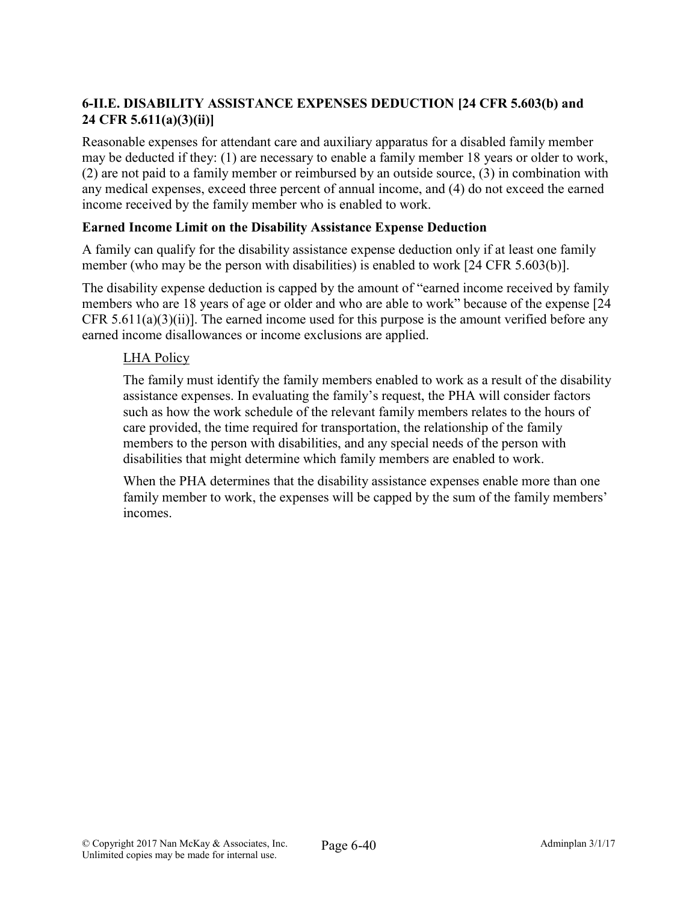# 6-II.E. DISABILITY ASSISTANCE EXPENSES DEDUCTION [24 CFR 5.603(b) and 24 CFR 5.611(a)(3)(ii)]

Reasonable expenses for attendant care and auxiliary apparatus for a disabled family member may be deducted if they: (1) are necessary to enable a family member 18 years or older to work, (2) are not paid to a family member or reimbursed by an outside source, (3) in combination with any medical expenses, exceed three percent of annual income, and (4) do not exceed the earned income received by the family member who is enabled to work.

## Earned Income Limit on the Disability Assistance Expense Deduction

A family can qualify for the disability assistance expense deduction only if at least one family member (who may be the person with disabilities) is enabled to work [24 CFR 5.603(b)].

The disability expense deduction is capped by the amount of "earned income received by family members who are 18 years of age or older and who are able to work" because of the expense [24 CFR 5.611(a)(3)(ii)]. The earned income used for this purpose is the amount verified before any earned income disallowances or income exclusions are applied.

# LHA Policy

The family must identify the family members enabled to work as a result of the disability assistance expenses. In evaluating the family's request, the PHA will consider factors such as how the work schedule of the relevant family members relates to the hours of care provided, the time required for transportation, the relationship of the family members to the person with disabilities, and any special needs of the person with disabilities that might determine which family members are enabled to work.

When the PHA determines that the disability assistance expenses enable more than one family member to work, the expenses will be capped by the sum of the family members' incomes.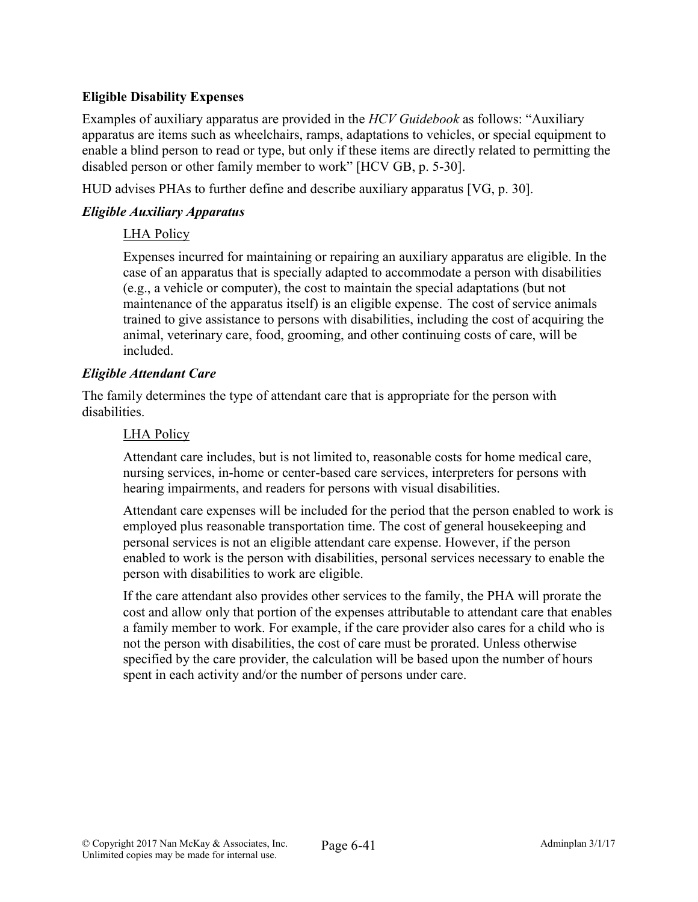# Eligible Disability Expenses

Examples of auxiliary apparatus are provided in the *HCV Guidebook* as follows: "Auxiliary apparatus are items such as wheelchairs, ramps, adaptations to vehicles, or special equipment to enable a blind person to read or type, but only if these items are directly related to permitting the disabled person or other family member to work" [HCV GB, p. 5-30].

HUD advises PHAs to further define and describe auxiliary apparatus [VG, p. 30].

## *Eligible Auxiliary Apparatus*

#### LHA Policy

Expenses incurred for maintaining or repairing an auxiliary apparatus are eligible. In the case of an apparatus that is specially adapted to accommodate a person with disabilities (e.g., a vehicle or computer), the cost to maintain the special adaptations (but not maintenance of the apparatus itself) is an eligible expense. The cost of service animals trained to give assistance to persons with disabilities, including the cost of acquiring the animal, veterinary care, food, grooming, and other continuing costs of care, will be included.

#### *Eligible Attendant Care*

The family determines the type of attendant care that is appropriate for the person with disabilities.

#### LHA Policy

Attendant care includes, but is not limited to, reasonable costs for home medical care, nursing services, in-home or center-based care services, interpreters for persons with hearing impairments, and readers for persons with visual disabilities.

Attendant care expenses will be included for the period that the person enabled to work is employed plus reasonable transportation time. The cost of general housekeeping and personal services is not an eligible attendant care expense. However, if the person enabled to work is the person with disabilities, personal services necessary to enable the person with disabilities to work are eligible.

If the care attendant also provides other services to the family, the PHA will prorate the cost and allow only that portion of the expenses attributable to attendant care that enables a family member to work. For example, if the care provider also cares for a child who is not the person with disabilities, the cost of care must be prorated. Unless otherwise specified by the care provider, the calculation will be based upon the number of hours spent in each activity and/or the number of persons under care.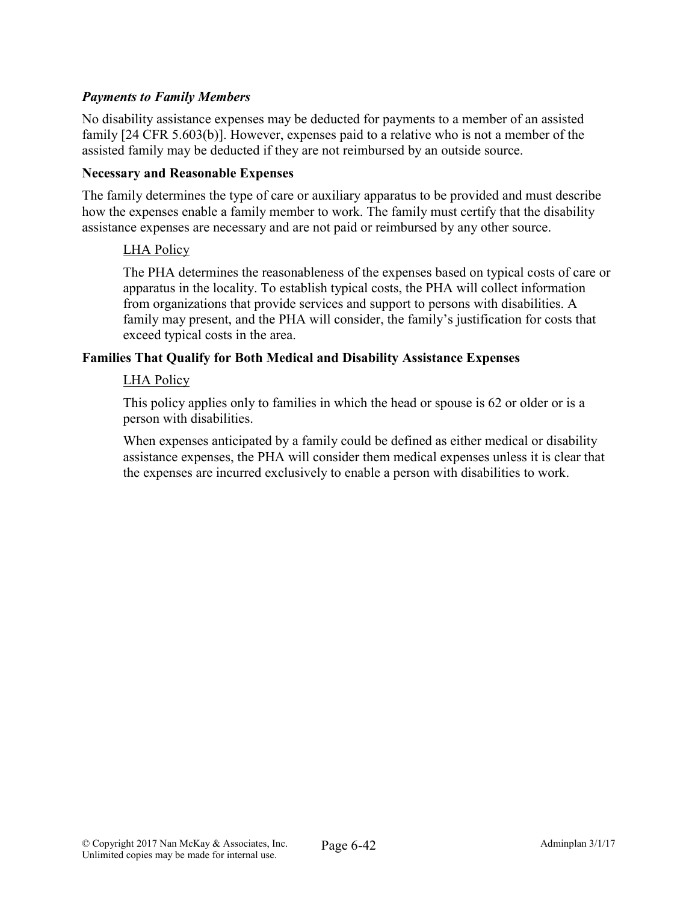## *Payments to Family Members*

No disability assistance expenses may be deducted for payments to a member of an assisted family [24 CFR 5.603(b)]. However, expenses paid to a relative who is not a member of the assisted family may be deducted if they are not reimbursed by an outside source.

#### Necessary and Reasonable Expenses

The family determines the type of care or auxiliary apparatus to be provided and must describe how the expenses enable a family member to work. The family must certify that the disability assistance expenses are necessary and are not paid or reimbursed by any other source.

#### LHA Policy

The PHA determines the reasonableness of the expenses based on typical costs of care or apparatus in the locality. To establish typical costs, the PHA will collect information from organizations that provide services and support to persons with disabilities. A family may present, and the PHA will consider, the family's justification for costs that exceed typical costs in the area.

#### Families That Qualify for Both Medical and Disability Assistance Expenses

#### LHA Policy

This policy applies only to families in which the head or spouse is 62 or older or is a person with disabilities.

When expenses anticipated by a family could be defined as either medical or disability assistance expenses, the PHA will consider them medical expenses unless it is clear that the expenses are incurred exclusively to enable a person with disabilities to work.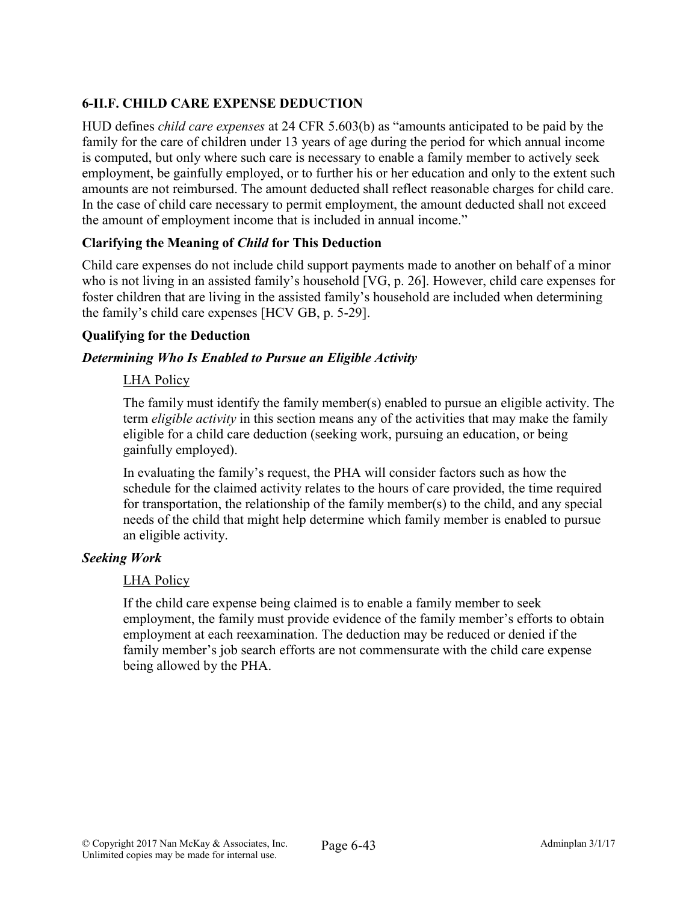# 6-II.F. CHILD CARE EXPENSE DEDUCTION

HUD defines *child care expenses* at 24 CFR 5.603(b) as "amounts anticipated to be paid by the family for the care of children under 13 years of age during the period for which annual income is computed, but only where such care is necessary to enable a family member to actively seek employment, be gainfully employed, or to further his or her education and only to the extent such amounts are not reimbursed. The amount deducted shall reflect reasonable charges for child care. In the case of child care necessary to permit employment, the amount deducted shall not exceed the amount of employment income that is included in annual income."

## Clarifying the Meaning of *Child* for This Deduction

Child care expenses do not include child support payments made to another on behalf of a minor who is not living in an assisted family's household [VG, p. 26]. However, child care expenses for foster children that are living in the assisted family's household are included when determining the family's child care expenses [HCV GB, p. 5-29].

## Qualifying for the Deduction

# *Determining Who Is Enabled to Pursue an Eligible Activity*

## LHA Policy

The family must identify the family member(s) enabled to pursue an eligible activity. The term *eligible activity* in this section means any of the activities that may make the family eligible for a child care deduction (seeking work, pursuing an education, or being gainfully employed).

In evaluating the family's request, the PHA will consider factors such as how the schedule for the claimed activity relates to the hours of care provided, the time required for transportation, the relationship of the family member(s) to the child, and any special needs of the child that might help determine which family member is enabled to pursue an eligible activity.

## *Seeking Work*

## LHA Policy

If the child care expense being claimed is to enable a family member to seek employment, the family must provide evidence of the family member's efforts to obtain employment at each reexamination. The deduction may be reduced or denied if the family member's job search efforts are not commensurate with the child care expense being allowed by the PHA.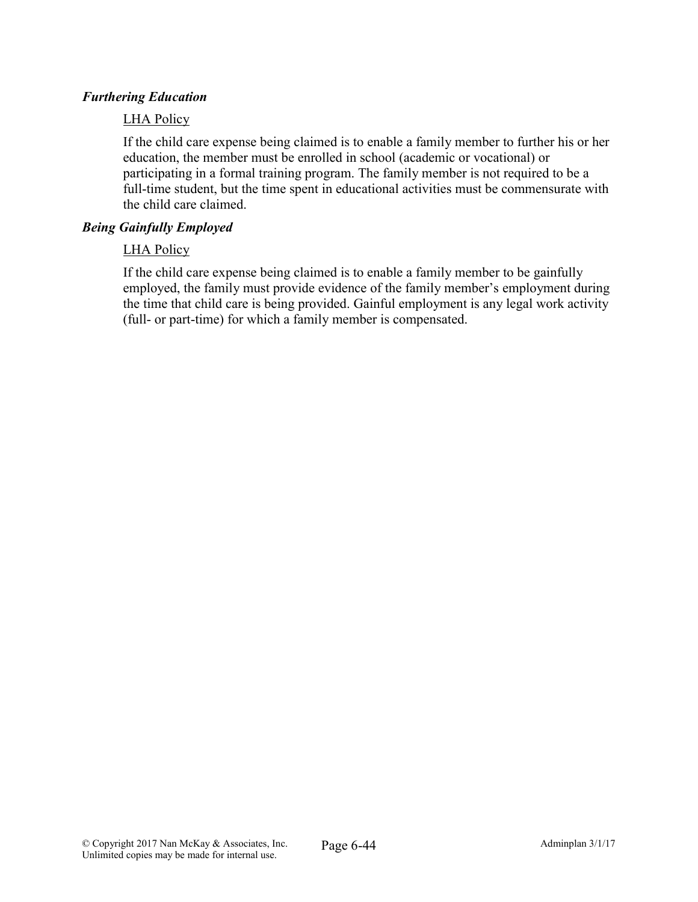## *Furthering Education*

#### LHA Policy

If the child care expense being claimed is to enable a family member to further his or her education, the member must be enrolled in school (academic or vocational) or participating in a formal training program. The family member is not required to be a full-time student, but the time spent in educational activities must be commensurate with the child care claimed.

#### *Being Gainfully Employed*

#### LHA Policy

If the child care expense being claimed is to enable a family member to be gainfully employed, the family must provide evidence of the family member's employment during the time that child care is being provided. Gainful employment is any legal work activity (full- or part-time) for which a family member is compensated.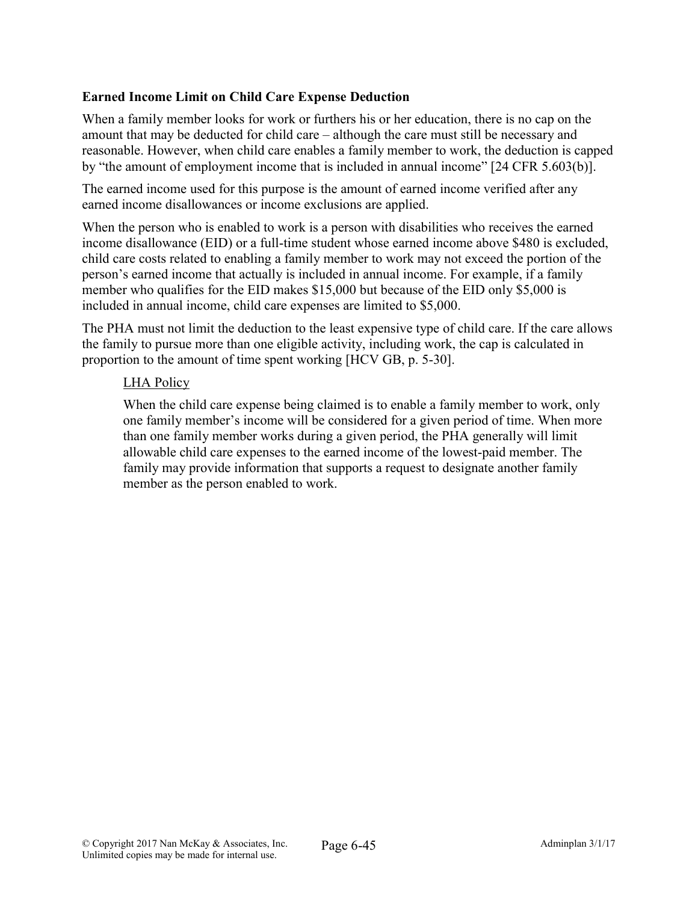## Earned Income Limit on Child Care Expense Deduction

When a family member looks for work or furthers his or her education, there is no cap on the amount that may be deducted for child care – although the care must still be necessary and reasonable. However, when child care enables a family member to work, the deduction is capped by "the amount of employment income that is included in annual income" [24 CFR 5.603(b)].

The earned income used for this purpose is the amount of earned income verified after any earned income disallowances or income exclusions are applied.

When the person who is enabled to work is a person with disabilities who receives the earned income disallowance (EID) or a full-time student whose earned income above \$480 is excluded, child care costs related to enabling a family member to work may not exceed the portion of the person's earned income that actually is included in annual income. For example, if a family member who qualifies for the EID makes \$15,000 but because of the EID only \$5,000 is included in annual income, child care expenses are limited to \$5,000.

The PHA must not limit the deduction to the least expensive type of child care. If the care allows the family to pursue more than one eligible activity, including work, the cap is calculated in proportion to the amount of time spent working [HCV GB, p. 5-30].

#### LHA Policy

When the child care expense being claimed is to enable a family member to work, only one family member's income will be considered for a given period of time. When more than one family member works during a given period, the PHA generally will limit allowable child care expenses to the earned income of the lowest-paid member. The family may provide information that supports a request to designate another family member as the person enabled to work.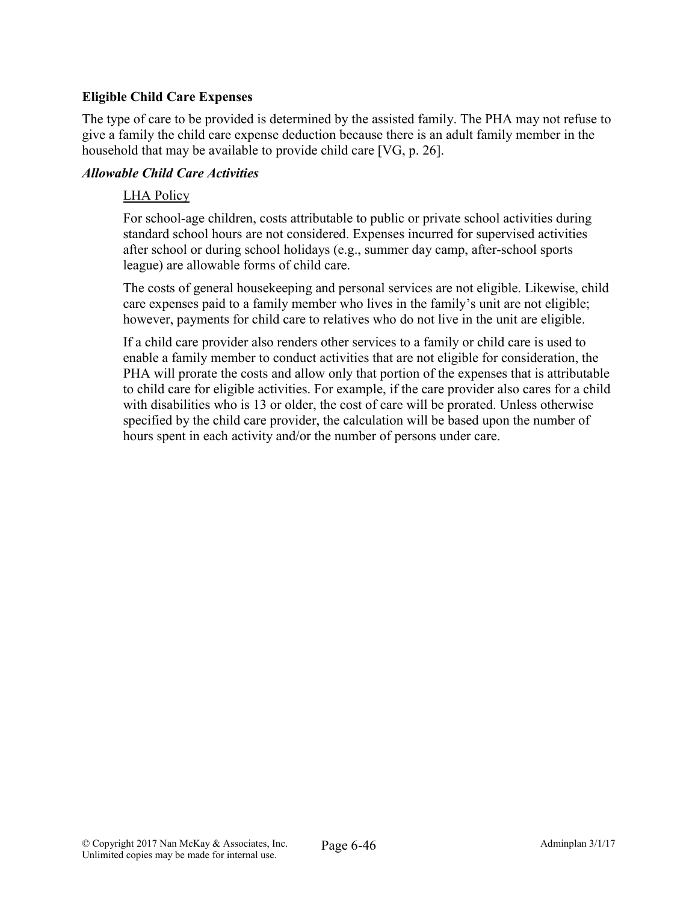## Eligible Child Care Expenses

The type of care to be provided is determined by the assisted family. The PHA may not refuse to give a family the child care expense deduction because there is an adult family member in the household that may be available to provide child care [VG, p. 26].

#### *Allowable Child Care Activities*

#### LHA Policy

For school-age children, costs attributable to public or private school activities during standard school hours are not considered. Expenses incurred for supervised activities after school or during school holidays (e.g., summer day camp, after-school sports league) are allowable forms of child care.

The costs of general housekeeping and personal services are not eligible. Likewise, child care expenses paid to a family member who lives in the family's unit are not eligible; however, payments for child care to relatives who do not live in the unit are eligible.

If a child care provider also renders other services to a family or child care is used to enable a family member to conduct activities that are not eligible for consideration, the PHA will prorate the costs and allow only that portion of the expenses that is attributable to child care for eligible activities. For example, if the care provider also cares for a child with disabilities who is 13 or older, the cost of care will be prorated. Unless otherwise specified by the child care provider, the calculation will be based upon the number of hours spent in each activity and/or the number of persons under care.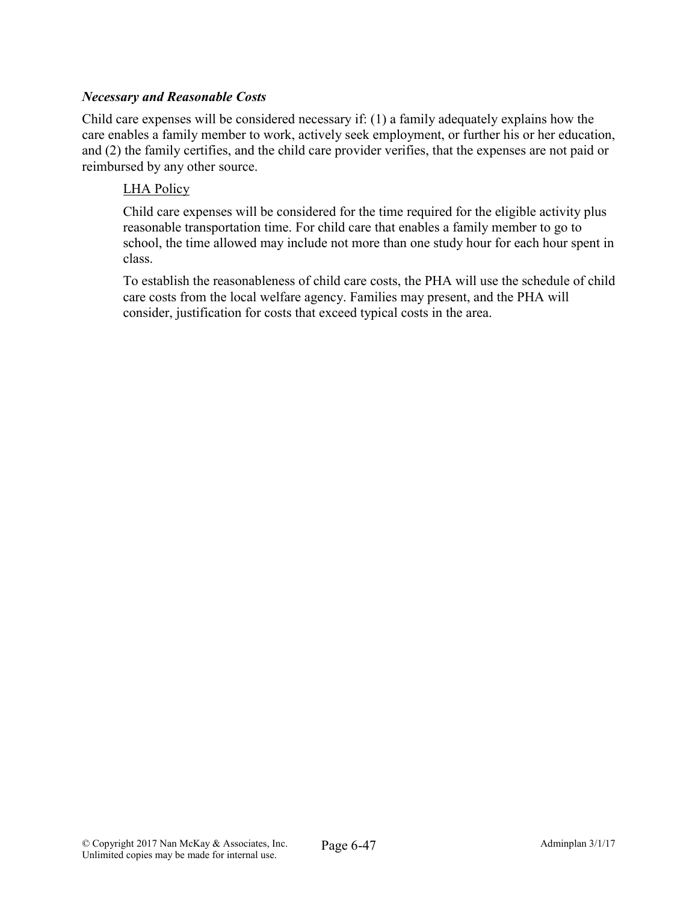## *Necessary and Reasonable Costs*

Child care expenses will be considered necessary if: (1) a family adequately explains how the care enables a family member to work, actively seek employment, or further his or her education, and (2) the family certifies, and the child care provider verifies, that the expenses are not paid or reimbursed by any other source.

## LHA Policy

Child care expenses will be considered for the time required for the eligible activity plus reasonable transportation time. For child care that enables a family member to go to school, the time allowed may include not more than one study hour for each hour spent in class.

To establish the reasonableness of child care costs, the PHA will use the schedule of child care costs from the local welfare agency. Families may present, and the PHA will consider, justification for costs that exceed typical costs in the area.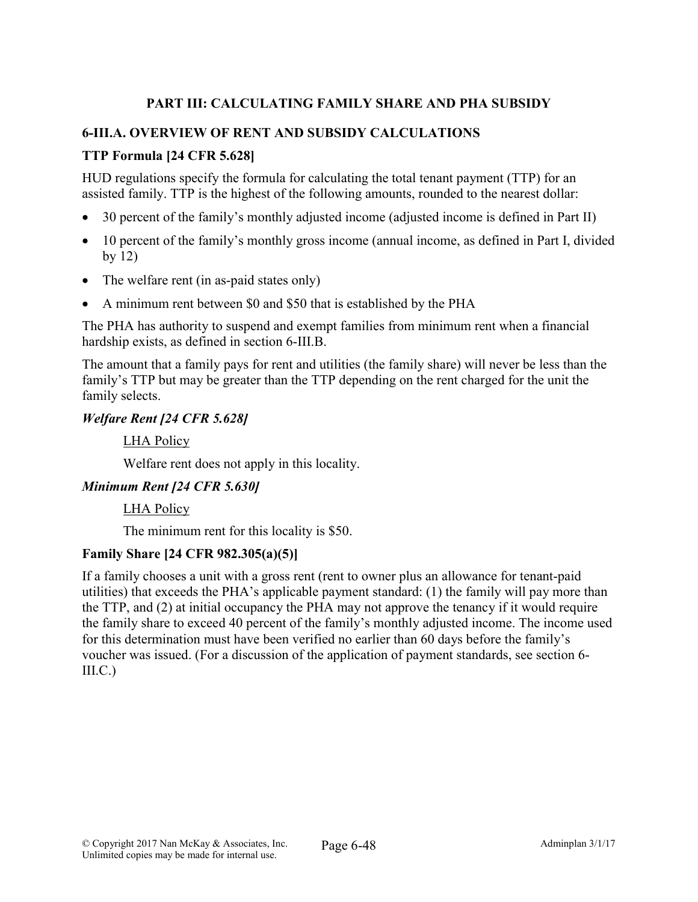# PART III: CALCULATING FAMILY SHARE AND PHA SUBSIDY

# 6-III.A. OVERVIEW OF RENT AND SUBSIDY CALCULATIONS

# TTP Formula [24 CFR 5.628]

HUD regulations specify the formula for calculating the total tenant payment (TTP) for an assisted family. TTP is the highest of the following amounts, rounded to the nearest dollar:

- 30 percent of the family's monthly adjusted income (adjusted income is defined in Part II)
- 10 percent of the family's monthly gross income (annual income, as defined in Part I, divided by 12)
- The welfare rent (in as-paid states only)
- A minimum rent between \$0 and \$50 that is established by the PHA

The PHA has authority to suspend and exempt families from minimum rent when a financial hardship exists, as defined in section 6-III.B.

The amount that a family pays for rent and utilities (the family share) will never be less than the family's TTP but may be greater than the TTP depending on the rent charged for the unit the family selects.

#### *Welfare Rent [24 CFR 5.628]*

LHA Policy

Welfare rent does not apply in this locality.

## *Minimum Rent [24 CFR 5.630]*

LHA Policy

The minimum rent for this locality is \$50.

## Family Share [24 CFR 982.305(a)(5)]

If a family chooses a unit with a gross rent (rent to owner plus an allowance for tenant-paid utilities) that exceeds the PHA's applicable payment standard: (1) the family will pay more than the TTP, and (2) at initial occupancy the PHA may not approve the tenancy if it would require the family share to exceed 40 percent of the family's monthly adjusted income. The income used for this determination must have been verified no earlier than 60 days before the family's voucher was issued. (For a discussion of the application of payment standards, see section 6-  $III.C.)$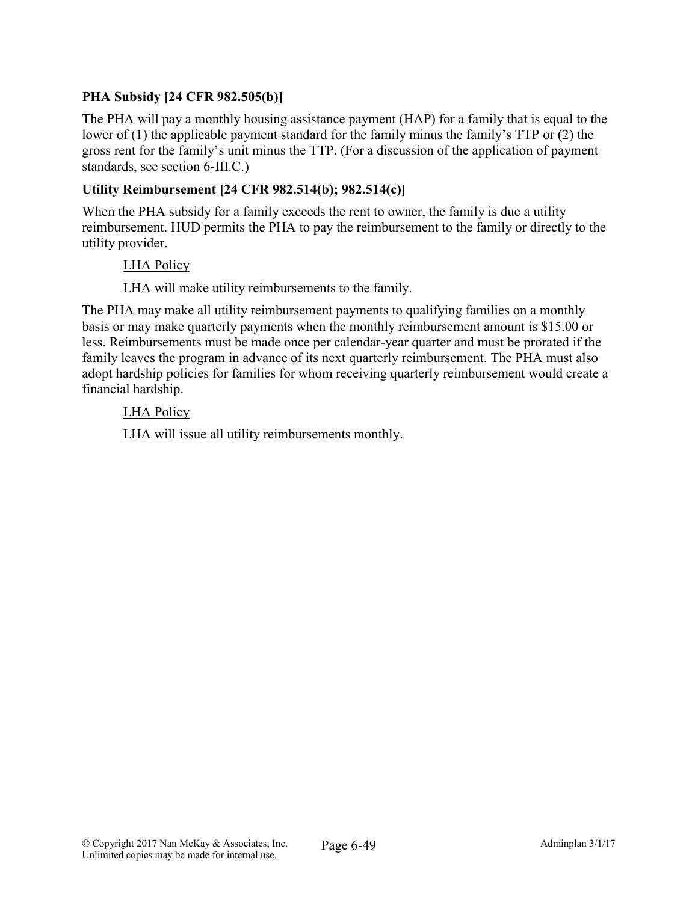# PHA Subsidy [24 CFR 982.505(b)]

The PHA will pay a monthly housing assistance payment (HAP) for a family that is equal to the lower of (1) the applicable payment standard for the family minus the family's TTP or (2) the gross rent for the family's unit minus the TTP. (For a discussion of the application of payment standards, see section 6-III.C.)

## Utility Reimbursement [24 CFR 982.514(b); 982.514(c)]

When the PHA subsidy for a family exceeds the rent to owner, the family is due a utility reimbursement. HUD permits the PHA to pay the reimbursement to the family or directly to the utility provider.

#### LHA Policy

LHA will make utility reimbursements to the family.

The PHA may make all utility reimbursement payments to qualifying families on a monthly basis or may make quarterly payments when the monthly reimbursement amount is \$15.00 or less. Reimbursements must be made once per calendar-year quarter and must be prorated if the family leaves the program in advance of its next quarterly reimbursement. The PHA must also adopt hardship policies for families for whom receiving quarterly reimbursement would create a financial hardship.

#### LHA Policy

LHA will issue all utility reimbursements monthly.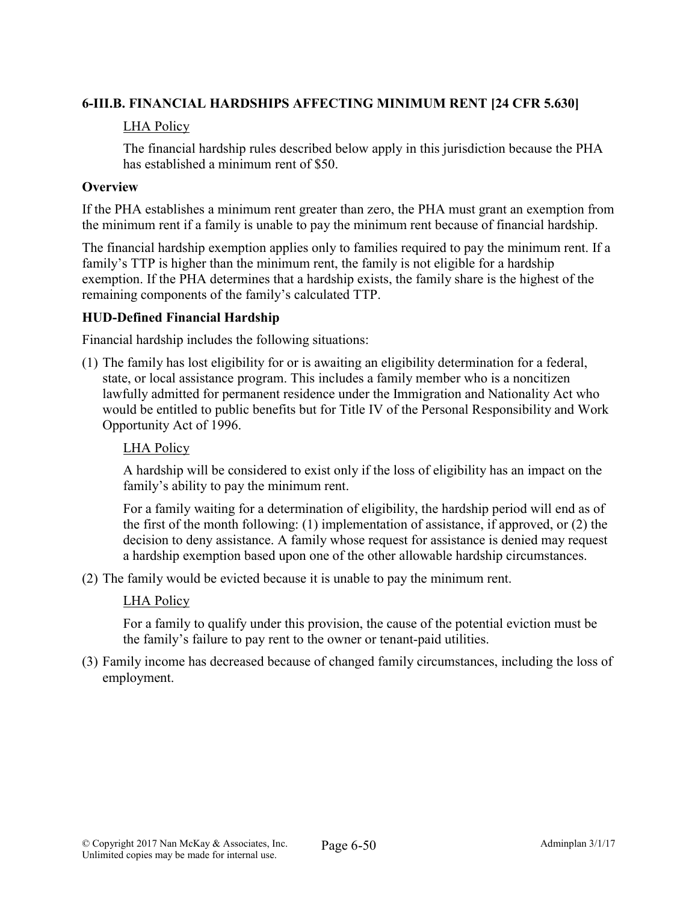# 6-III.B. FINANCIAL HARDSHIPS AFFECTING MINIMUM RENT [24 CFR 5.630]

## LHA Policy

The financial hardship rules described below apply in this jurisdiction because the PHA has established a minimum rent of \$50.

## **Overview**

If the PHA establishes a minimum rent greater than zero, the PHA must grant an exemption from the minimum rent if a family is unable to pay the minimum rent because of financial hardship.

The financial hardship exemption applies only to families required to pay the minimum rent. If a family's TTP is higher than the minimum rent, the family is not eligible for a hardship exemption. If the PHA determines that a hardship exists, the family share is the highest of the remaining components of the family's calculated TTP.

# HUD-Defined Financial Hardship

Financial hardship includes the following situations:

(1) The family has lost eligibility for or is awaiting an eligibility determination for a federal, state, or local assistance program. This includes a family member who is a noncitizen lawfully admitted for permanent residence under the Immigration and Nationality Act who would be entitled to public benefits but for Title IV of the Personal Responsibility and Work Opportunity Act of 1996.

## LHA Policy

A hardship will be considered to exist only if the loss of eligibility has an impact on the family's ability to pay the minimum rent.

For a family waiting for a determination of eligibility, the hardship period will end as of the first of the month following: (1) implementation of assistance, if approved, or (2) the decision to deny assistance. A family whose request for assistance is denied may request a hardship exemption based upon one of the other allowable hardship circumstances.

(2) The family would be evicted because it is unable to pay the minimum rent.

## LHA Policy

For a family to qualify under this provision, the cause of the potential eviction must be the family's failure to pay rent to the owner or tenant-paid utilities.

(3) Family income has decreased because of changed family circumstances, including the loss of employment.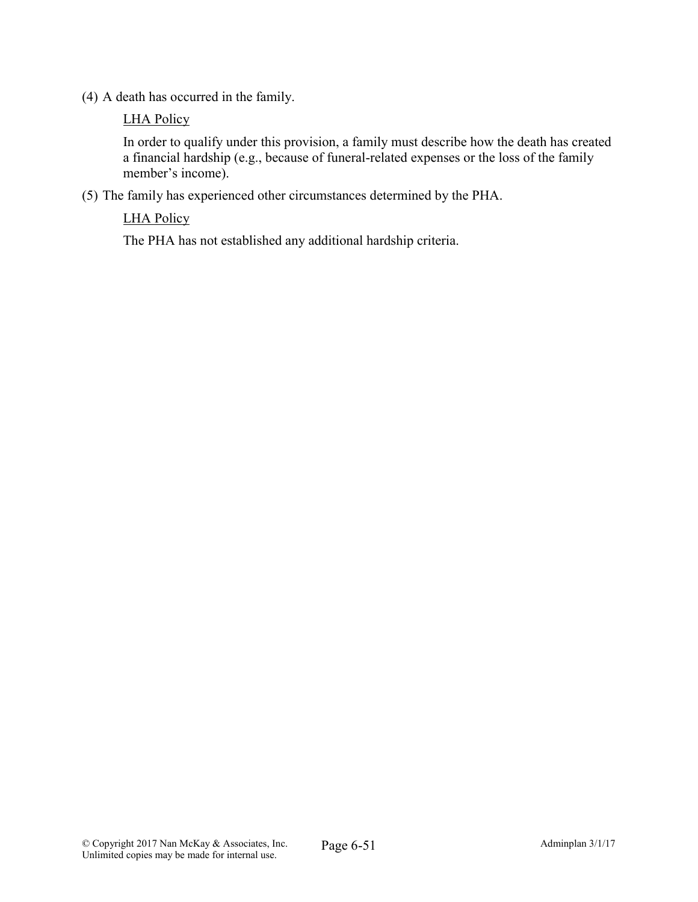(4) A death has occurred in the family.

#### LHA Policy

In order to qualify under this provision, a family must describe how the death has created a financial hardship (e.g., because of funeral-related expenses or the loss of the family member's income).

(5) The family has experienced other circumstances determined by the PHA.

# LHA Policy

The PHA has not established any additional hardship criteria.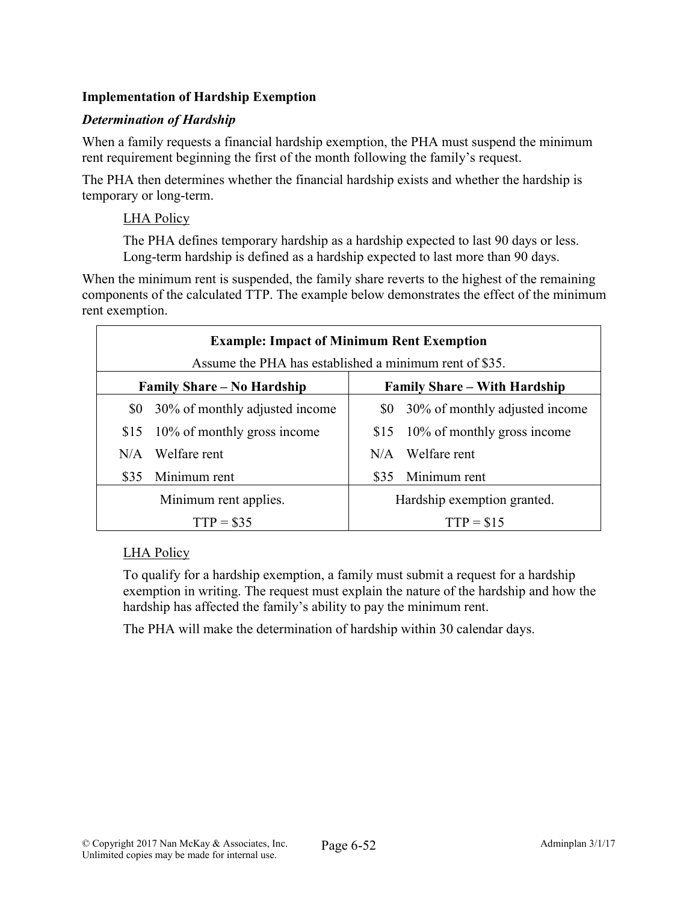# Implementation of Hardship Exemption

## *Determination of Hardship*

When a family requests a financial hardship exemption, the PHA must suspend the minimum rent requirement beginning the first of the month following the family's request.

The PHA then determines whether the financial hardship exists and whether the hardship is temporary or long-term.

## LHA Policy

The PHA defines temporary hardship as a hardship expected to last 90 days or less. Long-term hardship is defined as a hardship expected to last more than 90 days.

When the minimum rent is suspended, the family share reverts to the highest of the remaining components of the calculated TTP. The example below demonstrates the effect of the minimum rent exemption.

| <b>Example: Impact of Minimum Rent Exemption</b><br>Assume the PHA has established a minimum rent of \$35. |                                |                                     |                                    |  |
|------------------------------------------------------------------------------------------------------------|--------------------------------|-------------------------------------|------------------------------------|--|
| <b>Family Share – No Hardship</b>                                                                          |                                | <b>Family Share – With Hardship</b> |                                    |  |
| \$0                                                                                                        | 30% of monthly adjusted income |                                     | \$0 30% of monthly adjusted income |  |
| \$15                                                                                                       | 10% of monthly gross income    |                                     | \$15 10% of monthly gross income   |  |
| N/A                                                                                                        | Welfare rent                   | N/A                                 | Welfare rent                       |  |
| \$35                                                                                                       | Minimum rent                   | \$35                                | Minimum rent                       |  |
| Minimum rent applies.                                                                                      |                                | Hardship exemption granted.         |                                    |  |
| $TTP = $35$                                                                                                |                                | $TTP = $15$                         |                                    |  |

## LHA Policy

To qualify for a hardship exemption, a family must submit a request for a hardship exemption in writing. The request must explain the nature of the hardship and how the hardship has affected the family's ability to pay the minimum rent.

The PHA will make the determination of hardship within 30 calendar days.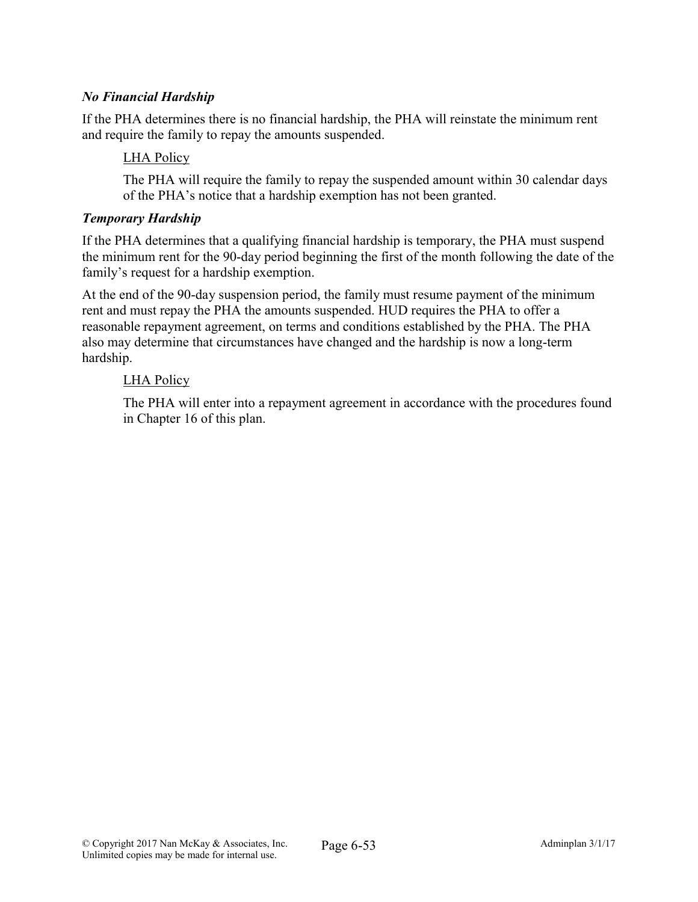# *No Financial Hardship*

If the PHA determines there is no financial hardship, the PHA will reinstate the minimum rent and require the family to repay the amounts suspended.

## LHA Policy

The PHA will require the family to repay the suspended amount within 30 calendar days of the PHA's notice that a hardship exemption has not been granted.

#### *Temporary Hardship*

If the PHA determines that a qualifying financial hardship is temporary, the PHA must suspend the minimum rent for the 90-day period beginning the first of the month following the date of the family's request for a hardship exemption.

At the end of the 90-day suspension period, the family must resume payment of the minimum rent and must repay the PHA the amounts suspended. HUD requires the PHA to offer a reasonable repayment agreement, on terms and conditions established by the PHA. The PHA also may determine that circumstances have changed and the hardship is now a long-term hardship.

#### LHA Policy

The PHA will enter into a repayment agreement in accordance with the procedures found in Chapter 16 of this plan.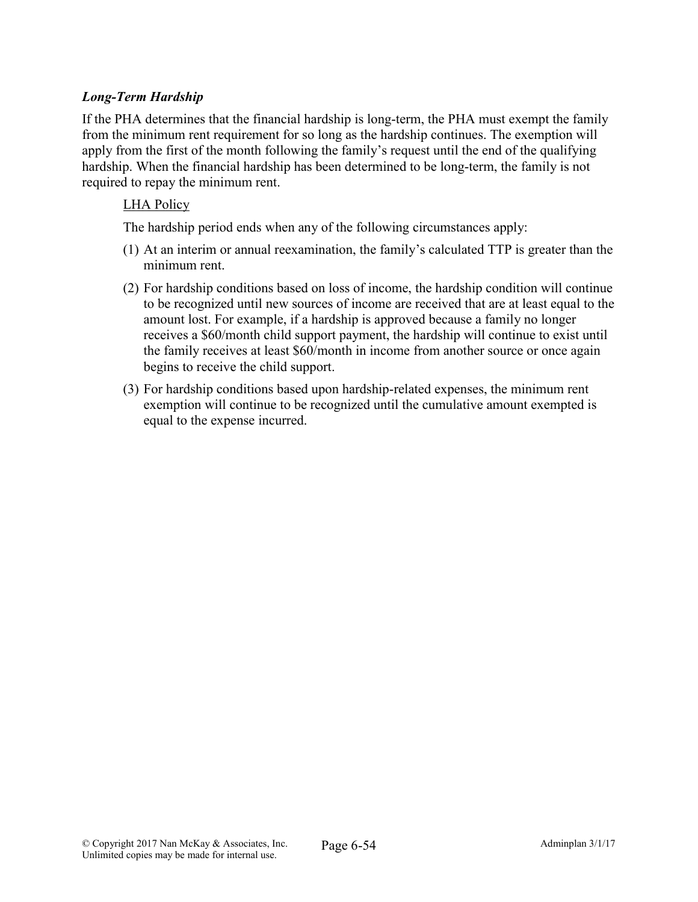# *Long-Term Hardship*

If the PHA determines that the financial hardship is long-term, the PHA must exempt the family from the minimum rent requirement for so long as the hardship continues. The exemption will apply from the first of the month following the family's request until the end of the qualifying hardship. When the financial hardship has been determined to be long-term, the family is not required to repay the minimum rent.

#### LHA Policy

The hardship period ends when any of the following circumstances apply:

- (1) At an interim or annual reexamination, the family's calculated TTP is greater than the minimum rent.
- (2) For hardship conditions based on loss of income, the hardship condition will continue to be recognized until new sources of income are received that are at least equal to the amount lost. For example, if a hardship is approved because a family no longer receives a \$60/month child support payment, the hardship will continue to exist until the family receives at least \$60/month in income from another source or once again begins to receive the child support.
- (3) For hardship conditions based upon hardship-related expenses, the minimum rent exemption will continue to be recognized until the cumulative amount exempted is equal to the expense incurred.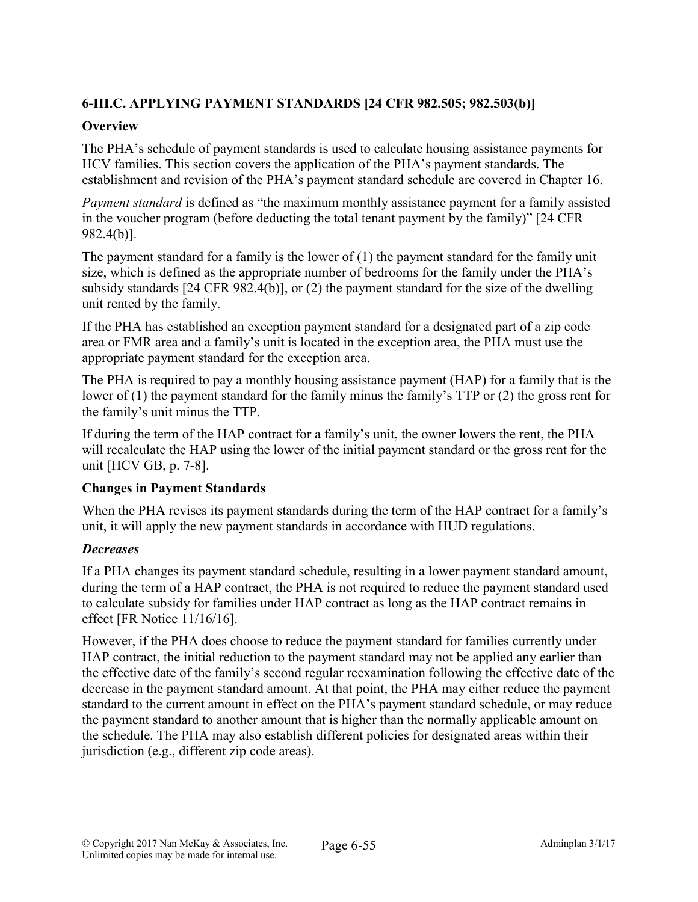# 6-III.C. APPLYING PAYMENT STANDARDS [24 CFR 982.505; 982.503(b)]

# **Overview**

The PHA's schedule of payment standards is used to calculate housing assistance payments for HCV families. This section covers the application of the PHA's payment standards. The establishment and revision of the PHA's payment standard schedule are covered in Chapter 16.

*Payment standard* is defined as "the maximum monthly assistance payment for a family assisted in the voucher program (before deducting the total tenant payment by the family)" [24 CFR 982.4(b)].

The payment standard for a family is the lower of (1) the payment standard for the family unit size, which is defined as the appropriate number of bedrooms for the family under the PHA's subsidy standards [24 CFR 982.4(b)], or (2) the payment standard for the size of the dwelling unit rented by the family.

If the PHA has established an exception payment standard for a designated part of a zip code area or FMR area and a family's unit is located in the exception area, the PHA must use the appropriate payment standard for the exception area.

The PHA is required to pay a monthly housing assistance payment (HAP) for a family that is the lower of (1) the payment standard for the family minus the family's TTP or (2) the gross rent for the family's unit minus the TTP.

If during the term of the HAP contract for a family's unit, the owner lowers the rent, the PHA will recalculate the HAP using the lower of the initial payment standard or the gross rent for the unit [HCV GB, p. 7-8].

## Changes in Payment Standards

When the PHA revises its payment standards during the term of the HAP contract for a family's unit, it will apply the new payment standards in accordance with HUD regulations.

# *Decreases*

If a PHA changes its payment standard schedule, resulting in a lower payment standard amount, during the term of a HAP contract, the PHA is not required to reduce the payment standard used to calculate subsidy for families under HAP contract as long as the HAP contract remains in effect [FR Notice 11/16/16].

However, if the PHA does choose to reduce the payment standard for families currently under HAP contract, the initial reduction to the payment standard may not be applied any earlier than the effective date of the family's second regular reexamination following the effective date of the decrease in the payment standard amount. At that point, the PHA may either reduce the payment standard to the current amount in effect on the PHA's payment standard schedule, or may reduce the payment standard to another amount that is higher than the normally applicable amount on the schedule. The PHA may also establish different policies for designated areas within their jurisdiction (e.g., different zip code areas).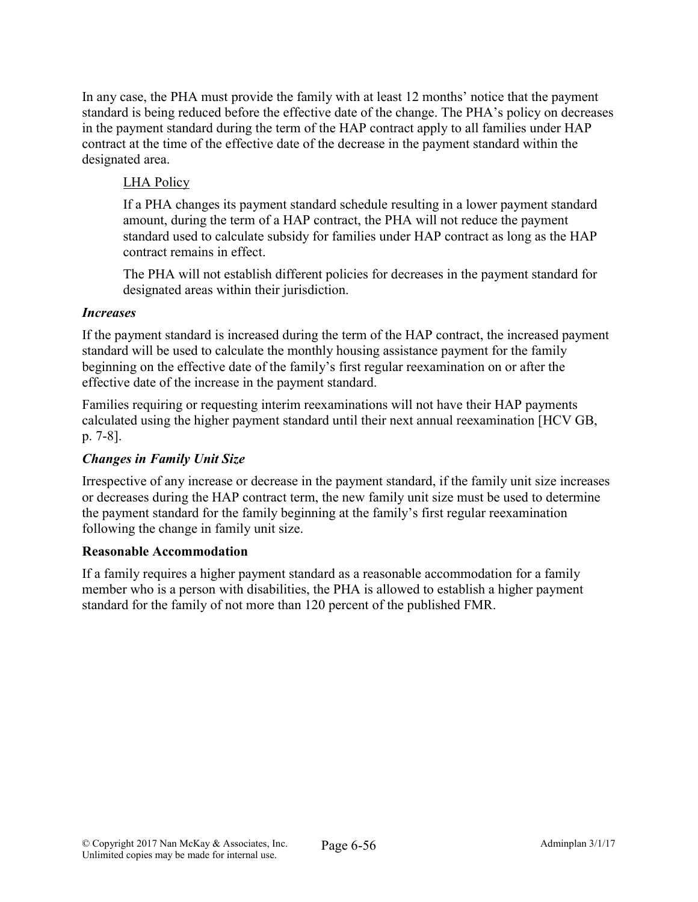In any case, the PHA must provide the family with at least 12 months' notice that the payment standard is being reduced before the effective date of the change. The PHA's policy on decreases in the payment standard during the term of the HAP contract apply to all families under HAP contract at the time of the effective date of the decrease in the payment standard within the designated area.

# LHA Policy

If a PHA changes its payment standard schedule resulting in a lower payment standard amount, during the term of a HAP contract, the PHA will not reduce the payment standard used to calculate subsidy for families under HAP contract as long as the HAP contract remains in effect.

The PHA will not establish different policies for decreases in the payment standard for designated areas within their jurisdiction.

## *Increases*

If the payment standard is increased during the term of the HAP contract, the increased payment standard will be used to calculate the monthly housing assistance payment for the family beginning on the effective date of the family's first regular reexamination on or after the effective date of the increase in the payment standard.

Families requiring or requesting interim reexaminations will not have their HAP payments calculated using the higher payment standard until their next annual reexamination [HCV GB, p. 7-8].

## *Changes in Family Unit Size*

Irrespective of any increase or decrease in the payment standard, if the family unit size increases or decreases during the HAP contract term, the new family unit size must be used to determine the payment standard for the family beginning at the family's first regular reexamination following the change in family unit size.

## Reasonable Accommodation

If a family requires a higher payment standard as a reasonable accommodation for a family member who is a person with disabilities, the PHA is allowed to establish a higher payment standard for the family of not more than 120 percent of the published FMR.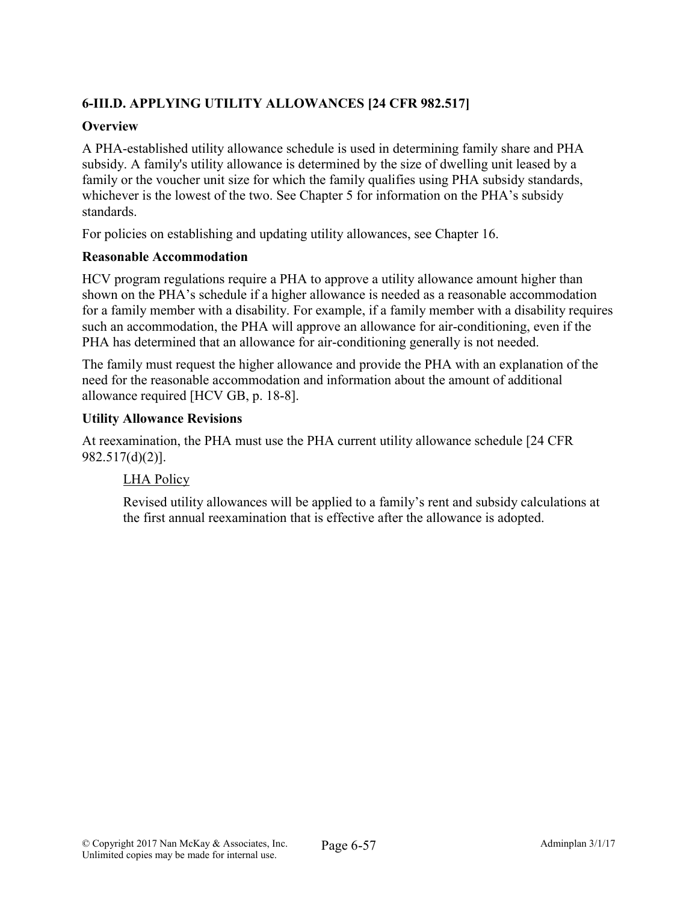# 6-III.D. APPLYING UTILITY ALLOWANCES [24 CFR 982.517]

## **Overview**

A PHA-established utility allowance schedule is used in determining family share and PHA subsidy. A family's utility allowance is determined by the size of dwelling unit leased by a family or the voucher unit size for which the family qualifies using PHA subsidy standards, whichever is the lowest of the two. See Chapter 5 for information on the PHA's subsidy standards.

For policies on establishing and updating utility allowances, see Chapter 16.

# Reasonable Accommodation

HCV program regulations require a PHA to approve a utility allowance amount higher than shown on the PHA's schedule if a higher allowance is needed as a reasonable accommodation for a family member with a disability. For example, if a family member with a disability requires such an accommodation, the PHA will approve an allowance for air-conditioning, even if the PHA has determined that an allowance for air-conditioning generally is not needed.

The family must request the higher allowance and provide the PHA with an explanation of the need for the reasonable accommodation and information about the amount of additional allowance required [HCV GB, p. 18-8].

# Utility Allowance Revisions

At reexamination, the PHA must use the PHA current utility allowance schedule [24 CFR 982.517(d)(2)].

# LHA Policy

Revised utility allowances will be applied to a family's rent and subsidy calculations at the first annual reexamination that is effective after the allowance is adopted.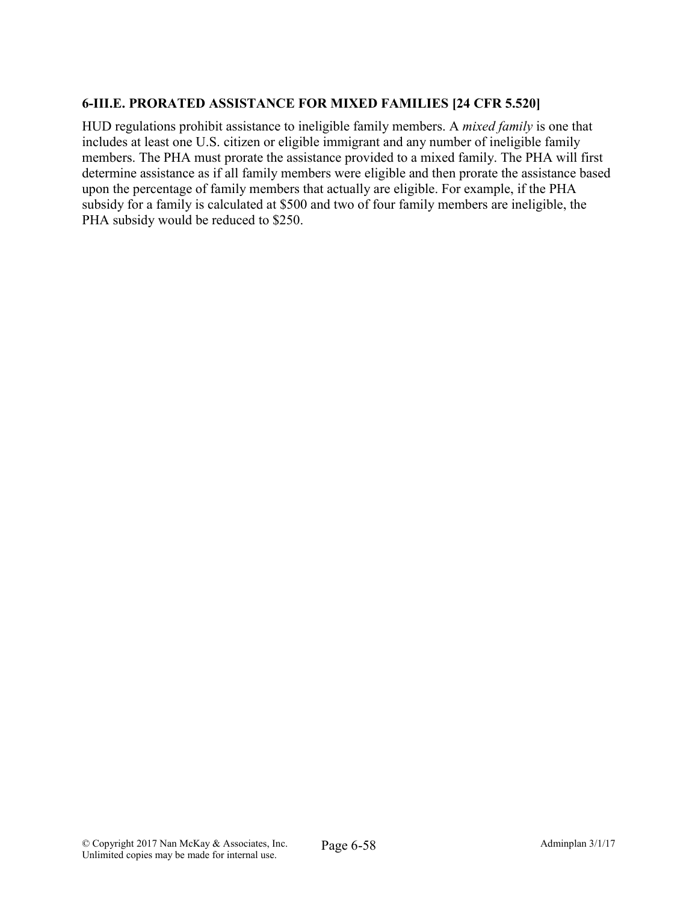# 6-III.E. PRORATED ASSISTANCE FOR MIXED FAMILIES [24 CFR 5.520]

HUD regulations prohibit assistance to ineligible family members. A *mixed family* is one that includes at least one U.S. citizen or eligible immigrant and any number of ineligible family members. The PHA must prorate the assistance provided to a mixed family. The PHA will first determine assistance as if all family members were eligible and then prorate the assistance based upon the percentage of family members that actually are eligible. For example, if the PHA subsidy for a family is calculated at \$500 and two of four family members are ineligible, the PHA subsidy would be reduced to \$250.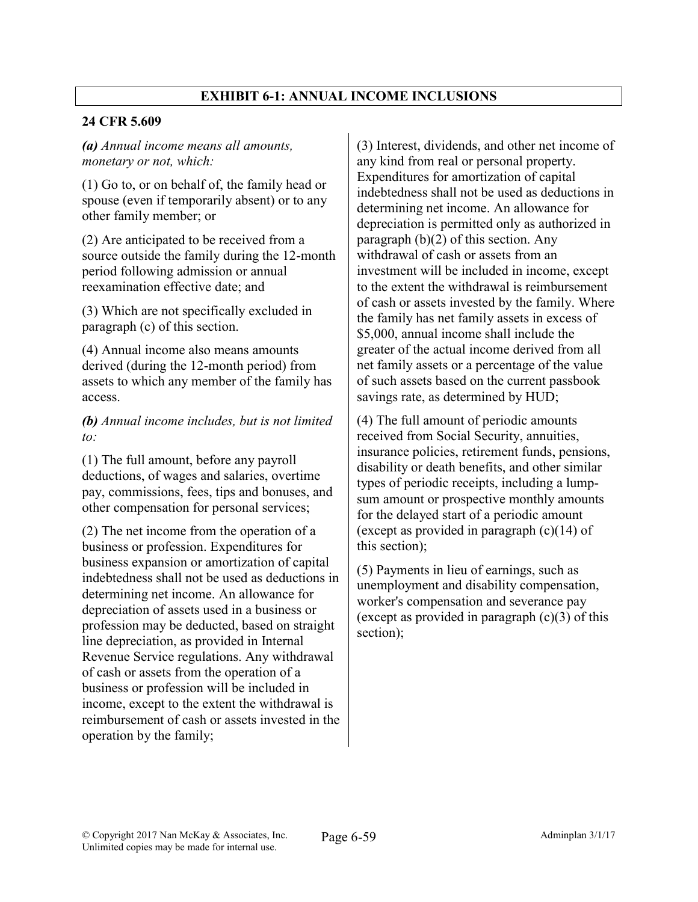# EXHIBIT 6-1: ANNUAL INCOME INCLUSIONS

## 24 CFR 5.609

*(a) Annual income means all amounts, monetary or not, which:*

(1) Go to, or on behalf of, the family head or spouse (even if temporarily absent) or to any other family member; or

(2) Are anticipated to be received from a source outside the family during the 12-month period following admission or annual reexamination effective date; and

(3) Which are not specifically excluded in paragraph (c) of this section.

(4) Annual income also means amounts derived (during the 12-month period) from assets to which any member of the family has access.

*(b) Annual income includes, but is not limited to:*

(1) The full amount, before any payroll deductions, of wages and salaries, overtime pay, commissions, fees, tips and bonuses, and other compensation for personal services;

(2) The net income from the operation of a business or profession. Expenditures for business expansion or amortization of capital indebtedness shall not be used as deductions in determining net income. An allowance for depreciation of assets used in a business or profession may be deducted, based on straight line depreciation, as provided in Internal Revenue Service regulations. Any withdrawal of cash or assets from the operation of a business or profession will be included in income, except to the extent the withdrawal is reimbursement of cash or assets invested in the operation by the family;

(3) Interest, dividends, and other net income of any kind from real or personal property. Expenditures for amortization of capital indebtedness shall not be used as deductions in determining net income. An allowance for depreciation is permitted only as authorized in paragraph  $(b)(2)$  of this section. Any withdrawal of cash or assets from an investment will be included in income, except to the extent the withdrawal is reimbursement of cash or assets invested by the family. Where the family has net family assets in excess of \$5,000, annual income shall include the greater of the actual income derived from all net family assets or a percentage of the value of such assets based on the current passbook savings rate, as determined by HUD;

(4) The full amount of periodic amounts received from Social Security, annuities, insurance policies, retirement funds, pensions, disability or death benefits, and other similar types of periodic receipts, including a lumpsum amount or prospective monthly amounts for the delayed start of a periodic amount (except as provided in paragraph (c)(14) of this section);

(5) Payments in lieu of earnings, such as unemployment and disability compensation, worker's compensation and severance pay (except as provided in paragraph (c)(3) of this section);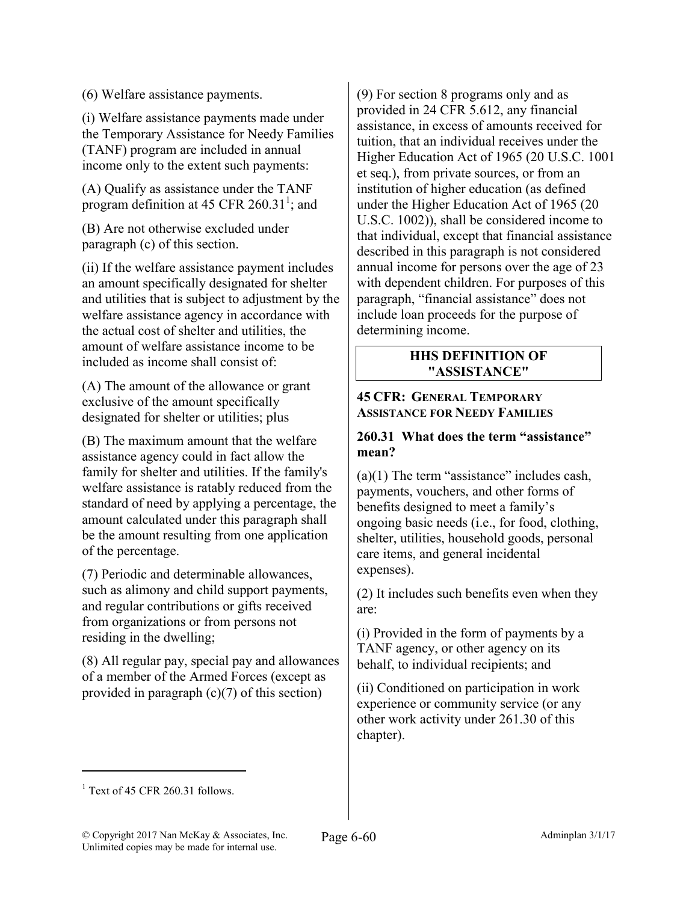(6) Welfare assistance payments.

(i) Welfare assistance payments made under the Temporary Assistance for Needy Families (TANF) program are included in annual income only to the extent such payments:

(A) Qualify as assistance under the TANF program definition at 45 CFR  $260.31^1$ ; and

(B) Are not otherwise excluded under paragraph (c) of this section.

(ii) If the welfare assistance payment includes an amount specifically designated for shelter and utilities that is subject to adjustment by the welfare assistance agency in accordance with the actual cost of shelter and utilities, the amount of welfare assistance income to be included as income shall consist of:

(A) The amount of the allowance or grant exclusive of the amount specifically designated for shelter or utilities; plus

(B) The maximum amount that the welfare assistance agency could in fact allow the family for shelter and utilities. If the family's welfare assistance is ratably reduced from the standard of need by applying a percentage, the amount calculated under this paragraph shall be the amount resulting from one application of the percentage.

(7) Periodic and determinable allowances, such as alimony and child support payments, and regular contributions or gifts received from organizations or from persons not residing in the dwelling;

(8) All regular pay, special pay and allowances of a member of the Armed Forces (except as provided in paragraph  $(c)(7)$  of this section)

(9) For section 8 programs only and as provided in 24 CFR 5.612, any financial assistance, in excess of amounts received for tuition, that an individual receives under the Higher Education Act of 1965 (20 U.S.C. 1001 et seq.), from private sources, or from an institution of higher education (as defined under the Higher Education Act of 1965 (20 U.S.C. 1002)), shall be considered income to that individual, except that financial assistance described in this paragraph is not considered annual income for persons over the age of 23 with dependent children. For purposes of this paragraph, "financial assistance" does not include loan proceeds for the purpose of determining income.

#### HHS DEFINITION OF "ASSISTANCE"

#### 45 CFR: GENERAL TEMPORARY ASSISTANCE FOR NEEDY FAMILIES

## 260.31 What does the term "assistance" mean?

 $(a)(1)$  The term "assistance" includes cash, payments, vouchers, and other forms of benefits designed to meet a family's ongoing basic needs (i.e., for food, clothing, shelter, utilities, household goods, personal care items, and general incidental expenses).

(2) It includes such benefits even when they are:

(i) Provided in the form of payments by a TANF agency, or other agency on its behalf, to individual recipients; and

(ii) Conditioned on participation in work experience or community service (or any other work activity under 261.30 of this chapter).

 $\overline{a}$ 

 $<sup>1</sup>$  Text of 45 CFR 260.31 follows.</sup>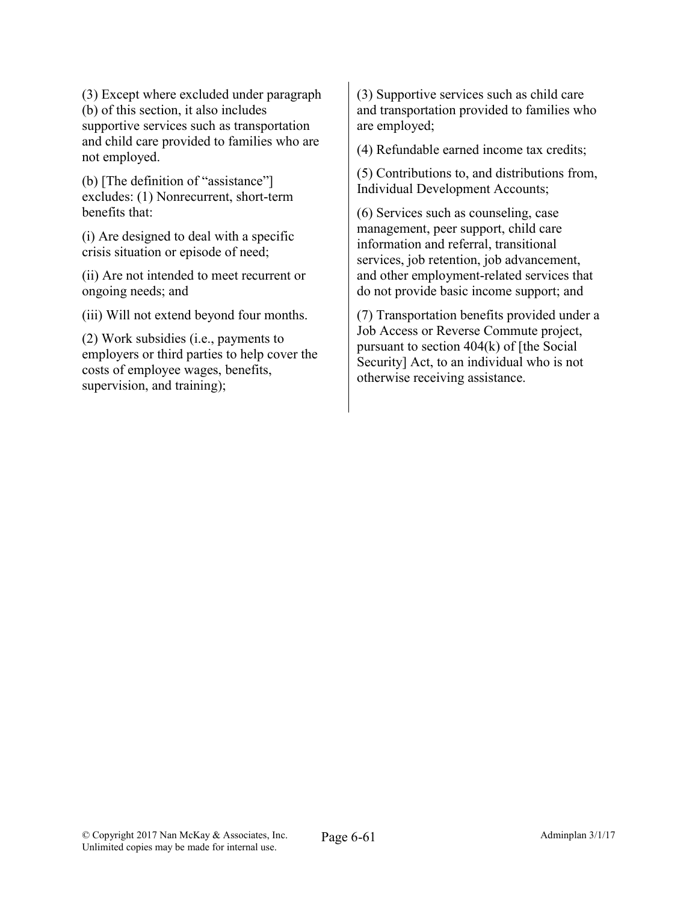(3) Except where excluded under paragraph (b) of this section, it also includes supportive services such as transportation and child care provided to families who are not employed.

(b) [The definition of "assistance"] excludes: (1) Nonrecurrent, short-term benefits that:

(i) Are designed to deal with a specific crisis situation or episode of need;

(ii) Are not intended to meet recurrent or ongoing needs; and

(iii) Will not extend beyond four months.

(2) Work subsidies (i.e., payments to employers or third parties to help cover the costs of employee wages, benefits, supervision, and training);

(3) Supportive services such as child care and transportation provided to families who are employed;

(4) Refundable earned income tax credits;

(5) Contributions to, and distributions from, Individual Development Accounts;

(6) Services such as counseling, case management, peer support, child care information and referral, transitional services, job retention, job advancement, and other employment-related services that do not provide basic income support; and

(7) Transportation benefits provided under a Job Access or Reverse Commute project, pursuant to section 404(k) of [the Social Security] Act, to an individual who is not otherwise receiving assistance.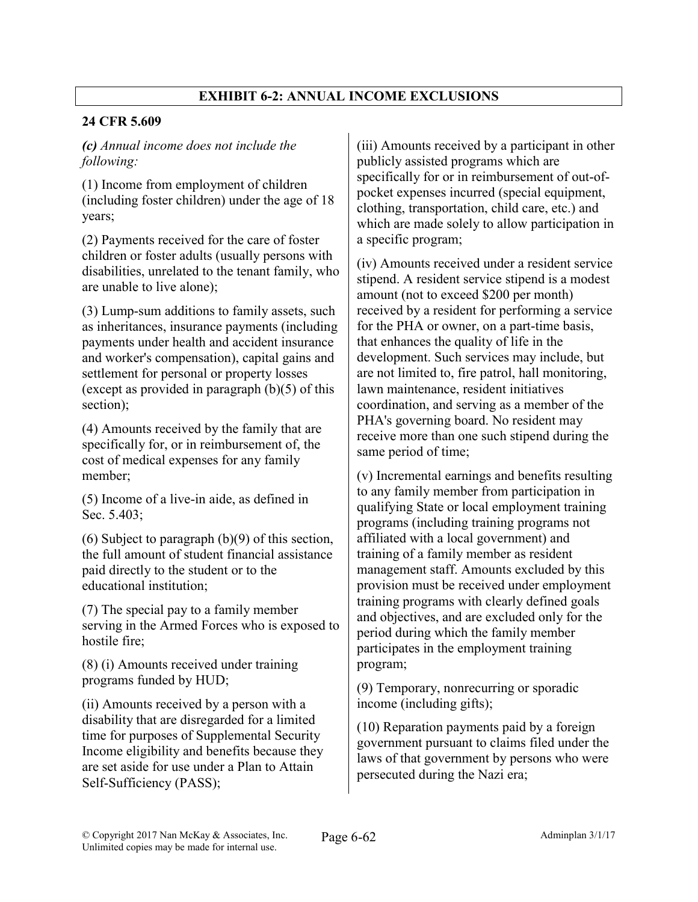# EXHIBIT 6-2: ANNUAL INCOME EXCLUSIONS

# 24 CFR 5.609

# *(c) Annual income does not include the following:*

(1) Income from employment of children (including foster children) under the age of 18 years;

(2) Payments received for the care of foster children or foster adults (usually persons with disabilities, unrelated to the tenant family, who are unable to live alone);

(3) Lump-sum additions to family assets, such as inheritances, insurance payments (including payments under health and accident insurance and worker's compensation), capital gains and settlement for personal or property losses (except as provided in paragraph  $(b)(5)$  of this section);

(4) Amounts received by the family that are specifically for, or in reimbursement of, the cost of medical expenses for any family member;

(5) Income of a live-in aide, as defined in Sec. 5.403;

(6) Subject to paragraph (b)(9) of this section, the full amount of student financial assistance paid directly to the student or to the educational institution;

(7) The special pay to a family member serving in the Armed Forces who is exposed to hostile fire;

(8) (i) Amounts received under training programs funded by HUD;

(ii) Amounts received by a person with a disability that are disregarded for a limited time for purposes of Supplemental Security Income eligibility and benefits because they are set aside for use under a Plan to Attain Self-Sufficiency (PASS);

(iii) Amounts received by a participant in other publicly assisted programs which are specifically for or in reimbursement of out-ofpocket expenses incurred (special equipment, clothing, transportation, child care, etc.) and which are made solely to allow participation in a specific program;

(iv) Amounts received under a resident service stipend. A resident service stipend is a modest amount (not to exceed \$200 per month) received by a resident for performing a service for the PHA or owner, on a part-time basis, that enhances the quality of life in the development. Such services may include, but are not limited to, fire patrol, hall monitoring, lawn maintenance, resident initiatives coordination, and serving as a member of the PHA's governing board. No resident may receive more than one such stipend during the same period of time;

(v) Incremental earnings and benefits resulting to any family member from participation in qualifying State or local employment training programs (including training programs not affiliated with a local government) and training of a family member as resident management staff. Amounts excluded by this provision must be received under employment training programs with clearly defined goals and objectives, and are excluded only for the period during which the family member participates in the employment training program;

(9) Temporary, nonrecurring or sporadic income (including gifts);

(10) Reparation payments paid by a foreign government pursuant to claims filed under the laws of that government by persons who were persecuted during the Nazi era;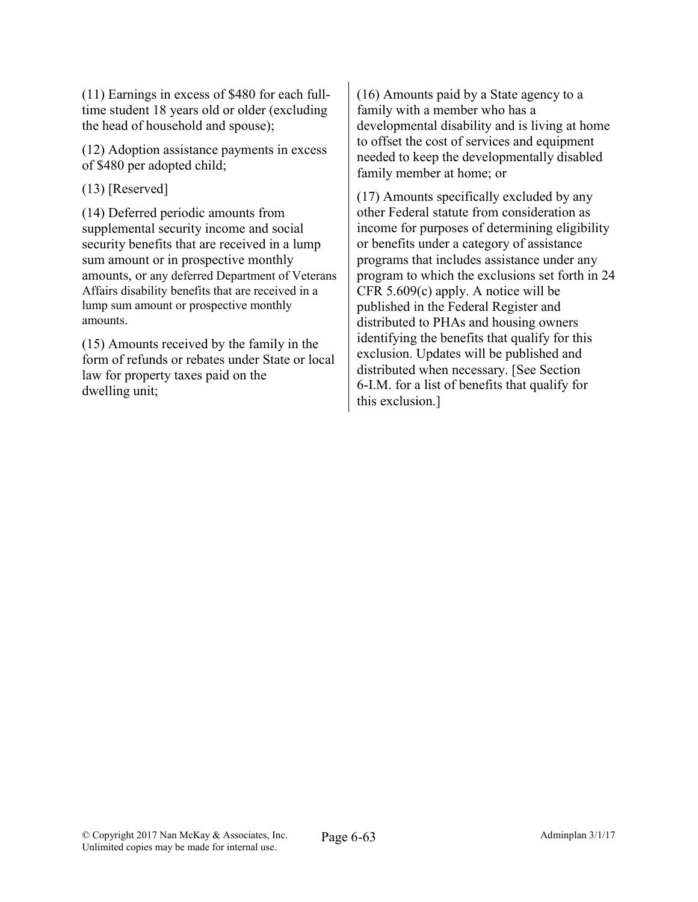(11) Earnings in excess of \$480 for each fulltime student 18 years old or older (excluding the head of household and spouse);

(12) Adoption assistance payments in excess of \$480 per adopted child;

(13) [Reserved]

(14) Deferred periodic amounts from supplemental security income and social security benefits that are received in a lump sum amount or in prospective monthly amounts, or any deferred Department of Veterans Affairs disability benefits that are received in a lump sum amount or prospective monthly amounts.

(15) Amounts received by the family in the form of refunds or rebates under State or local law for property taxes paid on the dwelling unit;

(16) Amounts paid by a State agency to a family with a member who has a developmental disability and is living at home to offset the cost of services and equipment needed to keep the developmentally disabled family member at home; or

(17) Amounts specifically excluded by any other Federal statute from consideration as income for purposes of determining eligibility or benefits under a category of assistance programs that includes assistance under any program to which the exclusions set forth in 24 CFR 5.609(c) apply. A notice will be published in the Federal Register and distributed to PHAs and housing owners identifying the benefits that qualify for this exclusion. Updates will be published and distributed when necessary. [See Section 6-I.M. for a list of benefits that qualify for this exclusion.]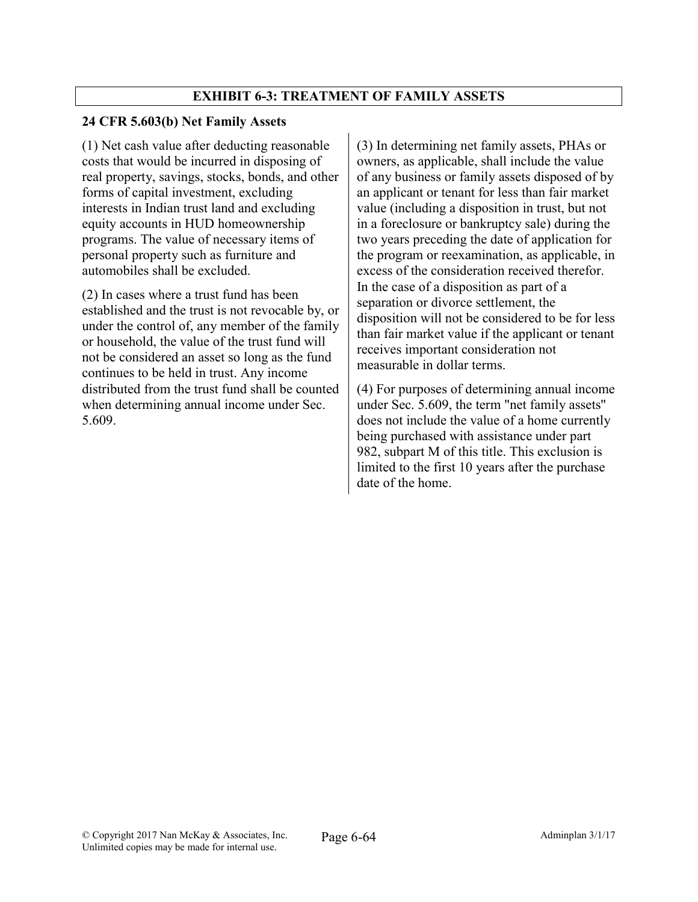# EXHIBIT 6-3: TREATMENT OF FAMILY ASSETS

## 24 CFR 5.603(b) Net Family Assets

(1) Net cash value after deducting reasonable costs that would be incurred in disposing of real property, savings, stocks, bonds, and other forms of capital investment, excluding interests in Indian trust land and excluding equity accounts in HUD homeownership programs. The value of necessary items of personal property such as furniture and automobiles shall be excluded.

(2) In cases where a trust fund has been established and the trust is not revocable by, or under the control of, any member of the family or household, the value of the trust fund will not be considered an asset so long as the fund continues to be held in trust. Any income distributed from the trust fund shall be counted when determining annual income under Sec. 5.609.

(3) In determining net family assets, PHAs or owners, as applicable, shall include the value of any business or family assets disposed of by an applicant or tenant for less than fair market value (including a disposition in trust, but not in a foreclosure or bankruptcy sale) during the two years preceding the date of application for the program or reexamination, as applicable, in excess of the consideration received therefor. In the case of a disposition as part of a separation or divorce settlement, the disposition will not be considered to be for less than fair market value if the applicant or tenant receives important consideration not measurable in dollar terms.

(4) For purposes of determining annual income under Sec. 5.609, the term "net family assets'' does not include the value of a home currently being purchased with assistance under part 982, subpart M of this title. This exclusion is limited to the first 10 years after the purchase date of the home.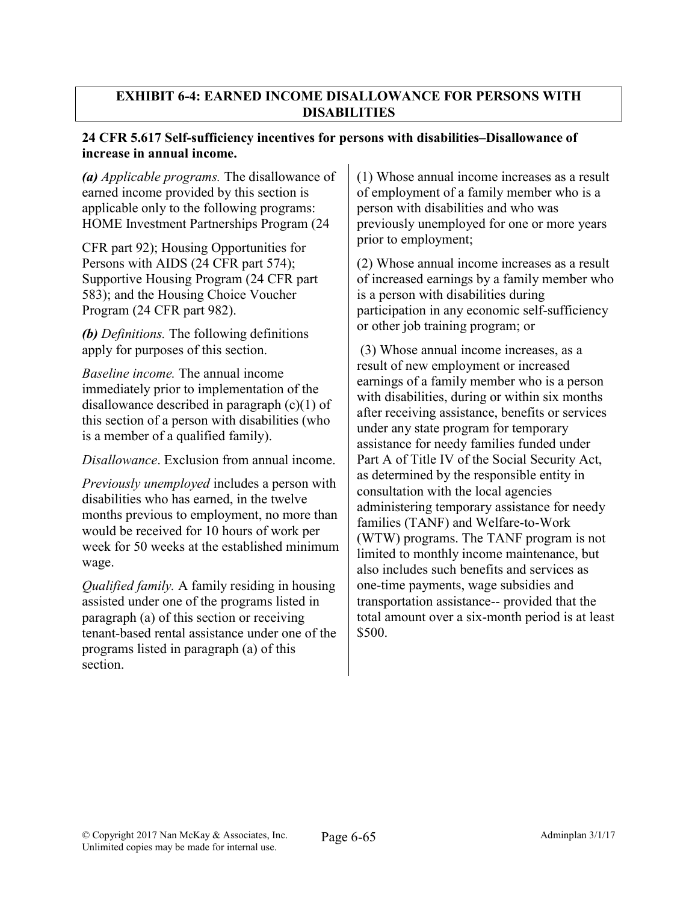# 24 CFR 5.617 Self-sufficiency incentives for persons with disabilities–Disallowance of increase in annual income.

*(a) Applicable programs.* The disallowance of earned income provided by this section is applicable only to the following programs: HOME Investment Partnerships Program (24

CFR part 92); Housing Opportunities for Persons with AIDS (24 CFR part 574); Supportive Housing Program (24 CFR part 583); and the Housing Choice Voucher Program (24 CFR part 982).

*(b) Definitions.* The following definitions apply for purposes of this section.

*Baseline income.* The annual income immediately prior to implementation of the disallowance described in paragraph (c)(1) of this section of a person with disabilities (who is a member of a qualified family).

*Disallowance*. Exclusion from annual income.

*Previously unemployed* includes a person with disabilities who has earned, in the twelve months previous to employment, no more than would be received for 10 hours of work per week for 50 weeks at the established minimum wage.

*Qualified family.* A family residing in housing assisted under one of the programs listed in paragraph (a) of this section or receiving tenant-based rental assistance under one of the programs listed in paragraph (a) of this section.

(1) Whose annual income increases as a result of employment of a family member who is a person with disabilities and who was previously unemployed for one or more years prior to employment;

(2) Whose annual income increases as a result of increased earnings by a family member who is a person with disabilities during participation in any economic self-sufficiency or other job training program; or

(3) Whose annual income increases, as a result of new employment or increased earnings of a family member who is a person with disabilities, during or within six months after receiving assistance, benefits or services under any state program for temporary assistance for needy families funded under Part A of Title IV of the Social Security Act, as determined by the responsible entity in consultation with the local agencies administering temporary assistance for needy families (TANF) and Welfare-to-Work (WTW) programs. The TANF program is not limited to monthly income maintenance, but also includes such benefits and services as one-time payments, wage subsidies and transportation assistance-- provided that the total amount over a six-month period is at least \$500.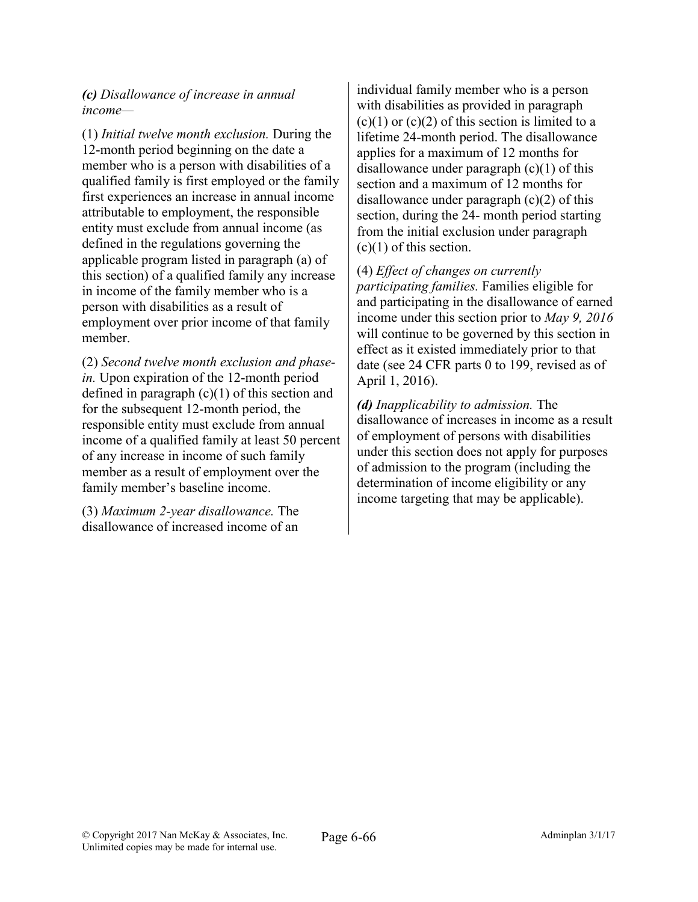#### *(c) Disallowance of increase in annual income—*

(1) *Initial twelve month exclusion.* During the 12-month period beginning on the date a member who is a person with disabilities of a qualified family is first employed or the family first experiences an increase in annual income attributable to employment, the responsible entity must exclude from annual income (as defined in the regulations governing the applicable program listed in paragraph (a) of this section) of a qualified family any increase in income of the family member who is a person with disabilities as a result of employment over prior income of that family member.

(2) *Second twelve month exclusion and phasein.* Upon expiration of the 12-month period defined in paragraph  $(c)(1)$  of this section and for the subsequent 12-month period, the responsible entity must exclude from annual income of a qualified family at least 50 percent of any increase in income of such family member as a result of employment over the family member's baseline income.

(3) *Maximum 2-year disallowance.* The disallowance of increased income of an individual family member who is a person with disabilities as provided in paragraph  $(c)(1)$  or  $(c)(2)$  of this section is limited to a lifetime 24-month period. The disallowance applies for a maximum of 12 months for disallowance under paragraph (c)(1) of this section and a maximum of 12 months for disallowance under paragraph (c)(2) of this section, during the 24- month period starting from the initial exclusion under paragraph  $(c)(1)$  of this section.

(4) *Effect of changes on currently participating families.* Families eligible for and participating in the disallowance of earned income under this section prior to *May 9, 2016*  will continue to be governed by this section in effect as it existed immediately prior to that date (see 24 CFR parts 0 to 199, revised as of April 1, 2016).

*(d) Inapplicability to admission.* The disallowance of increases in income as a result of employment of persons with disabilities under this section does not apply for purposes of admission to the program (including the determination of income eligibility or any income targeting that may be applicable).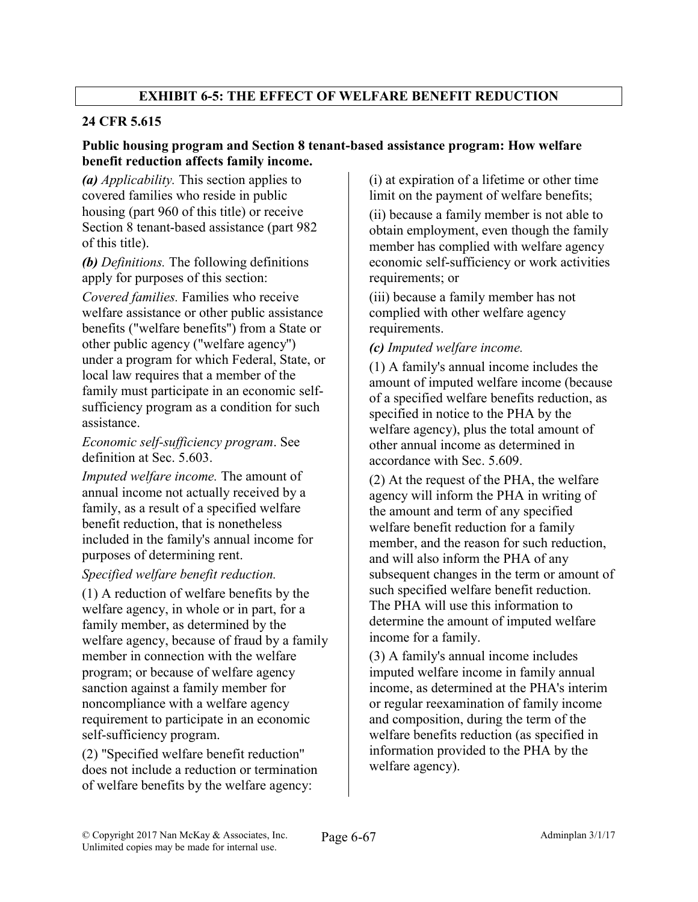# EXHIBIT 6-5: THE EFFECT OF WELFARE BENEFIT REDUCTION

# 24 CFR 5.615

#### Public housing program and Section 8 tenant-based assistance program: How welfare benefit reduction affects family income.

*(a) Applicability.* This section applies to covered families who reside in public housing (part 960 of this title) or receive Section 8 tenant-based assistance (part 982 of this title).

*(b) Definitions.* The following definitions apply for purposes of this section:

*Covered families.* Families who receive welfare assistance or other public assistance benefits ("welfare benefits'') from a State or other public agency ("welfare agency'') under a program for which Federal, State, or local law requires that a member of the family must participate in an economic selfsufficiency program as a condition for such assistance.

*Economic self-sufficiency program*. See definition at Sec. 5.603.

*Imputed welfare income.* The amount of annual income not actually received by a family, as a result of a specified welfare benefit reduction, that is nonetheless included in the family's annual income for purposes of determining rent.

## *Specified welfare benefit reduction.*

(1) A reduction of welfare benefits by the welfare agency, in whole or in part, for a family member, as determined by the welfare agency, because of fraud by a family member in connection with the welfare program; or because of welfare agency sanction against a family member for noncompliance with a welfare agency requirement to participate in an economic self-sufficiency program.

(2) "Specified welfare benefit reduction'' does not include a reduction or termination of welfare benefits by the welfare agency:

(i) at expiration of a lifetime or other time limit on the payment of welfare benefits;

(ii) because a family member is not able to obtain employment, even though the family member has complied with welfare agency economic self-sufficiency or work activities requirements; or

(iii) because a family member has not complied with other welfare agency requirements.

*(c) Imputed welfare income.*

(1) A family's annual income includes the amount of imputed welfare income (because of a specified welfare benefits reduction, as specified in notice to the PHA by the welfare agency), plus the total amount of other annual income as determined in accordance with Sec. 5.609.

(2) At the request of the PHA, the welfare agency will inform the PHA in writing of the amount and term of any specified welfare benefit reduction for a family member, and the reason for such reduction, and will also inform the PHA of any subsequent changes in the term or amount of such specified welfare benefit reduction. The PHA will use this information to determine the amount of imputed welfare income for a family.

(3) A family's annual income includes imputed welfare income in family annual income, as determined at the PHA's interim or regular reexamination of family income and composition, during the term of the welfare benefits reduction (as specified in information provided to the PHA by the welfare agency).